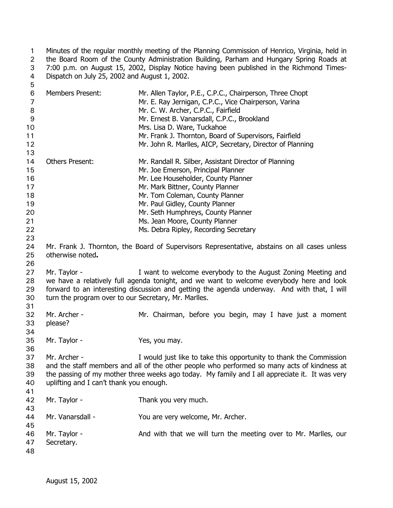Minutes of the regular monthly meeting of the Planning Commission of Henrico, Virginia, held in the Board Room of the County Administration Building, Parham and Hungary Spring Roads at 7:00 p.m. on August 15, 2002, Display Notice having been published in the Richmond Times-Dispatch on July 25, 2002 and August 1, 2002. 1 2 3 4  $\overline{5}$ 

| ັ              |                                                                                              |                                                                                                |  |
|----------------|----------------------------------------------------------------------------------------------|------------------------------------------------------------------------------------------------|--|
| 6              | <b>Members Present:</b>                                                                      | Mr. Allen Taylor, P.E., C.P.C., Chairperson, Three Chopt                                       |  |
| $\overline{7}$ |                                                                                              | Mr. E. Ray Jernigan, C.P.C., Vice Chairperson, Varina                                          |  |
| 8              |                                                                                              | Mr. C. W. Archer, C.P.C., Fairfield                                                            |  |
| $9\,$          |                                                                                              | Mr. Ernest B. Vanarsdall, C.P.C., Brookland                                                    |  |
| 10             |                                                                                              | Mrs. Lisa D. Ware, Tuckahoe                                                                    |  |
| 11             |                                                                                              | Mr. Frank J. Thornton, Board of Supervisors, Fairfield                                         |  |
| 12             |                                                                                              | Mr. John R. Marlles, AICP, Secretary, Director of Planning                                     |  |
| 13             |                                                                                              |                                                                                                |  |
| 14             | <b>Others Present:</b>                                                                       | Mr. Randall R. Silber, Assistant Director of Planning                                          |  |
| 15             |                                                                                              | Mr. Joe Emerson, Principal Planner                                                             |  |
| 16             |                                                                                              | Mr. Lee Householder, County Planner                                                            |  |
| 17             |                                                                                              | Mr. Mark Bittner, County Planner                                                               |  |
| 18             |                                                                                              |                                                                                                |  |
|                |                                                                                              | Mr. Tom Coleman, County Planner                                                                |  |
| 19             |                                                                                              | Mr. Paul Gidley, County Planner                                                                |  |
| 20             |                                                                                              | Mr. Seth Humphreys, County Planner                                                             |  |
| 21             |                                                                                              | Ms. Jean Moore, County Planner                                                                 |  |
| 22             |                                                                                              | Ms. Debra Ripley, Recording Secretary                                                          |  |
| 23             |                                                                                              |                                                                                                |  |
| 24             | Mr. Frank J. Thornton, the Board of Supervisors Representative, abstains on all cases unless |                                                                                                |  |
| 25             | otherwise noted.                                                                             |                                                                                                |  |
| 26             |                                                                                              |                                                                                                |  |
| 27             | Mr. Taylor -                                                                                 | I want to welcome everybody to the August Zoning Meeting and                                   |  |
| 28             |                                                                                              | we have a relatively full agenda tonight, and we want to welcome everybody here and look       |  |
| 29             |                                                                                              | forward to an interesting discussion and getting the agenda underway. And with that, I will    |  |
| 30             | turn the program over to our Secretary, Mr. Marlles.                                         |                                                                                                |  |
| 31             |                                                                                              |                                                                                                |  |
| 32             | Mr. Archer -                                                                                 | Mr. Chairman, before you begin, may I have just a moment                                       |  |
| 33             | please?                                                                                      |                                                                                                |  |
| 34             |                                                                                              |                                                                                                |  |
| 35             | Mr. Taylor -                                                                                 | Yes, you may.                                                                                  |  |
| 36             |                                                                                              |                                                                                                |  |
|                |                                                                                              |                                                                                                |  |
| 37             | Mr. Archer -                                                                                 | I would just like to take this opportunity to thank the Commission                             |  |
| 38             |                                                                                              | and the staff members and all of the other people who performed so many acts of kindness at    |  |
| 39             |                                                                                              | the passing of my mother three weeks ago today. My family and I all appreciate it. It was very |  |
| 40             | uplifting and I can't thank you enough.                                                      |                                                                                                |  |
| 41             |                                                                                              |                                                                                                |  |
| 42             | Mr. Taylor -                                                                                 | Thank you very much.                                                                           |  |
| 43             |                                                                                              |                                                                                                |  |
| 44             | Mr. Vanarsdall -                                                                             | You are very welcome, Mr. Archer.                                                              |  |
| 45             |                                                                                              |                                                                                                |  |
| 46             | Mr. Taylor -                                                                                 | And with that we will turn the meeting over to Mr. Marlles, our                                |  |
| 47             | Secretary.                                                                                   |                                                                                                |  |
| 48             |                                                                                              |                                                                                                |  |
|                |                                                                                              |                                                                                                |  |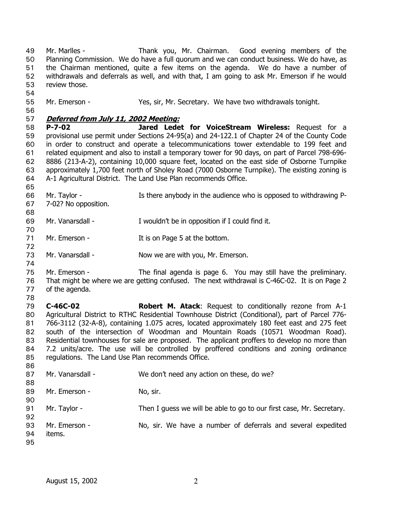Mr. Marlles - Thank you, Mr. Chairman. Good evening members of the Planning Commission. We do have a full quorum and we can conduct business. We do have, as the Chairman mentioned, quite a few items on the agenda. We do have a number of withdrawals and deferrals as well, and with that, I am going to ask Mr. Emerson if he would review those. 49 50 51 52 53 54 55 Mr. Emerson - Yes, sir, Mr. Secretary. We have two withdrawals tonight.

56

72

74

86

#### 57 **Deferred from July 11, 2002 Meeting:**

58 59 60 61 62 63 64 **P-7-02 Jared Ledet for VoiceStream Wireless:** Request for a provisional use permit under Sections 24-95(a) and 24-122.1 of Chapter 24 of the County Code in order to construct and operate a telecommunications tower extendable to 199 feet and related equipment and also to install a temporary tower for 90 days, on part of Parcel 798-696- 8886 (213-A-2), containing 10,000 square feet, located on the east side of Osborne Turnpike approximately 1,700 feet north of Sholey Road (7000 Osborne Turnpike). The existing zoning is A-1 Agricultural District. The Land Use Plan recommends Office.

- 65 66 67 68 Mr. Taylor - The Is there anybody in the audience who is opposed to withdrawing P-7-02? No opposition.
- 69 70 Mr. Vanarsdall - I wouldn't be in opposition if I could find it.
- 71 Mr. Emerson - The It is on Page 5 at the bottom.
- 73 Mr. Vanarsdall - Now we are with you, Mr. Emerson.
- 75 76 Mr. Emerson - The final agenda is page 6. You may still have the preliminary. That might be where we are getting confused. The next withdrawal is C-46C-02. It is on Page 2
- 77 78 of the agenda.

79 80 81 82 83 84 85 **C-46C-02 Robert M. Atack**: Request to conditionally rezone from A-1 Agricultural District to RTHC Residential Townhouse District (Conditional), part of Parcel 776- 766-3112 (32-A-8), containing 1.075 acres, located approximately 180 feet east and 275 feet south of the intersection of Woodman and Mountain Roads (10571 Woodman Road). Residential townhouses for sale are proposed. The applicant proffers to develop no more than 7.2 units/acre. The use will be controlled by proffered conditions and zoning ordinance regulations. The Land Use Plan recommends Office.

| 87 | Mr. Vanarsdall - | We don't need any action on these, do we?                            |
|----|------------------|----------------------------------------------------------------------|
| 88 |                  |                                                                      |
| 89 | Mr. Emerson -    | No, sir.                                                             |
| 90 |                  |                                                                      |
| 91 | Mr. Taylor -     | Then I guess we will be able to go to our first case, Mr. Secretary. |
| 92 |                  |                                                                      |
| 93 | Mr. Emerson -    | No, sir. We have a number of deferrals and several expedited         |
| 94 | items.           |                                                                      |
| 95 |                  |                                                                      |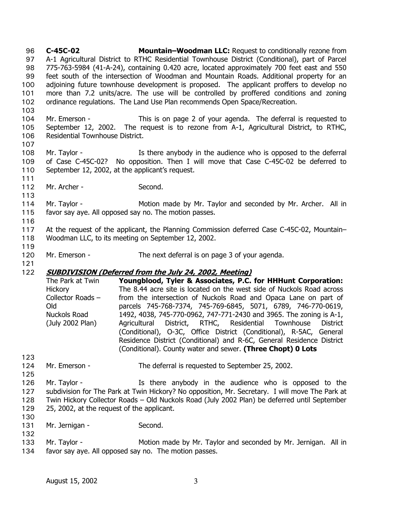**C-45C-02 Mountain–Woodman LLC:** Request to conditionally rezone from A-1 Agricultural District to RTHC Residential Townhouse District (Conditional), part of Parcel 775-763-5984 (41-A-24), containing 0.420 acre, located approximately 700 feet east and 550 feet south of the intersection of Woodman and Mountain Roads. Additional property for an adjoining future townhouse development is proposed. The applicant proffers to develop no more than 7.2 units/acre. The use will be controlled by proffered conditions and zoning ordinance regulations. The Land Use Plan recommends Open Space/Recreation. 96 97 98 99 100 101 102

103

104 105 106 Mr. Emerson - This is on page 2 of your agenda. The deferral is requested to September 12, 2002. The request is to rezone from A-1, Agricultural District, to RTHC, Residential Townhouse District.

107

111

113

108 109 110 Mr. Taylor - The Is there anybody in the audience who is opposed to the deferral of Case C-45C-02? No opposition. Then I will move that Case C-45C-02 be deferred to September 12, 2002, at the applicant's request.

112 Mr. Archer - Second.

114 115 Mr. Taylor - **Motion made by Mr. Taylor and seconded by Mr. Archer.** All in favor say aye. All opposed say no. The motion passes.

116

117 118 At the request of the applicant, the Planning Commission deferred Case C-45C-02, Mountain– Woodman LLC, to its meeting on September 12, 2002.

119

121

120 Mr. Emerson - The next deferral is on page 3 of your agenda.

# 122 **SUBDIVISION (Deferred from the July 24, 2002, Meeting)**

| The Park at Twin  | Youngblood, Tyler & Associates, P.C. for HHHunt Corporation:          |
|-------------------|-----------------------------------------------------------------------|
| <b>Hickory</b>    | The 8.44 acre site is located on the west side of Nuckols Road across |
| Collector Roads - | from the intersection of Nuckols Road and Opaca Lane on part of       |
| Old               | parcels 745-768-7374, 745-769-6845, 5071, 6789, 746-770-0619,         |
| Nuckols Road      | 1492, 4038, 745-770-0962, 747-771-2430 and 3965. The zoning is A-1,   |
| (July 2002 Plan)  | Agricultural District, RTHC, Residential Townhouse District           |
|                   | (Conditional), O-3C, Office District (Conditional), R-5AC, General    |
|                   | Residence District (Conditional) and R-6C, General Residence District |
|                   | (Conditional). County water and sewer. (Three Chopt) 0 Lots           |

- 123 124
- Mr. Emerson The deferral is requested to September 25, 2002.
- 125

126 127 128 129 Mr. Taylor - The Is there anybody in the audience who is opposed to the subdivision for The Park at Twin Hickory? No opposition, Mr. Secretary. I will move The Park at Twin Hickory Collector Roads – Old Nuckols Road (July 2002 Plan) be deferred until September 25, 2002, at the request of the applicant.

- 130
- 131 Mr. Jernigan - Second.
- 132
	-
- 133 134 Mr. Taylor - The Motion made by Mr. Taylor and seconded by Mr. Jernigan. All in favor say aye. All opposed say no. The motion passes.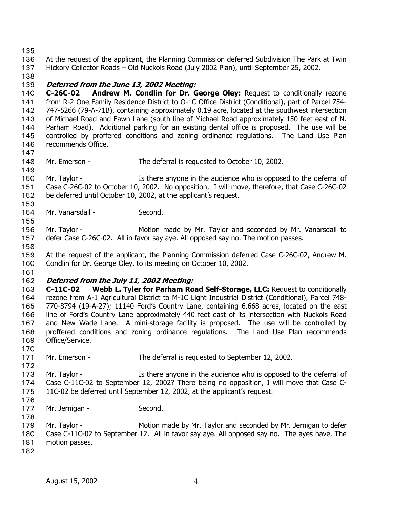135

136 137 At the request of the applicant, the Planning Commission deferred Subdivision The Park at Twin Hickory Collector Roads – Old Nuckols Road (July 2002 Plan), until September 25, 2002.

138

## 139 **Deferred from the June 13, 2002 Meeting:**

140 141 142 143 144 145 146 **C-26C-02 Andrew M. Condlin for Dr. George Oley:** Request to conditionally rezone from R-2 One Family Residence District to O-1C Office District (Conditional), part of Parcel 754- 747-5266 (79-A-71B), containing approximately 0.19 acre, located at the southwest intersection of Michael Road and Fawn Lane (south line of Michael Road approximately 150 feet east of N. Parham Road). Additional parking for an existing dental office is proposed. The use will be controlled by proffered conditions and zoning ordinance regulations. The Land Use Plan recommends Office.

- 147
- 148 149 Mr. Emerson - The deferral is requested to October 10, 2002.
- 150 151 152 Mr. Taylor - The Is there anyone in the audience who is opposed to the deferral of Case C-26C-02 to October 10, 2002. No opposition. I will move, therefore, that Case C-26C-02 be deferred until October 10, 2002, at the applicant's request.
- 154 Mr. Vanarsdall - Second.

156 157 Mr. Taylor - **Motion made by Mr. Taylor and seconded by Mr. Vanarsdall to** defer Case C-26C-02. All in favor say aye. All opposed say no. The motion passes.

158

153

155

159 160 At the request of the applicant, the Planning Commission deferred Case C-26C-02, Andrew M. Condlin for Dr. George Oley, to its meeting on October 10, 2002.

161

### 162 **Deferred from the July 11, 2002 Meeting:**

163 164 165 166 167 168 169 **C-11C-02 Webb L. Tyler for Parham Road Self-Storage, LLC:** Request to conditionally rezone from A-1 Agricultural District to M-1C Light Industrial District (Conditional), Parcel 748- 770-8794 (19-A-27); 11140 Ford's Country Lane, containing 6.668 acres, located on the east line of Ford's Country Lane approximately 440 feet east of its intersection with Nuckols Road and New Wade Lane. A mini-storage facility is proposed. The use will be controlled by proffered conditions and zoning ordinance regulations. The Land Use Plan recommends Office/Service.

- 171 Mr. Emerson - The deferral is requested to September 12, 2002.
- 172

170

- 173 174 Mr. Taylor - The Is there anyone in the audience who is opposed to the deferral of Case C-11C-02 to September 12, 2002? There being no opposition, I will move that Case C-
- 175 11C-02 be deferred until September 12, 2002, at the applicant's request.
- 176
- 177 Mr. Jernigan - Second.
- 178 179 180 Mr. Taylor - Motion made by Mr. Taylor and seconded by Mr. Jernigan to defer Case C-11C-02 to September 12. All in favor say aye. All opposed say no. The ayes have. The
- 181 motion passes.
- 182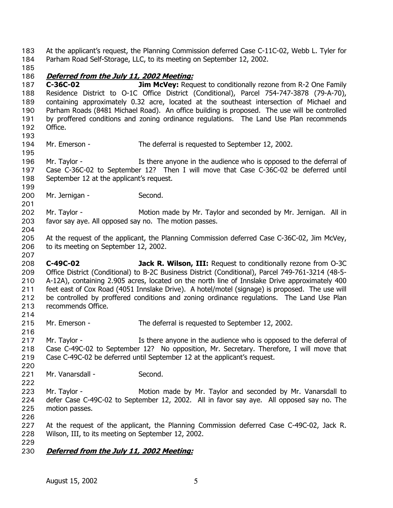At the applicant's request, the Planning Commission deferred Case C-11C-02, Webb L. Tyler for Parham Road Self-Storage, LLC, to its meeting on September 12, 2002. 183 184

185

195

199

204

207

#### 186 **Deferred from the July 11, 2002 Meeting:**

187 188 189 190 191 192 193 **C-36C-02 Jim McVey:** Request to conditionally rezone from R-2 One Family Residence District to O-1C Office District (Conditional), Parcel 754-747-3878 (79-A-70), containing approximately 0.32 acre, located at the southeast intersection of Michael and Parham Roads (8481 Michael Road). An office building is proposed. The use will be controlled by proffered conditions and zoning ordinance regulations. The Land Use Plan recommends Office.

194 Mr. Emerson - The deferral is requested to September 12, 2002.

196 197 198 Mr. Taylor - The Is there anyone in the audience who is opposed to the deferral of Case C-36C-02 to September 12? Then I will move that Case C-36C-02 be deferred until September 12 at the applicant's request.

- 200 Mr. Jernigan - Second.
- 201 202 203 Mr. Taylor - Motion made by Mr. Taylor and seconded by Mr. Jernigan. All in favor say aye. All opposed say no. The motion passes.
- 205 206 At the request of the applicant, the Planning Commission deferred Case C-36C-02, Jim McVey, to its meeting on September 12, 2002.
- 208 209 210 211 212 213 214 **C-49C-02 Jack R. Wilson, III:** Request to conditionally rezone from O-3C Office District (Conditional) to B-2C Business District (Conditional), Parcel 749-761-3214 (48-5- A-12A), containing 2.905 acres, located on the north line of Innslake Drive approximately 400 feet east of Cox Road (4051 Innslake Drive). A hotel/motel (signage) is proposed. The use will be controlled by proffered conditions and zoning ordinance regulations. The Land Use Plan recommends Office.
- 215 Mr. Emerson - The deferral is requested to September 12, 2002.
- 217 218 219 Mr. Taylor - The Is there anyone in the audience who is opposed to the deferral of Case C-49C-02 to September 12? No opposition, Mr. Secretary. Therefore, I will move that Case C-49C-02 be deferred until September 12 at the applicant's request.
- 220 221

222

216

- Mr. Vanarsdall Second.
- 223 224 225 Mr. Taylor - **Motion made by Mr. Taylor and seconded by Mr. Vanarsdall to** defer Case C-49C-02 to September 12, 2002. All in favor say aye. All opposed say no. The motion passes.
- 226

227 228 229 At the request of the applicant, the Planning Commission deferred Case C-49C-02, Jack R. Wilson, III, to its meeting on September 12, 2002.

230 **Deferred from the July 11, 2002 Meeting:**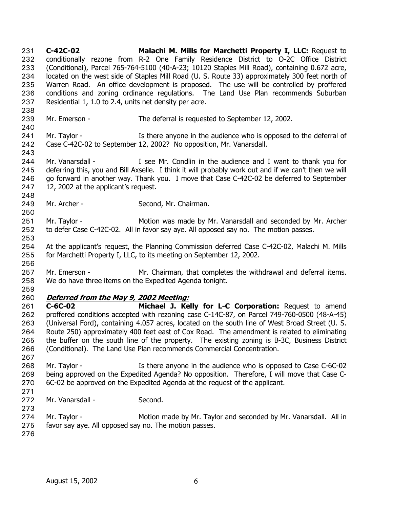**C-42C-02 Malachi M. Mills for Marchetti Property I, LLC:** Request to conditionally rezone from R-2 One Family Residence District to O-2C Office District (Conditional), Parcel 765-764-5100 (40-A-23; 10120 Staples Mill Road), containing 0.672 acre, located on the west side of Staples Mill Road (U. S. Route 33) approximately 300 feet north of Warren Road. An office development is proposed. The use will be controlled by proffered conditions and zoning ordinance regulations. The Land Use Plan recommends Suburban Residential 1, 1.0 to 2.4, units net density per acre. 231 232 233 234 235 236 237 238 239 240 241 242 243 244 245 246 247 248 249 250 251 252 253 254 255 256 257 258 259 Mr. Emerson - The deferral is requested to September 12, 2002. Mr. Taylor - The Is there anyone in the audience who is opposed to the deferral of Case C-42C-02 to September 12, 2002? No opposition, Mr. Vanarsdall. Mr. Vanarsdall - The Mr. Condlin in the audience and I want to thank you for deferring this, you and Bill Axselle. I think it will probably work out and if we can't then we will go forward in another way. Thank you. I move that Case C-42C-02 be deferred to September 12, 2002 at the applicant's request. Mr. Archer - Second, Mr. Chairman. Mr. Taylor - Motion was made by Mr. Vanarsdall and seconded by Mr. Archer to defer Case C-42C-02. All in favor say aye. All opposed say no. The motion passes. At the applicant's request, the Planning Commission deferred Case C-42C-02, Malachi M. Mills for Marchetti Property I, LLC, to its meeting on September 12, 2002. Mr. Emerson - The Mr. Chairman, that completes the withdrawal and deferral items. We do have three items on the Expedited Agenda tonight. 260 **Deferred from the May 9, 2002 Meeting:** 261 262 263 264 265 266 267 268 269 270 271 272 273 274 275 276 **C-6C-02 Michael J. Kelly for L-C Corporation:** Request to amend proffered conditions accepted with rezoning case C-14C-87, on Parcel 749-760-0500 (48-A-45) (Universal Ford), containing 4.057 acres, located on the south line of West Broad Street (U. S. Route 250) approximately 400 feet east of Cox Road. The amendment is related to eliminating the buffer on the south line of the property. The existing zoning is B-3C, Business District (Conditional). The Land Use Plan recommends Commercial Concentration. Mr. Taylor - **Is there anyone in the audience who is opposed to Case C-6C-02** being approved on the Expedited Agenda? No opposition. Therefore, I will move that Case C-6C-02 be approved on the Expedited Agenda at the request of the applicant. Mr. Vanarsdall - Second. Mr. Taylor - Motion made by Mr. Taylor and seconded by Mr. Vanarsdall. All in favor say aye. All opposed say no. The motion passes.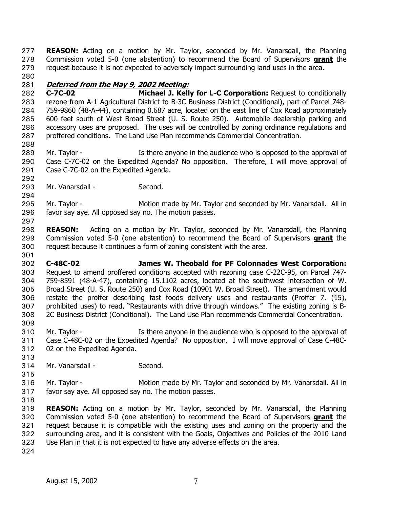**REASON:** Acting on a motion by Mr. Taylor, seconded by Mr. Vanarsdall, the Planning Commission voted 5-0 (one abstention) to recommend the Board of Supervisors **grant** the 277 request because it is not expected to adversely impact surrounding land uses in the area. 278 279

280

### 281 **Deferred from the May 9, 2002 Meeting:**

282 283 284 285 286 287 **C-7C-02 Michael J. Kelly for L-C Corporation:** Request to conditionally rezone from A-1 Agricultural District to B-3C Business District (Conditional), part of Parcel 748- 759-9860 (48-A-44), containing 0.687 acre, located on the east line of Cox Road approximately 600 feet south of West Broad Street (U. S. Route 250). Automobile dealership parking and accessory uses are proposed. The uses will be controlled by zoning ordinance regulations and proffered conditions. The Land Use Plan recommends Commercial Concentration.

288

292

294

297

301

289 290 291 Mr. Taylor - The Is there anyone in the audience who is opposed to the approval of Case C-7C-02 on the Expedited Agenda? No opposition. Therefore, I will move approval of Case C-7C-02 on the Expedited Agenda.

293 Mr. Vanarsdall - Second.

295 296 Mr. Taylor - Motion made by Mr. Taylor and seconded by Mr. Vanarsdall. All in favor say aye. All opposed say no. The motion passes.

298 **REASON:** Acting on a motion by Mr. Taylor, seconded by Mr. Vanarsdall, the Planning Commission voted 5-0 (one abstention) to recommend the Board of Supervisors **grant** the request because it continues a form of zoning consistent with the area. 299 300

302 303 304 305 306 307 308 309 **C-48C-02 James W. Theobald for PF Colonnades West Corporation:** Request to amend proffered conditions accepted with rezoning case C-22C-95, on Parcel 747- 759-8591 (48-A-47), containing 15.1102 acres, located at the southwest intersection of W. Broad Street (U. S. Route 250) and Cox Road (10901 W. Broad Street). The amendment would restate the proffer describing fast foods delivery uses and restaurants (Proffer 7. (15), prohibited uses) to read, "Restaurants with drive through windows." The existing zoning is B-2C Business District (Conditional). The Land Use Plan recommends Commercial Concentration.

- 310 311 312 Mr. Taylor - The Is there anyone in the audience who is opposed to the approval of Case C-48C-02 on the Expedited Agenda? No opposition. I will move approval of Case C-48C-02 on the Expedited Agenda.
- 314 Mr. Vanarsdall - Second.
- 316 317 318 Mr. Taylor - Motion made by Mr. Taylor and seconded by Mr. Vanarsdall. All in favor say aye. All opposed say no. The motion passes.

319 **REASON:** Acting on a motion by Mr. Taylor, seconded by Mr. Vanarsdall, the Planning Commission voted 5-0 (one abstention) to recommend the Board of Supervisors **grant** the request because it is compatible with the existing uses and zoning on the property and the surrounding area, and it is consistent with the Goals, Objectives and Policies of the 2010 Land Use Plan in that it is not expected to have any adverse effects on the area. 320 321 322 323

324

313

315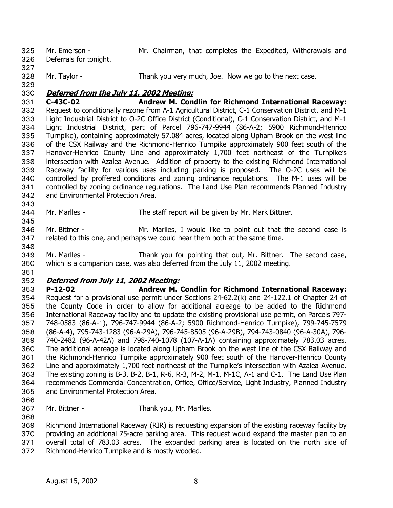- Mr. Emerson Mr. Chairman, that completes the Expedited, Withdrawals and Deferrals for tonight. 325 326
	-
- 327
- 328 Mr. Taylor - Thank you very much, Joe. Now we go to the next case.
- 329

#### 330 **Deferred from the July 11, 2002 Meeting:**

331 332 333 334 335 336 337 338 339 340 341 342 **C-43C-02 Andrew M. Condlin for Richmond International Raceway:**  Request to conditionally rezone from A-1 Agricultural District, C-1 Conservation District, and M-1 Light Industrial District to O-2C Office District (Conditional), C-1 Conservation District, and M-1 Light Industrial District, part of Parcel 796-747-9944 (86-A-2; 5900 Richmond-Henrico Turnpike), containing approximately 57.084 acres, located along Upham Brook on the west line of the CSX Railway and the Richmond-Henrico Turnpike approximately 900 feet south of the Hanover-Henrico County Line and approximately 1,700 feet northeast of the Turnpike's intersection with Azalea Avenue. Addition of property to the existing Richmond International Raceway facility for various uses including parking is proposed. The O-2C uses will be controlled by proffered conditions and zoning ordinance regulations. The M-1 uses will be controlled by zoning ordinance regulations. The Land Use Plan recommends Planned Industry and Environmental Protection Area.

343 344

345

- Mr. Marlles The staff report will be given by Mr. Mark Bittner.
- 346 347 Mr. Bittner - The Mr. Marlles, I would like to point out that the second case is related to this one, and perhaps we could hear them both at the same time.
- 348

351

349 350 Mr. Marlles - Thank you for pointing that out, Mr. Bittner. The second case, which is a companion case, was also deferred from the July 11, 2002 meeting.

#### 352 **Deferred from July 11, 2002 Meeting:**

353

354 355 356 357 358 359 360 361 362 363 364 365 **P-12-02 Andrew M. Condlin for Richmond International Raceway:** Request for a provisional use permit under Sections 24-62.2(k) and 24-122.1 of Chapter 24 of the County Code in order to allow for additional acreage to be added to the Richmond International Raceway facility and to update the existing provisional use permit, on Parcels 797- 748-0583 (86-A-1), 796-747-9944 (86-A-2; 5900 Richmond-Henrico Turnpike), 799-745-7579 (86-A-4), 795-743-1283 (96-A-29A), 796-745-8505 (96-A-29B), 794-743-0840 (96-A-30A), 796- 740-2482 (96-A-42A) and 798-740-1078 (107-A-1A) containing approximately 783.03 acres. The additional acreage is located along Upham Brook on the west line of the CSX Railway and the Richmond-Henrico Turnpike approximately 900 feet south of the Hanover-Henrico County Line and approximately 1,700 feet northeast of the Turnpike's intersection with Azalea Avenue. The existing zoning is B-3, B-2, B-1, R-6, R-3, M-2, M-1, M-1C, A-1 and C-1. The Land Use Plan recommends Commercial Concentration, Office, Office/Service, Light Industry, Planned Industry and Environmental Protection Area.

- 366
- 367 Mr. Bittner - Thank you, Mr. Marlles.

368 369 370 371 Richmond International Raceway (RIR) is requesting expansion of the existing raceway facility by providing an additional 75-acre parking area. This request would expand the master plan to an overall total of 783.03 acres. The expanded parking area is located on the north side of

372 Richmond-Henrico Turnpike and is mostly wooded.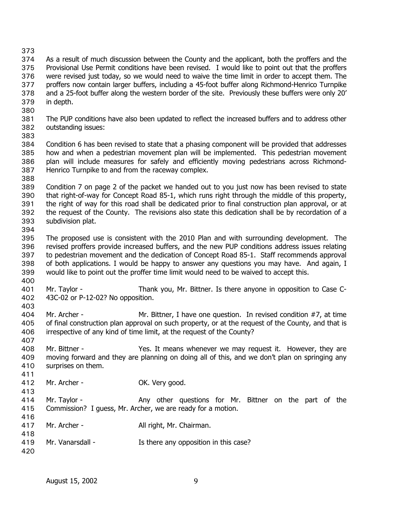373

374 375 376 377 378 379 As a result of much discussion between the County and the applicant, both the proffers and the Provisional Use Permit conditions have been revised. I would like to point out that the proffers were revised just today, so we would need to waive the time limit in order to accept them. The proffers now contain larger buffers, including a 45-foot buffer along Richmond-Henrico Turnpike and a 25-foot buffer along the western border of the site. Previously these buffers were only 20' in depth.

- 380
- 381 382 The PUP conditions have also been updated to reflect the increased buffers and to address other outstanding issues:
- 383

384 385 386 387 Condition 6 has been revised to state that a phasing component will be provided that addresses how and when a pedestrian movement plan will be implemented. This pedestrian movement plan will include measures for safely and efficiently moving pedestrians across Richmond-Henrico Turnpike to and from the raceway complex.

388

389 390 391 392 393 Condition 7 on page 2 of the packet we handed out to you just now has been revised to state that right-of-way for Concept Road 85-1, which runs right through the middle of this property, the right of way for this road shall be dedicated prior to final construction plan approval, or at the request of the County. The revisions also state this dedication shall be by recordation of a subdivision plat.

394

395 396 397 398 399 The proposed use is consistent with the 2010 Plan and with surrounding development. The revised proffers provide increased buffers, and the new PUP conditions address issues relating to pedestrian movement and the dedication of Concept Road 85-1. Staff recommends approval of both applications. I would be happy to answer any questions you may have. And again, I would like to point out the proffer time limit would need to be waived to accept this.

400

407

413

401 402 Mr. Taylor - Thank you, Mr. Bittner. Is there anyone in opposition to Case C-43C-02 or P-12-02? No opposition.

- 403 404 405 406 Mr. Archer - Mr. Bittner, I have one question. In revised condition #7, at time of final construction plan approval on such property, or at the request of the County, and that is irrespective of any kind of time limit, at the request of the County?
- 408 409 410 411 Mr. Bittner - Yes. It means whenever we may request it. However, they are moving forward and they are planning on doing all of this, and we don't plan on springing any surprises on them.
- 412 Mr. Archer - OK. Very good.
- 414 415 416 Mr. Taylor - The Any other questions for Mr. Bittner on the part of the Commission? I guess, Mr. Archer, we are ready for a motion.
- 417 418 Mr. Archer - All right, Mr. Chairman.
- 419 Mr. Vanarsdall - The Is there any opposition in this case?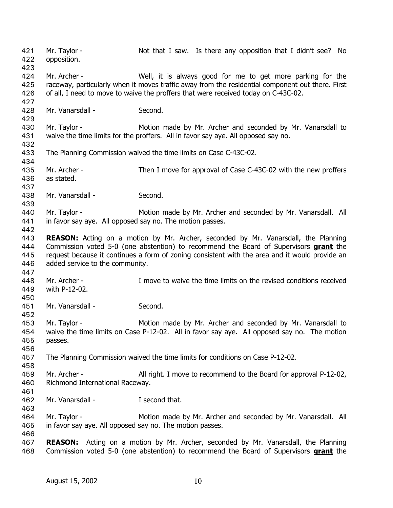Mr. Taylor - Not that I saw. Is there any opposition that I didn't see? No opposition. 421 422 423 424 425 426 427 428 429 430 431 432 433 434 435 436 437 438 439 440 441 442 443 Mr. Archer - Well, it is always good for me to get more parking for the raceway, particularly when it moves traffic away from the residential component out there. First of all, I need to move to waive the proffers that were received today on C-43C-02. Mr. Vanarsdall - Second. Mr. Taylor - The Motion made by Mr. Archer and seconded by Mr. Vanarsdall to waive the time limits for the proffers. All in favor say aye. All opposed say no. The Planning Commission waived the time limits on Case C-43C-02. Mr. Archer - Then I move for approval of Case C-43C-02 with the new proffers as stated. Mr. Vanarsdall - Second. Mr. Taylor - **Motion made by Mr. Archer and seconded by Mr. Vanarsdall.** All in favor say aye. All opposed say no. The motion passes. **REASON:** Acting on a motion by Mr. Archer, seconded by Mr. Vanarsdall, the Planning Commission voted 5-0 (one abstention) to recommend the Board of Supervisors **grant** the request because it continues a form of zoning consistent with the area and it would provide an added service to the community. 444 445 446 447 448 449 450 451 452 453 454 455 456 457 458 459 460 461 462 463 464 465 466 467 Mr. Archer - I move to waive the time limits on the revised conditions received with P-12-02. Mr. Vanarsdall - Second. Mr. Taylor - The Motion made by Mr. Archer and seconded by Mr. Vanarsdall to waive the time limits on Case P-12-02. All in favor say aye. All opposed say no. The motion passes. The Planning Commission waived the time limits for conditions on Case P-12-02. Mr. Archer - All right. I move to recommend to the Board for approval P-12-02, Richmond International Raceway. Mr. Vanarsdall - T second that. Mr. Taylor - **Motion made by Mr. Archer and seconded by Mr. Vanarsdall.** All in favor say aye. All opposed say no. The motion passes. **REASON:** Acting on a motion by Mr. Archer, seconded by Mr. Vanarsdall, the Planning 468 Commission voted 5-0 (one abstention) to recommend the Board of Supervisors **grant** the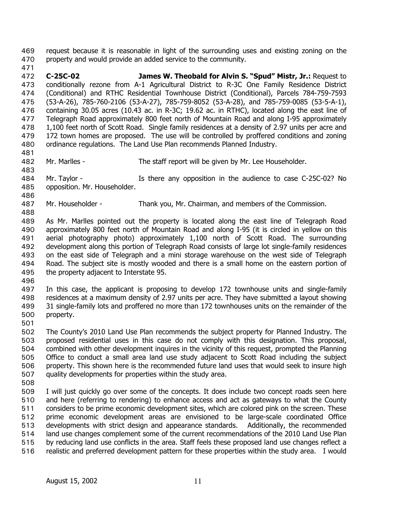request because it is reasonable in light of the surrounding uses and existing zoning on the property and would provide an added service to the community. 469 470

- 471 472 473 474 475 476 477 478 479 480 **C-25C-02 James W. Theobald for Alvin S. "Spud" Mistr, Jr.:** Request to conditionally rezone from A-1 Agricultural District to R-3C One Family Residence District (Conditional) and RTHC Residential Townhouse District (Conditional), Parcels 784-759-7593 (53-A-26), 785-760-2106 (53-A-27), 785-759-8052 (53-A-28), and 785-759-0085 (53-5-A-1), containing 30.05 acres (10.43 ac. in R-3C; 19.62 ac. in RTHC), located along the east line of Telegraph Road approximately 800 feet north of Mountain Road and along I-95 approximately 1,100 feet north of Scott Road. Single family residences at a density of 2.97 units per acre and 172 town homes are proposed. The use will be controlled by proffered conditions and zoning ordinance regulations. The Land Use Plan recommends Planned Industry.
- 481 482

483

- Mr. Marlles The staff report will be given by Mr. Lee Householder.
- 484 485 Mr. Taylor - The Is there any opposition in the audience to case C-25C-02? No opposition. Mr. Householder.
- 486

488

- 487 Mr. Householder - Thank you, Mr. Chairman, and members of the Commission.
- 489 490 491 492 493 494 495 As Mr. Marlles pointed out the property is located along the east line of Telegraph Road approximately 800 feet north of Mountain Road and along I-95 (it is circled in yellow on this aerial photography photo) approximately 1,100 north of Scott Road. The surrounding development along this portion of Telegraph Road consists of large lot single-family residences on the east side of Telegraph and a mini storage warehouse on the west side of Telegraph Road. The subject site is mostly wooded and there is a small home on the eastern portion of the property adjacent to Interstate 95.
- 496

497 498 499 500 In this case, the applicant is proposing to develop 172 townhouse units and single-family residences at a maximum density of 2.97 units per acre. They have submitted a layout showing 31 single-family lots and proffered no more than 172 townhouses units on the remainder of the property.

501

502 503 504 505 506 507 The County's 2010 Land Use Plan recommends the subject property for Planned Industry. The proposed residential uses in this case do not comply with this designation. This proposal, combined with other development inquires in the vicinity of this request, prompted the Planning Office to conduct a small area land use study adjacent to Scott Road including the subject property. This shown here is the recommended future land uses that would seek to insure high quality developments for properties within the study area.

508

509 510 511 512 513 514 515 516 I will just quickly go over some of the concepts. It does include two concept roads seen here and here (referring to rendering) to enhance access and act as gateways to what the County considers to be prime economic development sites, which are colored pink on the screen. These prime economic development areas are envisioned to be large-scale coordinated Office developments with strict design and appearance standards. Additionally, the recommended land use changes complement some of the current recommendations of the 2010 Land Use Plan by reducing land use conflicts in the area. Staff feels these proposed land use changes reflect a realistic and preferred development pattern for these properties within the study area. I would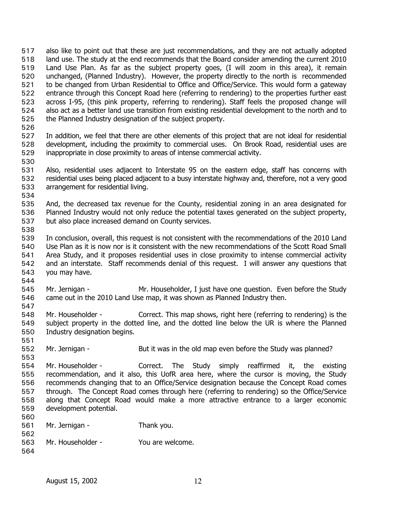also like to point out that these are just recommendations, and they are not actually adopted land use. The study at the end recommends that the Board consider amending the current 2010 Land Use Plan. As far as the subject property goes, (I will zoom in this area), it remain unchanged, (Planned Industry). However, the property directly to the north is recommended to be changed from Urban Residential to Office and Office/Service. This would form a gateway entrance through this Concept Road here (referring to rendering) to the properties further east across I-95, (this pink property, referring to rendering). Staff feels the proposed change will also act as a better land use transition from existing residential development to the north and to the Planned Industry designation of the subject property. 517 518 519 520 521 522 523 524 525

526

527 528 529 In addition, we feel that there are other elements of this project that are not ideal for residential development, including the proximity to commercial uses. On Brook Road, residential uses are inappropriate in close proximity to areas of intense commercial activity.

530

531 532 533 Also, residential uses adjacent to Interstate 95 on the eastern edge, staff has concerns with residential uses being placed adjacent to a busy interstate highway and, therefore, not a very good arrangement for residential living.

535 536 537 And, the decreased tax revenue for the County, residential zoning in an area designated for Planned Industry would not only reduce the potential taxes generated on the subject property, but also place increased demand on County services.

538

544

547

551

553

534

539 540 541 542 543 In conclusion, overall, this request is not consistent with the recommendations of the 2010 Land Use Plan as it is now nor is it consistent with the new recommendations of the Scott Road Small Area Study, and it proposes residential uses in close proximity to intense commercial activity and an interstate. Staff recommends denial of this request. I will answer any questions that you may have.

545 546 Mr. Jernigan - Mr. Householder, I just have one question. Even before the Study came out in the 2010 Land Use map, it was shown as Planned Industry then.

- 548 549 550 Mr. Householder - Correct. This map shows, right here (referring to rendering) is the subject property in the dotted line, and the dotted line below the UR is where the Planned Industry designation begins.
- 552 Mr. Jernigan - But it was in the old map even before the Study was planned?
- 554 555 556 557 558 559 560 Mr. Householder - Correct. The Study simply reaffirmed it, the existing recommendation, and it also, this UofR area here, where the cursor is moving, the Study recommends changing that to an Office/Service designation because the Concept Road comes through. The Concept Road comes through here (referring to rendering) so the Office/Service along that Concept Road would make a more attractive entrance to a larger economic development potential.

| . JU U |                   |                  |
|--------|-------------------|------------------|
| 561    | Mr. Jernigan -    | Thank you.       |
| 562    |                   |                  |
| 563    | Mr. Householder - | You are welcome. |
| 564    |                   |                  |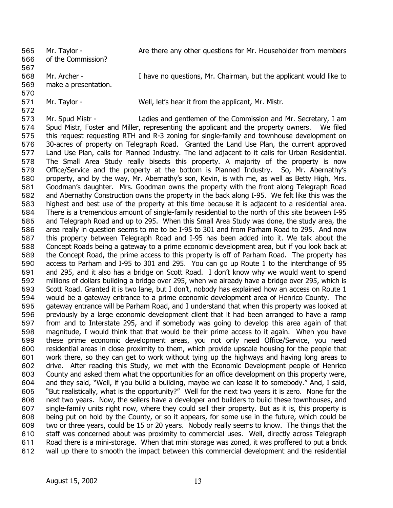Mr. Taylor - **Are there any other questions for Mr. Householder from members** of the Commission? 565 566 567 568 Mr. Archer - I have no questions, Mr. Chairman, but the applicant would like to

569 make a presentation.

- 570
- 571 572

Mr. Taylor - Well, let's hear it from the applicant, Mr. Mistr.

573 574 575 576 577 578 579 580 581 582 583 584 585 586 587 588 589 590 591 592 593 594 595 596 597 598 599 600 601 602 603 604 605 606 607 608 609 610 611 612 Mr. Spud Mistr - Ladies and gentlemen of the Commission and Mr. Secretary, I am Spud Mistr, Foster and Miller, representing the applicant and the property owners. We filed this request requesting RTH and R-3 zoning for single-family and townhouse development on 30-acres of property on Telegraph Road. Granted the Land Use Plan, the current approved Land Use Plan, calls for Planned Industry. The land adjacent to it calls for Urban Residential. The Small Area Study really bisects this property. A majority of the property is now Office/Service and the property at the bottom is Planned Industry. So, Mr. Abernathy's property, and by the way, Mr. Abernathy's son, Kevin, is with me, as well as Betty High, Mrs. Goodman's daughter. Mrs. Goodman owns the property with the front along Telegraph Road and Abernathy Construction owns the property in the back along I-95. We felt like this was the highest and best use of the property at this time because it is adjacent to a residential area. There is a tremendous amount of single-family residential to the north of this site between I-95 and Telegraph Road and up to 295. When this Small Area Study was done, the study area, the area really in question seems to me to be I-95 to 301 and from Parham Road to 295. And now this property between Telegraph Road and I-95 has been added into it. We talk about the Concept Roads being a gateway to a prime economic development area, but if you look back at the Concept Road, the prime access to this property is off of Parham Road. The property has access to Parham and I-95 to 301 and 295. You can go up Route 1 to the interchange of 95 and 295, and it also has a bridge on Scott Road. I don't know why we would want to spend millions of dollars building a bridge over 295, when we already have a bridge over 295, which is Scott Road. Granted it is two lane, but I don't, nobody has explained how an access on Route 1 would be a gateway entrance to a prime economic development area of Henrico County. The gateway entrance will be Parham Road, and I understand that when this property was looked at previously by a large economic development client that it had been arranged to have a ramp from and to Interstate 295, and if somebody was going to develop this area again of that magnitude, I would think that that would be their prime access to it again. When you have these prime economic development areas, you not only need Office/Service, you need residential areas in close proximity to them, which provide upscale housing for the people that work there, so they can get to work without tying up the highways and having long areas to drive. After reading this Study, we met with the Economic Development people of Henrico County and asked them what the opportunities for an office development on this property were, and they said, "Well, if you build a building, maybe we can lease it to somebody." And, I said, "But realistically, what is the opportunity?" Well for the next two years it is zero. None for the next two years. Now, the sellers have a developer and builders to build these townhouses, and single-family units right now, where they could sell their property. But as it is, this property is being put on hold by the County, or so it appears, for some use in the future, which could be two or three years, could be 15 or 20 years. Nobody really seems to know. The things that the staff was concerned about was proximity to commercial uses. Well, directly across Telegraph Road there is a mini-storage. When that mini storage was zoned, it was proffered to put a brick wall up there to smooth the impact between this commercial development and the residential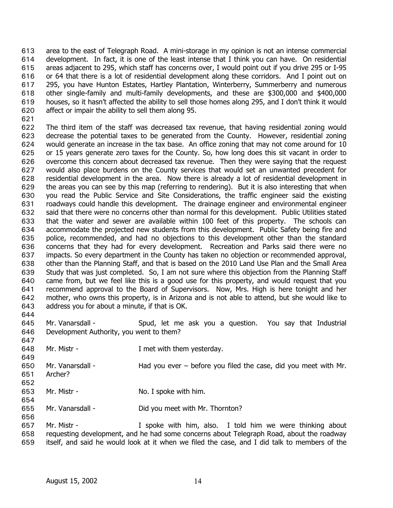area to the east of Telegraph Road. A mini-storage in my opinion is not an intense commercial development. In fact, it is one of the least intense that I think you can have. On residential areas adjacent to 295, which staff has concerns over, I would point out if you drive 295 or I-95 or 64 that there is a lot of residential development along these corridors. And I point out on 295, you have Hunton Estates, Hartley Plantation, Winterberry, Summerberry and numerous other single-family and multi-family developments, and these are \$300,000 and \$400,000 houses, so it hasn't affected the ability to sell those homes along 295, and I don't think it would affect or impair the ability to sell them along 95. 613 614 615 616 617 618 619 620

621

622 623 624 625 626 627 628 629 630 631 632 633 634 635 636 637 638 639 640 641 642 643 The third item of the staff was decreased tax revenue, that having residential zoning would decrease the potential taxes to be generated from the County. However, residential zoning would generate an increase in the tax base. An office zoning that may not come around for 10 or 15 years generate zero taxes for the County. So, how long does this sit vacant in order to overcome this concern about decreased tax revenue. Then they were saying that the request would also place burdens on the County services that would set an unwanted precedent for residential development in the area. Now there is already a lot of residential development in the areas you can see by this map (referring to rendering). But it is also interesting that when you read the Public Service and Site Considerations, the traffic engineer said the existing roadways could handle this development. The drainage engineer and environmental engineer said that there were no concerns other than normal for this development. Public Utilities stated that the water and sewer are available within 100 feet of this property. The schools can accommodate the projected new students from this development. Public Safety being fire and police, recommended, and had no objections to this development other than the standard concerns that they had for every development. Recreation and Parks said there were no impacts. So every department in the County has taken no objection or recommended approval, other than the Planning Staff, and that is based on the 2010 Land Use Plan and the Small Area Study that was just completed. So, I am not sure where this objection from the Planning Staff came from, but we feel like this is a good use for this property, and would request that you recommend approval to the Board of Supervisors. Now, Mrs. High is here tonight and her mother, who owns this property, is in Arizona and is not able to attend, but she would like to address you for about a minute, if that is OK.

644

647

649

656

645 646 Mr. Vanarsdall - Spud, let me ask you a question. You say that Industrial Development Authority, you went to them?

648 Mr. Mistr - Thet with them yesterday.

650 651 Mr. Vanarsdall - Had you ever – before you filed the case, did you meet with Mr. Archer?

- 652
- 653 654 Mr. Mistr - No. I spoke with him.
- 655 Mr. Vanarsdall - **Did you meet with Mr. Thornton?**

657 658 659 Mr. Mistr - The Muslim Composited Mr. Mistr - The Muslim I spoke with him, also. I told him we were thinking about requesting development, and he had some concerns about Telegraph Road, about the roadway itself, and said he would look at it when we filed the case, and I did talk to members of the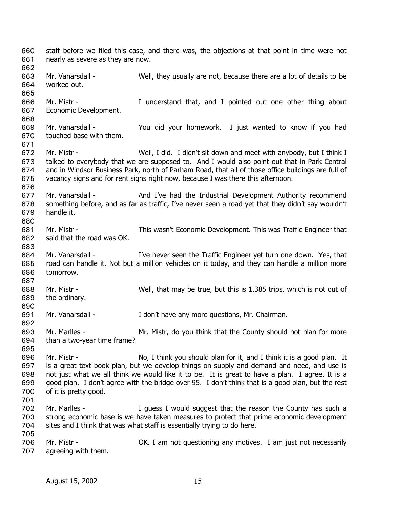staff before we filed this case, and there was, the objections at that point in time were not nearly as severe as they are now. 660 661 662 663 664 665 666 667 668 669 670 671 672 673 674 675 676 677 678 679 680 681 682 683 684 685 686 687 688 689 690 691 692 693 694 695 696 697 698 699 700 701 702 703 704 705 706 707 Mr. Vanarsdall - Well, they usually are not, because there are a lot of details to be worked out. Mr. Mistr - The Munderstand that, and I pointed out one other thing about Economic Development. Mr. Vanarsdall - You did your homework. I just wanted to know if you had touched base with them. Mr. Mistr - Well, I did. I didn't sit down and meet with anybody, but I think I talked to everybody that we are supposed to. And I would also point out that in Park Central and in Windsor Business Park, north of Parham Road, that all of those office buildings are full of vacancy signs and for rent signs right now, because I was there this afternoon. Mr. Vanarsdall - And I've had the Industrial Development Authority recommend something before, and as far as traffic, I've never seen a road yet that they didn't say wouldn't handle it. Mr. Mistr - This wasn't Economic Development. This was Traffic Engineer that said that the road was OK. Mr. Vanarsdall - I've never seen the Traffic Engineer yet turn one down. Yes, that road can handle it. Not but a million vehicles on it today, and they can handle a million more tomorrow. Mr. Mistr - Well, that may be true, but this is 1,385 trips, which is not out of the ordinary. Mr. Vanarsdall - I don't have any more questions, Mr. Chairman. Mr. Marlles - Mr. Mistr, do you think that the County should not plan for more than a two-year time frame? Mr. Mistr - No, I think you should plan for it, and I think it is a good plan. It is a great text book plan, but we develop things on supply and demand and need, and use is not just what we all think we would like it to be. It is great to have a plan. I agree. It is a good plan. I don't agree with the bridge over 95. I don't think that is a good plan, but the rest of it is pretty good. Mr. Marlles - The Multimum of I guess I would suggest that the reason the County has such a strong economic base is we have taken measures to protect that prime economic development sites and I think that was what staff is essentially trying to do here. Mr. Mistr - OK. I am not questioning any motives. I am just not necessarily agreeing with them.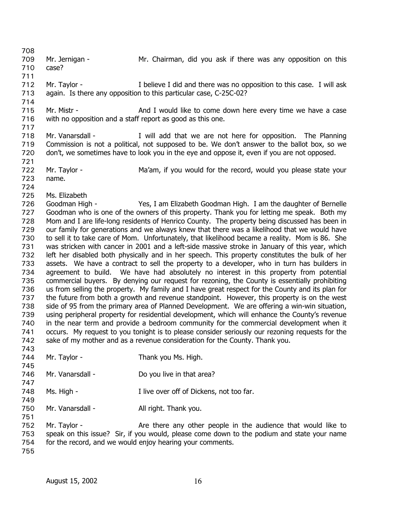709 710 711 712 713 714 715 716 717 718 719 720 721 722 723 724 725 726 727 728 729 730 731 732 733 734 735 736 737 738 739 740 741 742 743 744 745 746 747 748 749 750 751 752 753 754 755 Mr. Jernigan - Mr. Chairman, did you ask if there was any opposition on this case? Mr. Taylor - The I believe I did and there was no opposition to this case. I will ask again. Is there any opposition to this particular case, C-25C-02? Mr. Mistr - **And I** would like to come down here every time we have a case with no opposition and a staff report as good as this one. Mr. Vanarsdall - The Planning I will add that we are not here for opposition. The Planning Commission is not a political, not supposed to be. We don't answer to the ballot box, so we don't, we sometimes have to look you in the eye and oppose it, even if you are not opposed. Mr. Taylor - Ma'am, if you would for the record, would you please state your name. Ms. Elizabeth Goodman High - Yes, I am Elizabeth Goodman High. I am the daughter of Bernelle Goodman who is one of the owners of this property. Thank you for letting me speak. Both my Mom and I are life-long residents of Henrico County. The property being discussed has been in our family for generations and we always knew that there was a likelihood that we would have to sell it to take care of Mom. Unfortunately, that likelihood became a reality. Mom is 86. She was stricken with cancer in 2001 and a left-side massive stroke in January of this year, which left her disabled both physically and in her speech. This property constitutes the bulk of her assets. We have a contract to sell the property to a developer, who in turn has builders in agreement to build. We have had absolutely no interest in this property from potential commercial buyers. By denying our request for rezoning, the County is essentially prohibiting us from selling the property. My family and I have great respect for the County and its plan for the future from both a growth and revenue standpoint. However, this property is on the west side of 95 from the primary area of Planned Development. We are offering a win-win situation, using peripheral property for residential development, which will enhance the County's revenue in the near term and provide a bedroom community for the commercial development when it occurs. My request to you tonight is to please consider seriously our rezoning requests for the sake of my mother and as a revenue consideration for the County. Thank you. Mr. Taylor - Thank you Ms. High. Mr. Vanarsdall - Do you live in that area? Ms. High - Thive over off of Dickens, not too far. Mr. Vanarsdall - All right. Thank you. Mr. Taylor - The Are there any other people in the audience that would like to speak on this issue? Sir, if you would, please come down to the podium and state your name for the record, and we would enjoy hearing your comments.

708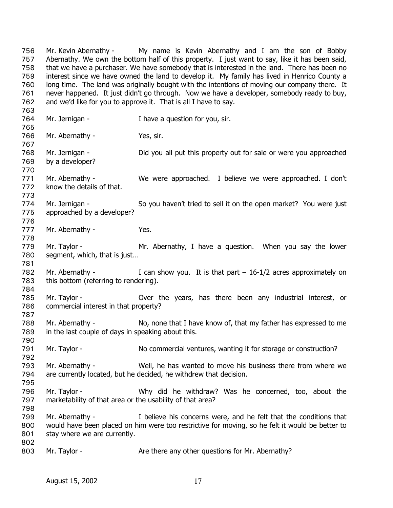Mr. Kevin Abernathy - My name is Kevin Abernathy and I am the son of Bobby Abernathy. We own the bottom half of this property. I just want to say, like it has been said, that we have a purchaser. We have somebody that is interested in the land. There has been no interest since we have owned the land to develop it. My family has lived in Henrico County a long time. The land was originally bought with the intentions of moving our company there. It never happened. It just didn't go through. Now we have a developer, somebody ready to buy, and we'd like for you to approve it. That is all I have to say. 756 757 758 759 760 761 762 763 764 765 766 767 768 769 770 771 772 773 774 775 776 777 778 779 780 781 782 783 784 785 786 787 788 789 790 791 792 793 794 795 796 797 798 799 800 801 802 803 Mr. Jernigan - Thave a question for you, sir. Mr. Abernathy - Yes, sir. Mr. Jernigan - Did you all put this property out for sale or were you approached by a developer? Mr. Abernathy - We were approached. I believe we were approached. I don't know the details of that. Mr. Jernigan - So you haven't tried to sell it on the open market? You were just approached by a developer? Mr. Abernathy - The Yes. Mr. Taylor - The Mr. Abernathy, I have a question. When you say the lower segment, which, that is just… Mr. Abernathy - I can show you. It is that part  $-16-1/2$  acres approximately on this bottom (referring to rendering). Mr. Taylor - Over the years, has there been any industrial interest, or commercial interest in that property? Mr. Abernathy - No, none that I have know of, that my father has expressed to me in the last couple of days in speaking about this. Mr. Taylor - No commercial ventures, wanting it for storage or construction? Mr. Abernathy - Well, he has wanted to move his business there from where we are currently located, but he decided, he withdrew that decision. Mr. Taylor - Why did he withdraw? Was he concerned, too, about the marketability of that area or the usability of that area? Mr. Abernathy - I believe his concerns were, and he felt that the conditions that would have been placed on him were too restrictive for moving, so he felt it would be better to stay where we are currently. Mr. Taylor - **Are there any other questions for Mr. Abernathy?**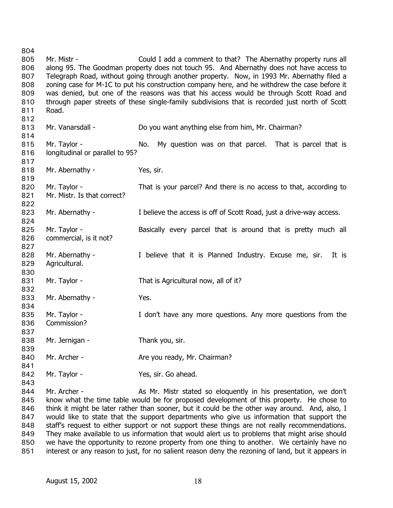804 805 806 807 808 809 810 811 812 813 814 815 816 817 818 819 820 821 822 823 824 825 826 827 828 829 830 831 832 833 834 835 836 837 838 839 840 841 842 843 844 845 846 847 Mr. Mistr - Could I add a comment to that? The Abernathy property runs all along 95. The Goodman property does not touch 95. And Abernathy does not have access to Telegraph Road, without going through another property. Now, in 1993 Mr. Abernathy filed a zoning case for M-1C to put his construction company here, and he withdrew the case before it was denied, but one of the reasons was that his access would be through Scott Road and through paper streets of these single-family subdivisions that is recorded just north of Scott Road. Mr. Vanarsdall - **Do you want anything else from him, Mr. Chairman?** Mr. Taylor - No. My question was on that parcel. That is parcel that is longitudinal or parallel to 95? Mr. Abernathy - Yes, sir. Mr. Taylor - That is your parcel? And there is no access to that, according to Mr. Mistr. Is that correct? Mr. Abernathy - I believe the access is off of Scott Road, just a drive-way access. Mr. Taylor - The Basically every parcel that is around that is pretty much all commercial, is it not? Mr. Abernathy - I believe that it is Planned Industry. Excuse me, sir. It is Agricultural. Mr. Taylor - That is Agricultural now, all of it? Mr. Abernathy - Yes. Mr. Taylor - The Music of the Maye any more questions. Any more questions from the Commission? Mr. Jernigan - Thank you, sir. Mr. Archer - Are you ready, Mr. Chairman? Mr. Taylor - Yes, sir. Go ahead. Mr. Archer - The Assam Assam Mr. Mistr stated so eloquently in his presentation, we don't know what the time table would be for proposed development of this property. He chose to think it might be later rather than sooner, but it could be the other way around. And, also, I would like to state that the support departments who give us information that support the

848 849 850 851 staff's request to either support or not support these things are not really recommendations. They make available to us information that would alert us to problems that might arise should we have the opportunity to rezone property from one thing to another. We certainly have no interest or any reason to just, for no salient reason deny the rezoning of land, but it appears in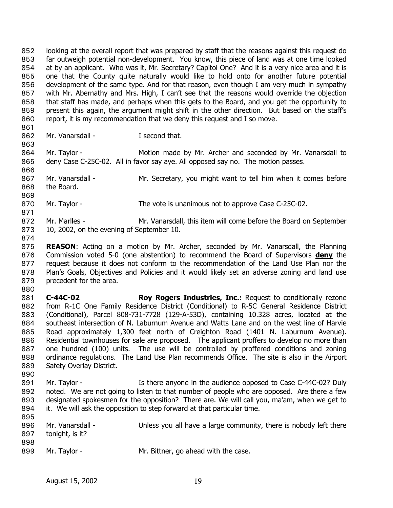looking at the overall report that was prepared by staff that the reasons against this request do far outweigh potential non-development. You know, this piece of land was at one time looked at by an applicant. Who was it, Mr. Secretary? Capitol One? And it is a very nice area and it is one that the County quite naturally would like to hold onto for another future potential development of the same type. And for that reason, even though I am very much in sympathy with Mr. Abernathy and Mrs. High, I can't see that the reasons would override the objection that staff has made, and perhaps when this gets to the Board, and you get the opportunity to present this again, the argument might shift in the other direction. But based on the staff's report, it is my recommendation that we deny this request and I so move. 852 853 854 855 856 857 858 859 860

862 Mr. Vanarsdall - The Second that.

864 865 Mr. Taylor - The Motion made by Mr. Archer and seconded by Mr. Vanarsdall to deny Case C-25C-02. All in favor say aye. All opposed say no. The motion passes.

867 868 Mr. Vanarsdall - Mr. Secretary, you might want to tell him when it comes before the Board.

870 Mr. Taylor - The vote is unanimous not to approve Case C-25C-02.

872 873 Mr. Marlles - Mr. Vanarsdall, this item will come before the Board on September 10, 2002, on the evening of September 10.

874

861

863

866

869

871

875 **REASON**: Acting on a motion by Mr. Archer, seconded by Mr. Vanarsdall, the Planning Commission voted 5-0 (one abstention) to recommend the Board of Supervisors **deny** the request because it does not conform to the recommendation of the Land Use Plan nor the Plan's Goals, Objectives and Policies and it would likely set an adverse zoning and land use precedent for the area. 876 877 878 879

880

881 882 883 884 885 886 887 888 889 **C-44C-02 Roy Rogers Industries, Inc.:** Request to conditionally rezone from R-1C One Family Residence District (Conditional) to R-5C General Residence District (Conditional), Parcel 808-731-7728 (129-A-53D), containing 10.328 acres, located at the southeast intersection of N. Laburnum Avenue and Watts Lane and on the west line of Harvie Road approximately 1,300 feet north of Creighton Road (1401 N. Laburnum Avenue). Residential townhouses for sale are proposed. The applicant proffers to develop no more than one hundred (100) units. The use will be controlled by proffered conditions and zoning ordinance regulations. The Land Use Plan recommends Office. The site is also in the Airport Safety Overlay District.

- 890
- 891 892 893 894 Mr. Taylor - The Is there anyone in the audience opposed to Case C-44C-02? Duly noted. We are not going to listen to that number of people who are opposed. Are there a few designated spokesmen for the opposition? There are. We will call you, ma'am, when we get to it. We will ask the opposition to step forward at that particular time.

| 895 |                  |                                                                   |
|-----|------------------|-------------------------------------------------------------------|
| 896 | Mr. Vanarsdall - | Unless you all have a large community, there is nobody left there |
| 897 | tonight, is it?  |                                                                   |
| 898 |                  |                                                                   |
| 899 | Mr. Taylor -     | Mr. Bittner, go ahead with the case.                              |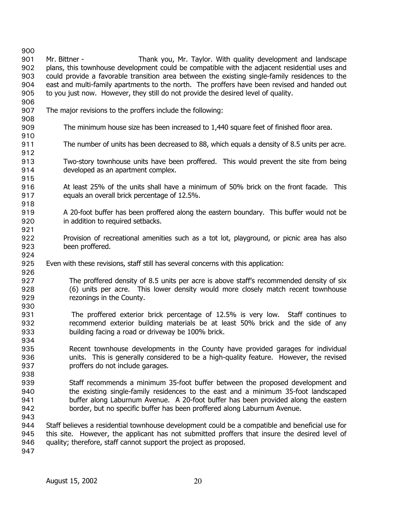900 901 902 903 904 905 906 907 908 909 910 911 912 913 914 915 916 917 918 919 920 921 922 923 924 925 926 927 928 929 930 931 932 933 934 935 936 937 938 939 940 941 942 943 944 945 946 947 Mr. Bittner - Thank you, Mr. Taylor. With quality development and landscape plans, this townhouse development could be compatible with the adjacent residential uses and could provide a favorable transition area between the existing single-family residences to the east and multi-family apartments to the north. The proffers have been revised and handed out to you just now. However, they still do not provide the desired level of quality. The major revisions to the proffers include the following: The minimum house size has been increased to 1,440 square feet of finished floor area. The number of units has been decreased to 88, which equals a density of 8.5 units per acre. Two-story townhouse units have been proffered. This would prevent the site from being developed as an apartment complex. At least 25% of the units shall have a minimum of 50% brick on the front facade. This equals an overall brick percentage of 12.5%. A 20-foot buffer has been proffered along the eastern boundary. This buffer would not be in addition to required setbacks. Provision of recreational amenities such as a tot lot, playground, or picnic area has also been proffered. Even with these revisions, staff still has several concerns with this application: The proffered density of 8.5 units per acre is above staff's recommended density of six (6) units per acre. This lower density would more closely match recent townhouse rezonings in the County. The proffered exterior brick percentage of 12.5% is very low. Staff continues to recommend exterior building materials be at least 50% brick and the side of any building facing a road or driveway be 100% brick. Recent townhouse developments in the County have provided garages for individual units. This is generally considered to be a high-quality feature. However, the revised proffers do not include garages. Staff recommends a minimum 35-foot buffer between the proposed development and the existing single-family residences to the east and a minimum 35-foot landscaped buffer along Laburnum Avenue. A 20-foot buffer has been provided along the eastern border, but no specific buffer has been proffered along Laburnum Avenue. Staff believes a residential townhouse development could be a compatible and beneficial use for this site. However, the applicant has not submitted proffers that insure the desired level of quality; therefore, staff cannot support the project as proposed.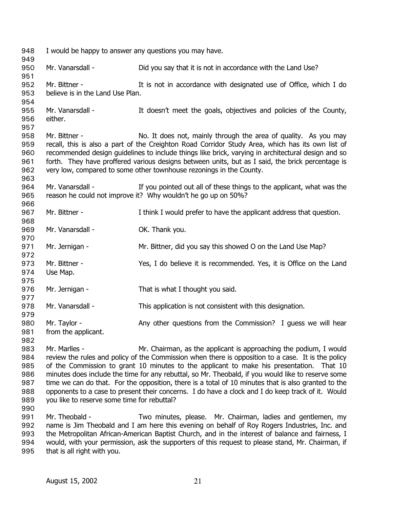| 948<br>949                             | I would be happy to answer any questions you may have. |                                                                                                                                                                                                                                                                                                                                                                                                                                                      |
|----------------------------------------|--------------------------------------------------------|------------------------------------------------------------------------------------------------------------------------------------------------------------------------------------------------------------------------------------------------------------------------------------------------------------------------------------------------------------------------------------------------------------------------------------------------------|
| 950<br>951                             | Mr. Vanarsdall -                                       | Did you say that it is not in accordance with the Land Use?                                                                                                                                                                                                                                                                                                                                                                                          |
| 952<br>953<br>954                      | Mr. Bittner -<br>believe is in the Land Use Plan.      | It is not in accordance with designated use of Office, which I do                                                                                                                                                                                                                                                                                                                                                                                    |
| 955<br>956<br>957                      | Mr. Vanarsdall -<br>either.                            | It doesn't meet the goals, objectives and policies of the County,                                                                                                                                                                                                                                                                                                                                                                                    |
| 958<br>959<br>960<br>961<br>962<br>963 | Mr. Bittner -                                          | No. It does not, mainly through the area of quality. As you may<br>recall, this is also a part of the Creighton Road Corridor Study Area, which has its own list of<br>recommended design guidelines to include things like brick, varying in architectural design and so<br>forth. They have proffered various designs between units, but as I said, the brick percentage is<br>very low, compared to some other townhouse rezonings in the County. |
| 964<br>965<br>966                      | Mr. Vanarsdall -                                       | If you pointed out all of these things to the applicant, what was the<br>reason he could not improve it? Why wouldn't he go up on 50%?                                                                                                                                                                                                                                                                                                               |
| 967<br>968                             | Mr. Bittner -                                          | I think I would prefer to have the applicant address that question.                                                                                                                                                                                                                                                                                                                                                                                  |
| 969<br>970                             | Mr. Vanarsdall -                                       | OK. Thank you.                                                                                                                                                                                                                                                                                                                                                                                                                                       |
| 971<br>972                             | Mr. Jernigan -                                         | Mr. Bittner, did you say this showed O on the Land Use Map?                                                                                                                                                                                                                                                                                                                                                                                          |
| 973<br>974<br>975                      | Mr. Bittner -<br>Use Map.                              | Yes, I do believe it is recommended. Yes, it is Office on the Land                                                                                                                                                                                                                                                                                                                                                                                   |
| 976<br>977                             | Mr. Jernigan -                                         | That is what I thought you said.                                                                                                                                                                                                                                                                                                                                                                                                                     |
| 978<br>979                             | Mr. Vanarsdall -                                       | This application is not consistent with this designation.                                                                                                                                                                                                                                                                                                                                                                                            |
| 980<br>981<br>982                      | Mr. Taylor -<br>from the applicant.                    | Any other questions from the Commission? I guess we will hear                                                                                                                                                                                                                                                                                                                                                                                        |
| 983<br>984                             | Mr. Marlles -                                          | Mr. Chairman, as the applicant is approaching the podium, I would<br>review the rules and policy of the Commission when there is opposition to a case. It is the policy                                                                                                                                                                                                                                                                              |

985 986 987 988 989 of the Commission to grant 10 minutes to the applicant to make his presentation. That 10 minutes does include the time for any rebuttal, so Mr. Theobald, if you would like to reserve some time we can do that. For the opposition, there is a total of 10 minutes that is also granted to the opponents to a case to present their concerns. I do have a clock and I do keep track of it. Would you like to reserve some time for rebuttal?

990

991 992 993 994 995 Mr. Theobald - Two minutes, please. Mr. Chairman, ladies and gentlemen, my name is Jim Theobald and I am here this evening on behalf of Roy Rogers Industries, Inc. and the Metropolitan African-American Baptist Church, and in the interest of balance and fairness, I would, with your permission, ask the supporters of this request to please stand, Mr. Chairman, if that is all right with you.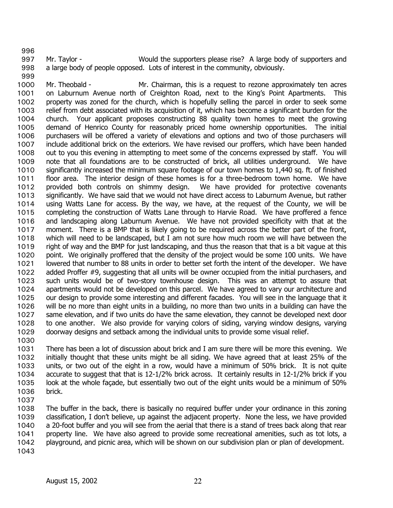997 998 Mr. Taylor - Would the supporters please rise? A large body of supporters and a large body of people opposed. Lots of interest in the community, obviously.

1000 1001 1002 1003 1004 1005 1006 1007 1008 1009 1010 1011 1012 1013 1014 1015 1016 1017 1018 1019 1020 1021 1022 1023 1024 1025 1026 1027 1028 1029 Mr. Theobald - Mr. Chairman, this is a request to rezone approximately ten acres on Laburnum Avenue north of Creighton Road, next to the King's Point Apartments. This property was zoned for the church, which is hopefully selling the parcel in order to seek some relief from debt associated with its acquisition of it, which has become a significant burden for the church. Your applicant proposes constructing 88 quality town homes to meet the growing demand of Henrico County for reasonably priced home ownership opportunities. The initial purchasers will be offered a variety of elevations and options and two of those purchasers will include additional brick on the exteriors. We have revised our proffers, which have been handed out to you this evening in attempting to meet some of the concerns expressed by staff. You will note that all foundations are to be constructed of brick, all utilities underground. We have significantly increased the minimum square footage of our town homes to 1,440 sq. ft. of finished floor area. The interior design of these homes is for a three-bedroom town home. We have provided both controls on shimmy design. We have provided for protective covenants significantly. We have said that we would not have direct access to Laburnum Avenue, but rather using Watts Lane for access. By the way, we have, at the request of the County, we will be completing the construction of Watts Lane through to Harvie Road. We have proffered a fence and landscaping along Laburnum Avenue. We have not provided specificity with that at the moment. There is a BMP that is likely going to be required across the better part of the front, which will need to be landscaped, but I am not sure how much room we will have between the right of way and the BMP for just landscaping, and thus the reason that that is a bit vague at this point. We originally proffered that the density of the project would be some 100 units. We have lowered that number to 88 units in order to better set forth the intent of the developer. We have added Proffer #9, suggesting that all units will be owner occupied from the initial purchasers, and such units would be of two-story townhouse design. This was an attempt to assure that apartments would not be developed on this parcel. We have agreed to vary our architecture and our design to provide some interesting and different facades. You will see in the language that it will be no more than eight units in a building, no more than two units in a building can have the same elevation, and if two units do have the same elevation, they cannot be developed next door to one another. We also provide for varying colors of siding, varying window designs, varying doorway designs and setback among the individual units to provide some visual relief.

- 1031 1032 1033 1034 1035 1036 1037 There has been a lot of discussion about brick and I am sure there will be more this evening. We initially thought that these units might be all siding. We have agreed that at least 25% of the units, or two out of the eight in a row, would have a minimum of 50% brick. It is not quite accurate to suggest that that is 12-1/2% brick across. It certainly results in 12-1/2% brick if you look at the whole façade, but essentially two out of the eight units would be a minimum of 50% brick.
- 1038 1039 1040 1041 1042 1043 The buffer in the back, there is basically no required buffer under your ordinance in this zoning classification, I don't believe, up against the adjacent property. None the less, we have provided a 20-foot buffer and you will see from the aerial that there is a stand of trees back along that rear property line. We have also agreed to provide some recreational amenities, such as tot lots, a playground, and picnic area, which will be shown on our subdivision plan or plan of development.

996

999

1030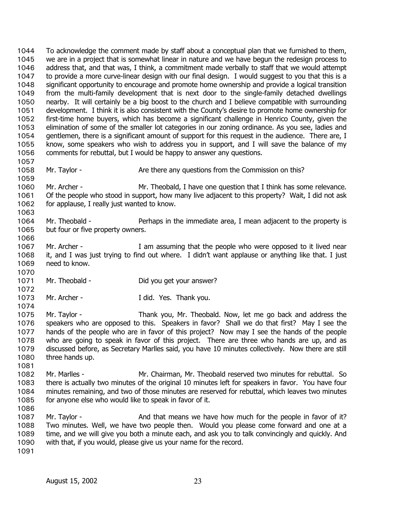To acknowledge the comment made by staff about a conceptual plan that we furnished to them, we are in a project that is somewhat linear in nature and we have begun the redesign process to address that, and that was, I think, a commitment made verbally to staff that we would attempt to provide a more curve-linear design with our final design. I would suggest to you that this is a significant opportunity to encourage and promote home ownership and provide a logical transition from the multi-family development that is next door to the single-family detached dwellings nearby. It will certainly be a big boost to the church and I believe compatible with surrounding development. I think it is also consistent with the County's desire to promote home ownership for first-time home buyers, which has become a significant challenge in Henrico County, given the elimination of some of the smaller lot categories in our zoning ordinance. As you see, ladies and gentlemen, there is a significant amount of support for this request in the audience. There are, I know, some speakers who wish to address you in support, and I will save the balance of my comments for rebuttal, but I would be happy to answer any questions. 1044 1045 1046 1047 1048 1049 1050 1051 1052 1053 1054 1055 1056 1057 1058 1059 1060 1061 1062 1063 1064 1065 1066 1067 1068 1069 1070 1071 1072 1073 1074 1075 1076 1077 1078 1079 1080 1081 1082 1083 1084 1085 1086 1087 1088 1089 1090 1091 Mr. Taylor - **Are there any questions from the Commission on this?** Mr. Archer - Mr. Theobald, I have one question that I think has some relevance. Of the people who stood in support, how many live adjacent to this property? Wait, I did not ask for applause, I really just wanted to know. Mr. Theobald - Perhaps in the immediate area, I mean adjacent to the property is but four or five property owners. Mr. Archer - The Mr assuming that the people who were opposed to it lived near it, and I was just trying to find out where. I didn't want applause or anything like that. I just need to know. Mr. Theobald - Did you get your answer? Mr. Archer - Transferred Mr. Archer - Transferred I did. Yes. Thank you. Mr. Taylor - Thank you, Mr. Theobald. Now, let me go back and address the speakers who are opposed to this. Speakers in favor? Shall we do that first? May I see the hands of the people who are in favor of this project? Now may I see the hands of the people who are going to speak in favor of this project. There are three who hands are up, and as discussed before, as Secretary Marlles said, you have 10 minutes collectively. Now there are still three hands up. Mr. Marlles - Mr. Chairman, Mr. Theobald reserved two minutes for rebuttal. So there is actually two minutes of the original 10 minutes left for speakers in favor. You have four minutes remaining, and two of those minutes are reserved for rebuttal, which leaves two minutes for anyone else who would like to speak in favor of it. Mr. Taylor - And that means we have how much for the people in favor of it? Two minutes. Well, we have two people then. Would you please come forward and one at a time, and we will give you both a minute each, and ask you to talk convincingly and quickly. And with that, if you would, please give us your name for the record.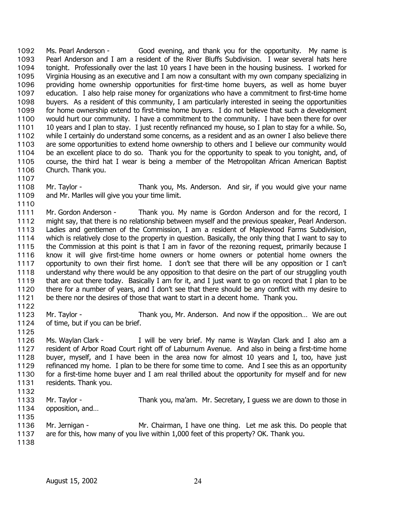Ms. Pearl Anderson - Good evening, and thank you for the opportunity. My name is Pearl Anderson and I am a resident of the River Bluffs Subdivision. I wear several hats here tonight. Professionally over the last 10 years I have been in the housing business. I worked for Virginia Housing as an executive and I am now a consultant with my own company specializing in providing home ownership opportunities for first-time home buyers, as well as home buyer education. I also help raise money for organizations who have a commitment to first-time home buyers. As a resident of this community, I am particularly interested in seeing the opportunities for home ownership extend to first-time home buyers. I do not believe that such a development would hurt our community. I have a commitment to the community. I have been there for over 10 years and I plan to stay. I just recently refinanced my house, so I plan to stay for a while. So, while I certainly do understand some concerns, as a resident and as an owner I also believe there are some opportunities to extend home ownership to others and I believe our community would be an excellent place to do so. Thank you for the opportunity to speak to you tonight, and, of course, the third hat I wear is being a member of the Metropolitan African American Baptist Church. Thank you. 1092 1093 1094 1095 1096 1097 1098 1099 1100 1101 1102 1103 1104 1105 1106

1108 1109 Mr. Taylor - Thank you, Ms. Anderson. And sir, if you would give your name and Mr. Marlles will give you your time limit.

1111 1112 1113 1114 1115 1116 1117 1118 1119 1120 1121 Mr. Gordon Anderson - Thank you. My name is Gordon Anderson and for the record, I might say, that there is no relationship between myself and the previous speaker, Pearl Anderson. Ladies and gentlemen of the Commission, I am a resident of Maplewood Farms Subdivision, which is relatively close to the property in question. Basically, the only thing that I want to say to the Commission at this point is that I am in favor of the rezoning request, primarily because I know it will give first-time home owners or home owners or potential home owners the opportunity to own their first home. I don't see that there will be any opposition or I can't understand why there would be any opposition to that desire on the part of our struggling youth that are out there today. Basically I am for it, and I just want to go on record that I plan to be there for a number of years, and I don't see that there should be any conflict with my desire to be there nor the desires of those that want to start in a decent home. Thank you.

- 1123 1124 Mr. Taylor - Thank you, Mr. Anderson. And now if the opposition... We are out of time, but if you can be brief.
- 1125

1122

1107

1110

1126 1127 1128 1129 1130 1131 1132 Ms. Waylan Clark - I will be very brief. My name is Waylan Clark and I also am a resident of Arbor Road Court right off of Laburnum Avenue. And also in being a first-time home buyer, myself, and I have been in the area now for almost 10 years and I, too, have just refinanced my home. I plan to be there for some time to come. And I see this as an opportunity for a first-time home buyer and I am real thrilled about the opportunity for myself and for new residents. Thank you.

- 1133 1134 Mr. Taylor - Thank you, ma'am. Mr. Secretary, I guess we are down to those in opposition, and…
- 1135
- 1136 1137 Mr. Jernigan - Mr. Chairman, I have one thing. Let me ask this. Do people that are for this, how many of you live within 1,000 feet of this property? OK. Thank you.
- 1138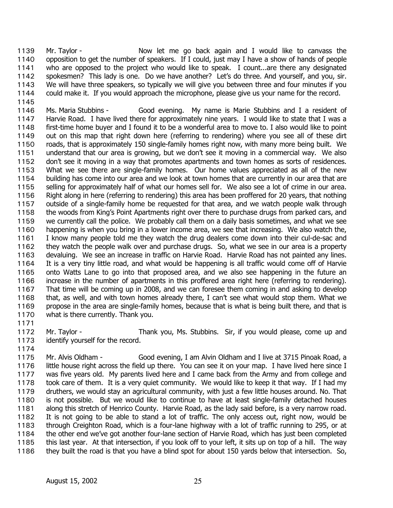Mr. Taylor - The Show let me go back again and I would like to canvass the opposition to get the number of speakers. If I could, just may I have a show of hands of people who are opposed to the project who would like to speak. I count...are there any designated spokesmen? This lady is one. Do we have another? Let's do three. And yourself, and you, sir. We will have three speakers, so typically we will give you between three and four minutes if you could make it. If you would approach the microphone, please give us your name for the record. 1139 1140 1141 1142 1143 1144

1145

1146 1147 1148 1149 1150 1151 1152 1153 1154 1155 1156 1157 1158 1159 1160 1161 1162 1163 1164 1165 1166 1167 1168 1169 1170 Ms. Maria Stubbins - Good evening. My name is Marie Stubbins and I a resident of Harvie Road. I have lived there for approximately nine years. I would like to state that I was a first-time home buyer and I found it to be a wonderful area to move to. I also would like to point out on this map that right down here (referring to rendering) where you see all of these dirt roads, that is approximately 150 single-family homes right now, with many more being built. We understand that our area is growing, but we don't see it moving in a commercial way. We also don't see it moving in a way that promotes apartments and town homes as sorts of residences. What we see there are single-family homes. Our home values appreciated as all of the new building has come into our area and we look at town homes that are currently in our area that are selling for approximately half of what our homes sell for. We also see a lot of crime in our area. Right along in here (referring to rendering) this area has been proffered for 20 years, that nothing outside of a single-family home be requested for that area, and we watch people walk through the woods from King's Point Apartments right over there to purchase drugs from parked cars, and we currently call the police. We probably call them on a daily basis sometimes, and what we see happening is when you bring in a lower income area, we see that increasing. We also watch the, I know many people told me they watch the drug dealers come down into their cul-de-sac and they watch the people walk over and purchase drugs. So, what we see in our area is a property devaluing. We see an increase in traffic on Harvie Road. Harvie Road has not painted any lines. It is a very tiny little road, and what would be happening is all traffic would come off of Harvie onto Watts Lane to go into that proposed area, and we also see happening in the future an increase in the number of apartments in this proffered area right here (referring to rendering). That time will be coming up in 2008, and we can foresee them coming in and asking to develop that, as well, and with town homes already there, I can't see what would stop them. What we propose in the area are single-family homes, because that is what is being built there, and that is what is there currently. Thank you.

1171

1174

1172 1173 Mr. Taylor - Thank you, Ms. Stubbins. Sir, if you would please, come up and identify yourself for the record.

1175 1176 1177 1178 1179 1180 1181 1182 1183 1184 1185 1186 Mr. Alvis Oldham - Good evening, I am Alvin Oldham and I live at 3715 Pinoak Road, a little house right across the field up there. You can see it on your map. I have lived here since I was five years old. My parents lived here and I came back from the Army and from college and took care of them. It is a very quiet community. We would like to keep it that way. If I had my druthers, we would stay an agricultural community, with just a few little houses around. No. That is not possible. But we would like to continue to have at least single-family detached houses along this stretch of Henrico County. Harvie Road, as the lady said before, is a very narrow road. It is not going to be able to stand a lot of traffic. The only access out, right now, would be through Creighton Road, which is a four-lane highway with a lot of traffic running to 295, or at the other end we've got another four-lane section of Harvie Road, which has just been completed this last year. At that intersection, if you look off to your left, it sits up on top of a hill. The way they built the road is that you have a blind spot for about 150 yards below that intersection. So,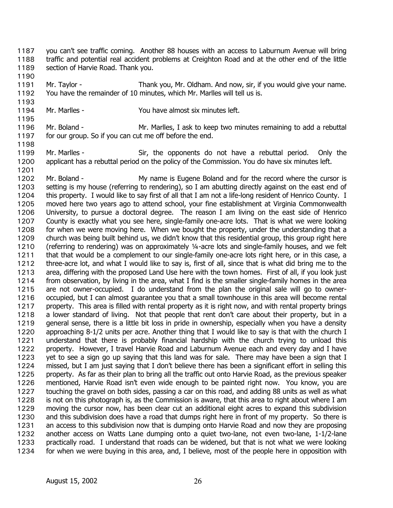you can't see traffic coming. Another 88 houses with an access to Laburnum Avenue will bring traffic and potential real accident problems at Creighton Road and at the other end of the little section of Harvie Road. Thank you. 1187 1188 1189

1190

1193

1195

1198

1201

1191 1192 Mr. Taylor - Thank you, Mr. Oldham. And now, sir, if you would give your name. You have the remainder of 10 minutes, which Mr. Marlles will tell us is.

- 1194 Mr. Marlles - You have almost six minutes left.
- 1196 1197 Mr. Boland - Mr. Marlles, I ask to keep two minutes remaining to add a rebuttal for our group. So if you can cut me off before the end.
- 1199 1200 Mr. Marlles - Sir, the opponents do not have a rebuttal period. Only the applicant has a rebuttal period on the policy of the Commission. You do have six minutes left.

1202 1203 1204 1205 1206 1207 1208 1209 1210 1211 1212 1213 1214 1215 1216 1217 1218 1219 1220 1221 1222 1223 1224 1225 1226 1227 1228 1229 1230 1231 1232 1233 1234 Mr. Boland - My name is Eugene Boland and for the record where the cursor is setting is my house (referring to rendering), so I am abutting directly against on the east end of this property. I would like to say first of all that I am not a life-long resident of Henrico County. I moved here two years ago to attend school, your fine establishment at Virginia Commonwealth University, to pursue a doctoral degree. The reason I am living on the east side of Henrico County is exactly what you see here, single-family one-acre lots. That is what we were looking for when we were moving here. When we bought the property, under the understanding that a church was being built behind us, we didn't know that this residential group, this group right here (referring to rendering) was on approximately ¼-acre lots and single-family houses, and we felt that that would be a complement to our single-family one-acre lots right here, or in this case, a three-acre lot, and what I would like to say is, first of all, since that is what did bring me to the area, differing with the proposed Land Use here with the town homes. First of all, if you look just from observation, by living in the area, what I find is the smaller single-family homes in the area are not owner-occupied. I do understand from the plan the original sale will go to owneroccupied, but I can almost guarantee you that a small townhouse in this area will become rental property. This area is filled with rental property as it is right now, and with rental property brings a lower standard of living. Not that people that rent don't care about their property, but in a general sense, there is a little bit loss in pride in ownership, especially when you have a density approaching 8-1/2 units per acre. Another thing that I would like to say is that with the church I understand that there is probably financial hardship with the church trying to unload this property. However, I travel Harvie Road and Laburnum Avenue each and every day and I have yet to see a sign go up saying that this land was for sale. There may have been a sign that I missed, but I am just saying that I don't believe there has been a significant effort in selling this property. As far as their plan to bring all the traffic out onto Harvie Road, as the previous speaker mentioned, Harvie Road isn't even wide enough to be painted right now. You know, you are touching the gravel on both sides, passing a car on this road, and adding 88 units as well as what is not on this photograph is, as the Commission is aware, that this area to right about where I am moving the cursor now, has been clear cut an additional eight acres to expand this subdivision and this subdivision does have a road that dumps right here in front of my property. So there is an access to this subdivision now that is dumping onto Harvie Road and now they are proposing another access on Watts Lane dumping onto a quiet two-lane, not even two-lane, 1-1/2-lane practically road. I understand that roads can be widened, but that is not what we were looking for when we were buying in this area, and, I believe, most of the people here in opposition with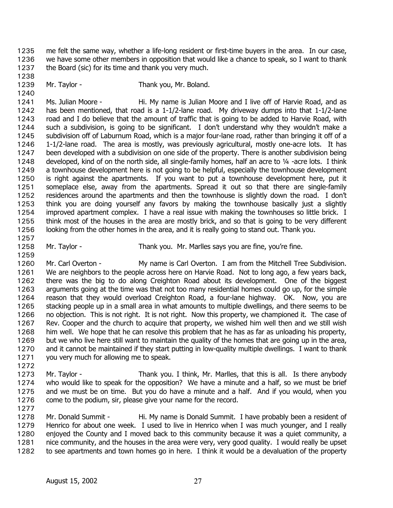me felt the same way, whether a life-long resident or first-time buyers in the area. In our case, we have some other members in opposition that would like a chance to speak, so I want to thank the Board (sic) for its time and thank you very much. 1235 1236 1237

1239 Mr. Taylor - Thank you, Mr. Boland.

1241 1242 1243 1244 1245 1246 1247 1248 1249 1250 1251 1252 1253 1254 1255 1256 Ms. Julian Moore - Hi. My name is Julian Moore and I live off of Harvie Road, and as has been mentioned, that road is a 1-1/2-lane road. My driveway dumps into that 1-1/2-lane road and I do believe that the amount of traffic that is going to be added to Harvie Road, with such a subdivision, is going to be significant. I don't understand why they wouldn't make a subdivision off of Laburnum Road, which is a major four-lane road, rather than bringing it off of a 1-1/2-lane road. The area is mostly, was previously agricultural, mostly one-acre lots. It has been developed with a subdivision on one side of the property. There is another subdivision being developed, kind of on the north side, all single-family homes, half an acre to ¼ -acre lots. I think a townhouse development here is not going to be helpful, especially the townhouse development is right against the apartments. If you want to put a townhouse development here, put it someplace else, away from the apartments. Spread it out so that there are single-family residences around the apartments and then the townhouse is slightly down the road. I don't think you are doing yourself any favors by making the townhouse basically just a slightly improved apartment complex. I have a real issue with making the townhouses so little brick. I think most of the houses in the area are mostly brick, and so that is going to be very different looking from the other homes in the area, and it is really going to stand out. Thank you.

1257

1259

1238

1240

1258

Mr. Taylor - Thank you. Mr. Marlles says you are fine, you're fine.

1260 1261 1262 1263 1264 1265 1266 1267 1268 1269 1270 1271 Mr. Carl Overton - My name is Carl Overton. I am from the Mitchell Tree Subdivision. We are neighbors to the people across here on Harvie Road. Not to long ago, a few years back, there was the big to do along Creighton Road about its development. One of the biggest arguments going at the time was that not too many residential homes could go up, for the simple reason that they would overload Creighton Road, a four-lane highway. OK. Now, you are stacking people up in a small area in what amounts to multiple dwellings, and there seems to be no objection. This is not right. It is not right. Now this property, we championed it. The case of Rev. Cooper and the church to acquire that property, we wished him well then and we still wish him well. We hope that he can resolve this problem that he has as far as unloading his property, but we who live here still want to maintain the quality of the homes that are going up in the area, and it cannot be maintained if they start putting in low-quality multiple dwellings. I want to thank you very much for allowing me to speak.

1272

1273 1274 1275 1276 Mr. Taylor - Thank you. I think, Mr. Marlles, that this is all. Is there anybody who would like to speak for the opposition? We have a minute and a half, so we must be brief and we must be on time. But you do have a minute and a half. And if you would, when you come to the podium, sir, please give your name for the record.

1277

1278 1279 1280 1281 1282 Mr. Donald Summit - Hi. My name is Donald Summit. I have probably been a resident of Henrico for about one week. I used to live in Henrico when I was much younger, and I really enjoyed the County and I moved back to this community because it was a quiet community, a nice community, and the houses in the area were very, very good quality. I would really be upset to see apartments and town homes go in here. I think it would be a devaluation of the property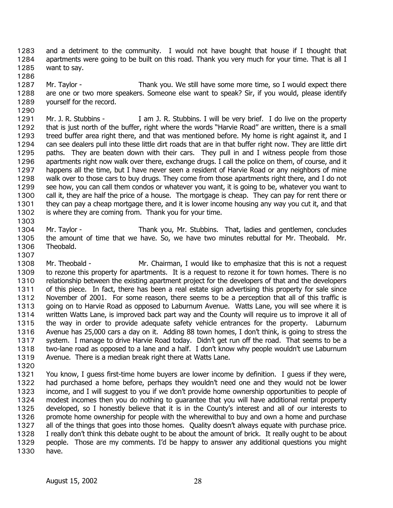and a detriment to the community. I would not have bought that house if I thought that apartments were going to be built on this road. Thank you very much for your time. That is all I want to say. 1283 1284 1285

- 1287 1288 1289 Mr. Taylor - Thank you. We still have some more time, so I would expect there are one or two more speakers. Someone else want to speak? Sir, if you would, please identify yourself for the record.
- 1290 1291 1292 1293 1294 1295 1296 1297 1298 1299 1300 1301 1302 Mr. J. R. Stubbins - I am J. R. Stubbins. I will be very brief. I do live on the property that is just north of the buffer, right where the words "Harvie Road" are written, there is a small treed buffer area right there, and that was mentioned before. My home is right against it, and I can see dealers pull into these little dirt roads that are in that buffer right now. They are little dirt paths. They are beaten down with their cars. They pull in and I witness people from those apartments right now walk over there, exchange drugs. I call the police on them, of course, and it happens all the time, but I have never seen a resident of Harvie Road or any neighbors of mine walk over to those cars to buy drugs. They come from those apartments right there, and I do not see how, you can call them condos or whatever you want, it is going to be, whatever you want to call it, they are half the price of a house. The mortgage is cheap. They can pay for rent there or they can pay a cheap mortgage there, and it is lower income housing any way you cut it, and that is where they are coming from. Thank you for your time.
- 1303 1304 1305 1306 Mr. Taylor - Thank you, Mr. Stubbins. That, ladies and gentlemen, concludes the amount of time that we have. So, we have two minutes rebuttal for Mr. Theobald. Mr. Theobald.
- 1307

1286

- 1308 1309 1310 1311 1312 1313 1314 1315 1316 1317 1318 1319 Mr. Theobald - Mr. Chairman, I would like to emphasize that this is not a request to rezone this property for apartments. It is a request to rezone it for town homes. There is no relationship between the existing apartment project for the developers of that and the developers of this piece. In fact, there has been a real estate sign advertising this property for sale since November of 2001. For some reason, there seems to be a perception that all of this traffic is going on to Harvie Road as opposed to Laburnum Avenue. Watts Lane, you will see where it is written Watts Lane, is improved back part way and the County will require us to improve it all of the way in order to provide adequate safety vehicle entrances for the property. Laburnum Avenue has 25,000 cars a day on it. Adding 88 town homes, I don't think, is going to stress the system. I manage to drive Harvie Road today. Didn't get run off the road. That seems to be a two-lane road as opposed to a lane and a half. I don't know why people wouldn't use Laburnum Avenue. There is a median break right there at Watts Lane.
- 1320
- 1321 1322 1323 1324 1325 1326 1327 1328 1329 1330 You know, I guess first-time home buyers are lower income by definition. I guess if they were, had purchased a home before, perhaps they wouldn't need one and they would not be lower income, and I will suggest to you if we don't provide home ownership opportunities to people of modest incomes then you do nothing to guarantee that you will have additional rental property developed, so I honestly believe that it is in the County's interest and all of our interests to promote home ownership for people with the wherewithal to buy and own a home and purchase all of the things that goes into those homes. Quality doesn't always equate with purchase price. I really don't think this debate ought to be about the amount of brick. It really ought to be about people. Those are my comments. I'd be happy to answer any additional questions you might have.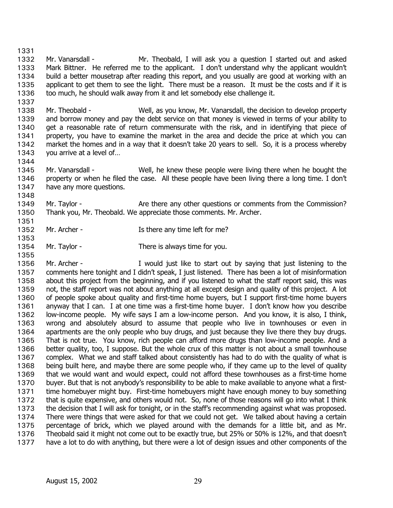1331 1332 1333 1334 1335 1336 Mr. Vanarsdall - Mr. Theobald, I will ask you a question I started out and asked Mark Bittner. He referred me to the applicant. I don't understand why the applicant wouldn't build a better mousetrap after reading this report, and you usually are good at working with an applicant to get them to see the light. There must be a reason. It must be the costs and if it is too much, he should walk away from it and let somebody else challenge it.

1338 1339 1340 1341 1342 1343 Mr. Theobald - Well, as you know, Mr. Vanarsdall, the decision to develop property and borrow money and pay the debt service on that money is viewed in terms of your ability to get a reasonable rate of return commensurate with the risk, and in identifying that piece of property, you have to examine the market in the area and decide the price at which you can market the homes and in a way that it doesn't take 20 years to sell. So, it is a process whereby you arrive at a level of…

1344

1348

1351

1353

1355

1337

1345 1346 1347 Mr. Vanarsdall - Well, he knew these people were living there when he bought the property or when he filed the case. All these people have been living there a long time. I don't have any more questions.

1349 1350 Mr. Taylor - Are there any other questions or comments from the Commission? Thank you, Mr. Theobald. We appreciate those comments. Mr. Archer.

- 1352 Mr. Archer - The Is there any time left for me?
- 1354 Mr. Taylor - There is always time for you.

1356 1357 1358 1359 1360 1361 1362 1363 1364 1365 1366 1367 1368 1369 1370 1371 1372 1373 1374 1375 1376 1377 Mr. Archer - Twould just like to start out by saying that just listening to the comments here tonight and I didn't speak, I just listened. There has been a lot of misinformation about this project from the beginning, and if you listened to what the staff report said, this was not, the staff report was not about anything at all except design and quality of this project. A lot of people spoke about quality and first-time home buyers, but I support first-time home buyers anyway that I can. I at one time was a first-time home buyer. I don't know how you describe low-income people. My wife says I am a low-income person. And you know, it is also, I think, wrong and absolutely absurd to assume that people who live in townhouses or even in apartments are the only people who buy drugs, and just because they live there they buy drugs. That is not true. You know, rich people can afford more drugs than low-income people. And a better quality, too, I suppose. But the whole crux of this matter is not about a small townhouse complex. What we and staff talked about consistently has had to do with the quality of what is being built here, and maybe there are some people who, if they came up to the level of quality that we would want and would expect, could not afford these townhouses as a first-time home buyer. But that is not anybody's responsibility to be able to make available to anyone what a firsttime homebuyer might buy. First-time homebuyers might have enough money to buy something that is quite expensive, and others would not. So, none of those reasons will go into what I think the decision that I will ask for tonight, or in the staff's recommending against what was proposed. There were things that were asked for that we could not get. We talked about having a certain percentage of brick, which we played around with the demands for a little bit, and as Mr. Theobald said it might not come out to be exactly true, but 25% or 50% is 12%, and that doesn't have a lot to do with anything, but there were a lot of design issues and other components of the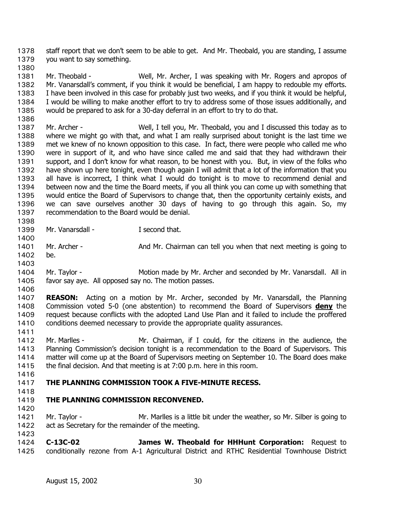staff report that we don't seem to be able to get. And Mr. Theobald, you are standing, I assume you want to say something. 1378 1379

1380

1386

1400

1403

1381 1382 1383 1384 1385 Mr. Theobald - Well, Mr. Archer, I was speaking with Mr. Rogers and apropos of Mr. Vanarsdall's comment, if you think it would be beneficial, I am happy to redouble my efforts. I have been involved in this case for probably just two weeks, and if you think it would be helpful, I would be willing to make another effort to try to address some of those issues additionally, and would be prepared to ask for a 30-day deferral in an effort to try to do that.

1387 1388 1389 1390 1391 1392 1393 1394 1395 1396 1397 Mr. Archer - Well, I tell you, Mr. Theobald, you and I discussed this today as to where we might go with that, and what I am really surprised about tonight is the last time we met we knew of no known opposition to this case. In fact, there were people who called me who were in support of it, and who have since called me and said that they had withdrawn their support, and I don't know for what reason, to be honest with you. But, in view of the folks who have shown up here tonight, even though again I will admit that a lot of the information that you all have is incorrect, I think what I would do tonight is to move to recommend denial and between now and the time the Board meets, if you all think you can come up with something that would entice the Board of Supervisors to change that, then the opportunity certainly exists, and we can save ourselves another 30 days of having to go through this again. So, my recommendation to the Board would be denial.

- 1398 1399 Mr. Vanarsdall - **I** second that.
- 1401 1402 Mr. Archer - And Mr. Chairman can tell you when that next meeting is going to be.
- 1404 1405 Mr. Taylor - **Motion made by Mr. Archer and seconded by Mr. Vanarsdall.** All in favor say aye. All opposed say no. The motion passes.
- 1406 1407 **REASON:** Acting on a motion by Mr. Archer, seconded by Mr. Vanarsdall, the Planning Commission voted 5-0 (one abstention) to recommend the Board of Supervisors **deny** the request because conflicts with the adopted Land Use Plan and it failed to include the proffered conditions deemed necessary to provide the appropriate quality assurances. 1408 1409 1410
- 1411 1412 1413 1414 1415 Mr. Marlles - Mr. Chairman, if I could, for the citizens in the audience, the Planning Commission's decision tonight is a recommendation to the Board of Supervisors. This matter will come up at the Board of Supervisors meeting on September 10. The Board does make the final decision. And that meeting is at 7:00 p.m. here in this room.
- 1416

#### 1417 **THE PLANNING COMMISSION TOOK A FIVE-MINUTE RECESS.**

1418

#### 1419 **THE PLANNING COMMISSION RECONVENED.**

1420

1421 1422 1423 Mr. Taylor - Mr. Marlles is a little bit under the weather, so Mr. Silber is going to act as Secretary for the remainder of the meeting.

1424 1425 **C-13C-02 James W. Theobald for HHHunt Corporation:** Request to conditionally rezone from A-1 Agricultural District and RTHC Residential Townhouse District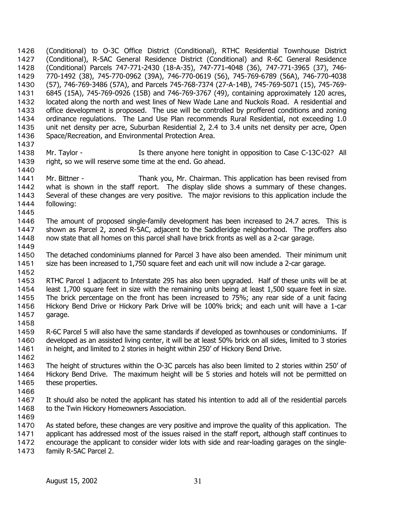(Conditional) to O-3C Office District (Conditional), RTHC Residential Townhouse District (Conditional), R-5AC General Residence District (Conditional) and R-6C General Residence (Conditional) Parcels 747-771-2430 (18-A-35), 747-771-4048 (36), 747-771-3965 (37), 746- 770-1492 (38), 745-770-0962 (39A), 746-770-0619 (56), 745-769-6789 (56A), 746-770-4038 (57), 746-769-3486 (57A), and Parcels 745-768-7374 (27-A-14B), 745-769-5071 (15), 745-769- 6845 (15A), 745-769-0926 (15B) and 746-769-3767 (49), containing approximately 120 acres, located along the north and west lines of New Wade Lane and Nuckols Road. A residential and office development is proposed. The use will be controlled by proffered conditions and zoning ordinance regulations. The Land Use Plan recommends Rural Residential, not exceeding 1.0 unit net density per acre, Suburban Residential 2, 2.4 to 3.4 units net density per acre, Open Space/Recreation, and Environmental Protection Area. 1426 1427 1428 1429 1430 1431 1432 1433 1434 1435 1436 1437

- 1438 1439 1440 Mr. Taylor - The Is there anyone here tonight in opposition to Case C-13C-02? All right, so we will reserve some time at the end. Go ahead.
- 1441 1442 1443 1444 Mr. Bittner - Thank you, Mr. Chairman. This application has been revised from what is shown in the staff report. The display slide shows a summary of these changes. Several of these changes are very positive. The major revisions to this application include the following:
- 1445
- 1446 1447 1448 The amount of proposed single-family development has been increased to 24.7 acres. This is shown as Parcel 2, zoned R-5AC, adjacent to the Saddleridge neighborhood. The proffers also now state that all homes on this parcel shall have brick fronts as well as a 2-car garage.
- 1449
- 1450 1451 The detached condominiums planned for Parcel 3 have also been amended. Their minimum unit size has been increased to 1,750 square feet and each unit will now include a 2-car garage.
- 1452
- 1453 1454 1455 1456 1457 RTHC Parcel 1 adjacent to Interstate 295 has also been upgraded. Half of these units will be at least 1,700 square feet in size with the remaining units being at least 1,500 square feet in size. The brick percentage on the front has been increased to 75%; any rear side of a unit facing Hickory Bend Drive or Hickory Park Drive will be 100% brick; and each unit will have a 1-car garage.
- 1458
- 1459 1460 1461 R-6C Parcel 5 will also have the same standards if developed as townhouses or condominiums. If developed as an assisted living center, it will be at least 50% brick on all sides, limited to 3 stories in height, and limited to 2 stories in height within 250' of Hickory Bend Drive.
- 1462
- 1463 1464 1465 The height of structures within the O-3C parcels has also been limited to 2 stories within 250' of Hickory Bend Drive. The maximum height will be 5 stories and hotels will not be permitted on these properties.
- 1466
- 1467 1468 It should also be noted the applicant has stated his intention to add all of the residential parcels to the Twin Hickory Homeowners Association.
- 1469
- 1470 1471 As stated before, these changes are very positive and improve the quality of this application. The applicant has addressed most of the issues raised in the staff report, although staff continues to
- 1472 encourage the applicant to consider wider lots with side and rear-loading garages on the single-
- 1473 family R-5AC Parcel 2.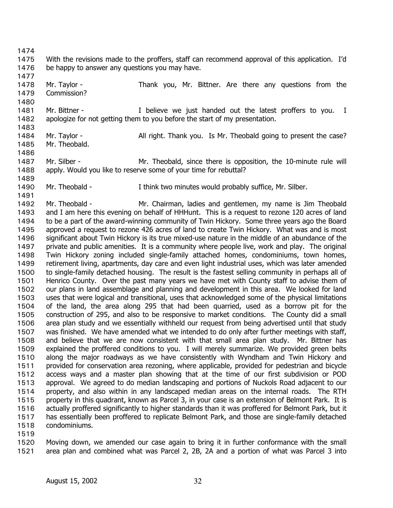1476 1477 1478 1479 1480 1481 1482 1483 1484 1485 1486 1487 1488 1489 1490 1491 1492 1493 1494 1495 1496 1497 1498 1499 1500 1501 1502 1503 1504 1505 1506 1507 1508 1509 1510 1511 1512 1513 1514 1515 1516 1517 1518 1519 1520 be happy to answer any questions you may have. Mr. Taylor - Thank you, Mr. Bittner. Are there any questions from the Commission? Mr. Bittner - Thelieve we just handed out the latest proffers to you. I apologize for not getting them to you before the start of my presentation. Mr. Taylor - All right. Thank you. Is Mr. Theobald going to present the case? Mr. Theobald. Mr. Silber - Theobald, since there is opposition, the 10-minute rule will apply. Would you like to reserve some of your time for rebuttal? Mr. Theobald - Think two minutes would probably suffice, Mr. Silber. Mr. Theobald - Mr. Chairman, ladies and gentlemen, my name is Jim Theobald and I am here this evening on behalf of HHHunt. This is a request to rezone 120 acres of land to be a part of the award-winning community of Twin Hickory. Some three years ago the Board approved a request to rezone 426 acres of land to create Twin Hickory. What was and is most significant about Twin Hickory is its true mixed-use nature in the middle of an abundance of the private and public amenities. It is a community where people live, work and play. The original Twin Hickory zoning included single-family attached homes, condominiums, town homes, retirement living, apartments, day care and even light industrial uses, which was later amended to single-family detached housing. The result is the fastest selling community in perhaps all of Henrico County. Over the past many years we have met with County staff to advise them of our plans in land assemblage and planning and development in this area. We looked for land uses that were logical and transitional, uses that acknowledged some of the physical limitations of the land, the area along 295 that had been quarried, used as a borrow pit for the construction of 295, and also to be responsive to market conditions. The County did a small area plan study and we essentially withheld our request from being advertised until that study was finished. We have amended what we intended to do only after further meetings with staff, and believe that we are now consistent with that small area plan study. Mr. Bittner has explained the proffered conditions to you. I will merely summarize. We provided green belts along the major roadways as we have consistently with Wyndham and Twin Hickory and provided for conservation area rezoning, where applicable, provided for pedestrian and bicycle access ways and a master plan showing that at the time of our first subdivision or POD approval. We agreed to do median landscaping and portions of Nuckols Road adjacent to our property, and also within in any landscaped median areas on the internal roads. The RTH property in this quadrant, known as Parcel 3, in your case is an extension of Belmont Park. It is actually proffered significantly to higher standards than it was proffered for Belmont Park, but it has essentially been proffered to replicate Belmont Park, and those are single-family detached condominiums. Moving down, we amended our case again to bring it in further conformance with the small

With the revisions made to the proffers, staff can recommend approval of this application. I'd

1521 area plan and combined what was Parcel 2, 2B, 2A and a portion of what was Parcel 3 into

1474 1475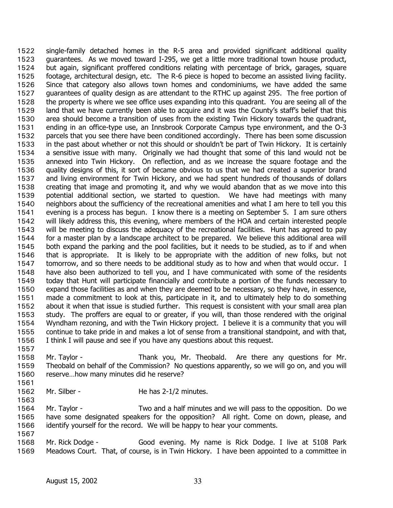single-family detached homes in the R-5 area and provided significant additional quality guarantees. As we moved toward I-295, we get a little more traditional town house product, but again, significant proffered conditions relating with percentage of brick, garages, square footage, architectural design, etc. The R-6 piece is hoped to become an assisted living facility. Since that category also allows town homes and condominiums, we have added the same guarantees of quality design as are attendant to the RTHC up against 295. The free portion of the property is where we see office uses expanding into this quadrant. You are seeing all of the land that we have currently been able to acquire and it was the County's staff's belief that this area should become a transition of uses from the existing Twin Hickory towards the quadrant, ending in an office-type use, an Innsbrook Corporate Campus type environment, and the O-3 parcels that you see there have been conditioned accordingly. There has been some discussion in the past about whether or not this should or shouldn't be part of Twin Hickory. It is certainly a sensitive issue with many. Originally we had thought that some of this land would not be annexed into Twin Hickory. On reflection, and as we increase the square footage and the quality designs of this, it sort of became obvious to us that we had created a superior brand and living environment for Twin Hickory, and we had spent hundreds of thousands of dollars creating that image and promoting it, and why we would abandon that as we move into this potential additional section, we started to question. We have had meetings with many neighbors about the sufficiency of the recreational amenities and what I am here to tell you this evening is a process has begun. I know there is a meeting on September 5. I am sure others will likely address this, this evening, where members of the HOA and certain interested people will be meeting to discuss the adequacy of the recreational facilities. Hunt has agreed to pay for a master plan by a landscape architect to be prepared. We believe this additional area will both expand the parking and the pool facilities, but it needs to be studied, as to if and when that is appropriate. It is likely to be appropriate with the addition of new folks, but not tomorrow, and so there needs to be additional study as to how and when that would occur. I have also been authorized to tell you, and I have communicated with some of the residents today that Hunt will participate financially and contribute a portion of the funds necessary to expand those facilities as and when they are deemed to be necessary, so they have, in essence, made a commitment to look at this, participate in it, and to ultimately help to do something about it when that issue is studied further. This request is consistent with your small area plan study. The proffers are equal to or greater, if you will, than those rendered with the original Wyndham rezoning, and with the Twin Hickory project. I believe it is a community that you will continue to take pride in and makes a lot of sense from a transitional standpoint, and with that, I think I will pause and see if you have any questions about this request. 1522 1523 1524 1525 1526 1527 1528 1529 1530 1531 1532 1533 1534 1535 1536 1537 1538 1539 1540 1541 1542 1543 1544 1545 1546 1547 1548 1549 1550 1551 1552 1553 1554 1555 1556

- 1558 1559 1560 Mr. Taylor - Thank you, Mr. Theobald. Are there any questions for Mr. Theobald on behalf of the Commission? No questions apparently, so we will go on, and you will reserve…how many minutes did he reserve?
- 1561 1562

1563

1557

Mr. Silber - He has 2-1/2 minutes.

1564 1565 1566 1567 Mr. Taylor - Two and a half minutes and we will pass to the opposition. Do we have some designated speakers for the opposition? All right. Come on down, please, and identify yourself for the record. We will be happy to hear your comments.

1568 1569 Mr. Rick Dodge - Good evening. My name is Rick Dodge. I live at 5108 Park Meadows Court. That, of course, is in Twin Hickory. I have been appointed to a committee in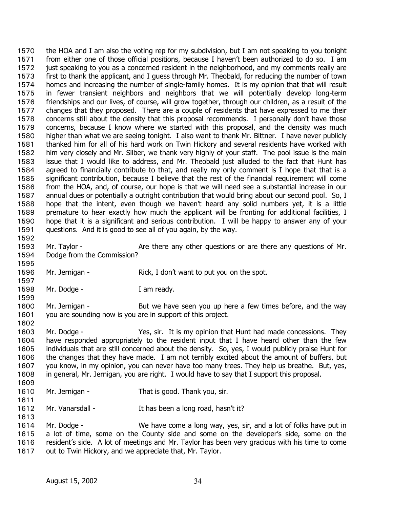the HOA and I am also the voting rep for my subdivision, but I am not speaking to you tonight from either one of those official positions, because I haven't been authorized to do so. I am just speaking to you as a concerned resident in the neighborhood, and my comments really are first to thank the applicant, and I guess through Mr. Theobald, for reducing the number of town homes and increasing the number of single-family homes. It is my opinion that that will result in fewer transient neighbors and neighbors that we will potentially develop long-term friendships and our lives, of course, will grow together, through our children, as a result of the changes that they proposed. There are a couple of residents that have expressed to me their concerns still about the density that this proposal recommends. I personally don't have those concerns, because I know where we started with this proposal, and the density was much higher than what we are seeing tonight. I also want to thank Mr. Bittner. I have never publicly thanked him for all of his hard work on Twin Hickory and several residents have worked with him very closely and Mr. Silber, we thank very highly of your staff. The pool issue is the main issue that I would like to address, and Mr. Theobald just alluded to the fact that Hunt has agreed to financially contribute to that, and really my only comment is I hope that that is a significant contribution, because I believe that the rest of the financial requirement will come from the HOA, and, of course, our hope is that we will need see a substantial increase in our annual dues or potentially a outright contribution that would bring about our second pool. So, I hope that the intent, even though we haven't heard any solid numbers yet, it is a little premature to hear exactly how much the applicant will be fronting for additional facilities, I hope that it is a significant and serious contribution. I will be happy to answer any of your questions. And it is good to see all of you again, by the way. 1570 1571 1572 1573 1574 1575 1576 1577 1578 1579 1580 1581 1582 1583 1584 1585 1586 1587 1588 1589 1590 1591 1592 1593 1594 1595 1596 1597 1598 1599 1600 1601 1602 1603 1604 1605 1606 1607 1608 1609 1610 1611 1612 1613 1614 Mr. Taylor - Are there any other questions or are there any questions of Mr. Dodge from the Commission? Mr. Jernigan - Rick, I don't want to put you on the spot. Mr. Dodge - T am ready. Mr. Jernigan - But we have seen you up here a few times before, and the way you are sounding now is you are in support of this project. Mr. Dodge - Yes, sir. It is my opinion that Hunt had made concessions. They have responded appropriately to the resident input that I have heard other than the few individuals that are still concerned about the density. So, yes, I would publicly praise Hunt for the changes that they have made. I am not terribly excited about the amount of buffers, but you know, in my opinion, you can never have too many trees. They help us breathe. But, yes, in general, Mr. Jernigan, you are right. I would have to say that I support this proposal. Mr. Jernigan - That is good. Thank you, sir. Mr. Vanarsdall - It has been a long road, hasn't it? Mr. Dodge - We have come a long way, yes, sir, and a lot of folks have put in

1615 1616 1617 a lot of time, some on the County side and some on the developer's side, some on the resident's side. A lot of meetings and Mr. Taylor has been very gracious with his time to come out to Twin Hickory, and we appreciate that, Mr. Taylor.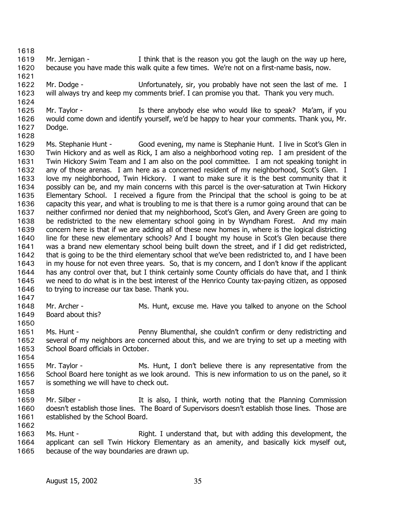1618

1621

1624

- 1619 1620 Mr. Jernigan - Think that is the reason you got the laugh on the way up here, because you have made this walk quite a few times. We're not on a first-name basis, now.
- 1622 1623 Mr. Dodge - Unfortunately, sir, you probably have not seen the last of me. I will always try and keep my comments brief. I can promise you that. Thank you very much.
- 1625 1626 1627 Mr. Taylor - The Music of the any body else who would like to speak? Ma'am, if you would come down and identify yourself, we'd be happy to hear your comments. Thank you, Mr. Dodge.
- 1628 1629 1630 1631 1632 1633 1634 1635 1636 1637 1638 1639 1640 1641 1642 1643 1644 1645 1646 Ms. Stephanie Hunt - Good evening, my name is Stephanie Hunt. I live in Scot's Glen in Twin Hickory and as well as Rick, I am also a neighborhood voting rep. I am president of the Twin Hickory Swim Team and I am also on the pool committee. I am not speaking tonight in any of those arenas. I am here as a concerned resident of my neighborhood, Scot's Glen. I love my neighborhood, Twin Hickory. I want to make sure it is the best community that it possibly can be, and my main concerns with this parcel is the over-saturation at Twin Hickory Elementary School. I received a figure from the Principal that the school is going to be at capacity this year, and what is troubling to me is that there is a rumor going around that can be neither confirmed nor denied that my neighborhood, Scot's Glen, and Avery Green are going to be redistricted to the new elementary school going in by Wyndham Forest. And my main concern here is that if we are adding all of these new homes in, where is the logical districting line for these new elementary schools? And I bought my house in Scot's Glen because there was a brand new elementary school being built down the street, and if I did get redistricted, that is going to be the third elementary school that we've been redistricted to, and I have been in my house for not even three years. So, that is my concern, and I don't know if the applicant has any control over that, but I think certainly some County officials do have that, and I think we need to do what is in the best interest of the Henrico County tax-paying citizen, as opposed to trying to increase our tax base. Thank you.
- 1647
- 1648 1649 Mr. Archer - Ms. Hunt, excuse me. Have you talked to anyone on the School Board about this?
- 1650
- 1651 1652 1653 Ms. Hunt - Penny Blumenthal, she couldn't confirm or deny redistricting and several of my neighbors are concerned about this, and we are trying to set up a meeting with School Board officials in October.
- 1654
- 1655 1656 1657 1658 Mr. Taylor - The Ms. Hunt, I don't believe there is any representative from the School Board here tonight as we look around. This is new information to us on the panel, so it is something we will have to check out.
- 1659 1660 1661 Mr. Silber - The It is also, I think, worth noting that the Planning Commission doesn't establish those lines. The Board of Supervisors doesn't establish those lines. Those are established by the School Board.
- 1662 1663
	- 1664 1665 Ms. Hunt - Right. I understand that, but with adding this development, the applicant can sell Twin Hickory Elementary as an amenity, and basically kick myself out, because of the way boundaries are drawn up.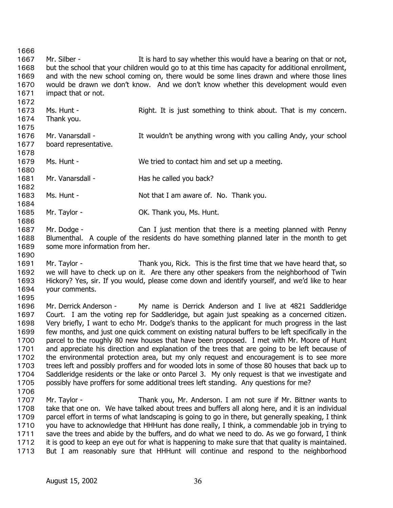1666 1667 1668 1669 1670 1671 1672 1673 1674 1675 1676 1677 1678 1679 1680 1681 1682 1683 1684 1685 1686 1687 1688 1689 1690 1691 1692 1693 1694 1695 1696 1697 1698 1699 1700 1701 1702 1703 1704 1705 1706 1707 1708 1709 1710 1711 1712 1713 Mr. Silber - The Super state of the say whether this would have a bearing on that or not, but the school that your children would go to at this time has capacity for additional enrollment, and with the new school coming on, there would be some lines drawn and where those lines would be drawn we don't know. And we don't know whether this development would even impact that or not. Ms. Hunt - That is sust something to think about. That is my concern. Thank you. Mr. Vanarsdall - The Muldn't be anything wrong with you calling Andy, your school board representative. Ms. Hunt - We tried to contact him and set up a meeting. Mr. Vanarsdall - Has he called you back? Ms. Hunt - Not that I am aware of. No. Thank you. Mr. Taylor - **OK. Thank you, Ms. Hunt.** Mr. Dodge - Can I just mention that there is a meeting planned with Penny Blumenthal. A couple of the residents do have something planned later in the month to get some more information from her. Mr. Taylor - Thank you, Rick. This is the first time that we have heard that, so we will have to check up on it. Are there any other speakers from the neighborhood of Twin Hickory? Yes, sir. If you would, please come down and identify yourself, and we'd like to hear your comments. Mr. Derrick Anderson - My name is Derrick Anderson and I live at 4821 Saddleridge Court. I am the voting rep for Saddleridge, but again just speaking as a concerned citizen. Very briefly, I want to echo Mr. Dodge's thanks to the applicant for much progress in the last few months, and just one quick comment on existing natural buffers to be left specifically in the parcel to the roughly 80 new houses that have been proposed. I met with Mr. Moore of Hunt and appreciate his direction and explanation of the trees that are going to be left because of the environmental protection area, but my only request and encouragement is to see more trees left and possibly proffers and for wooded lots in some of those 80 houses that back up to Saddleridge residents or the lake or onto Parcel 3. My only request is that we investigate and possibly have proffers for some additional trees left standing. Any questions for me? Mr. Taylor - Thank you, Mr. Anderson. I am not sure if Mr. Bittner wants to take that one on. We have talked about trees and buffers all along here, and it is an individual parcel effort in terms of what landscaping is going to go in there, but generally speaking, I think you have to acknowledge that HHHunt has done really, I think, a commendable job in trying to save the trees and abide by the buffers, and do what we need to do. As we go forward, I think it is good to keep an eye out for what is happening to make sure that that quality is maintained. But I am reasonably sure that HHHunt will continue and respond to the neighborhood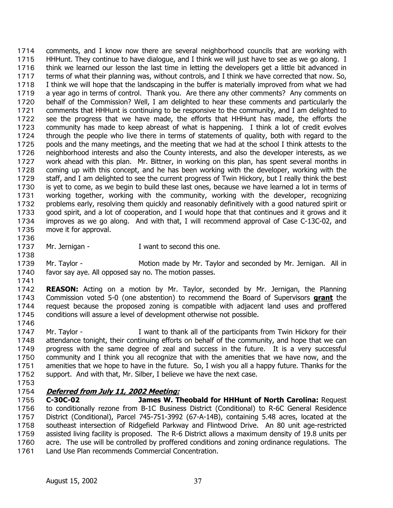comments, and I know now there are several neighborhood councils that are working with HHHunt. They continue to have dialogue, and I think we will just have to see as we go along. I think we learned our lesson the last time in letting the developers get a little bit advanced in terms of what their planning was, without controls, and I think we have corrected that now. So, I think we will hope that the landscaping in the buffer is materially improved from what we had a year ago in terms of control. Thank you. Are there any other comments? Any comments on behalf of the Commission? Well, I am delighted to hear these comments and particularly the comments that HHHunt is continuing to be responsive to the community, and I am delighted to see the progress that we have made, the efforts that HHHunt has made, the efforts the community has made to keep abreast of what is happening. I think a lot of credit evolves through the people who live there in terms of statements of quality, both with regard to the pools and the many meetings, and the meeting that we had at the school I think attests to the neighborhood interests and also the County interests, and also the developer interests, as we work ahead with this plan. Mr. Bittner, in working on this plan, has spent several months in coming up with this concept, and he has been working with the developer, working with the staff, and I am delighted to see the current progress of Twin Hickory, but I really think the best is yet to come, as we begin to build these last ones, because we have learned a lot in terms of working together, working with the community, working with the developer, recognizing problems early, resolving them quickly and reasonably definitively with a good natured spirit or good spirit, and a lot of cooperation, and I would hope that that continues and it grows and it improves as we go along. And with that, I will recommend approval of Case C-13C-02, and move it for approval. 1714 1715 1716 1717 1718 1719 1720 1721 1722 1723 1724 1725 1726 1727 1728 1729 1730 1731 1732 1733 1734 1735

1736

1738

- 1737 Mr. Jernigan - Twant to second this one.
- 1739 1740 Mr. Taylor - Motion made by Mr. Taylor and seconded by Mr. Jernigan. All in favor say aye. All opposed say no. The motion passes.
- 1741

1742 **REASON:** Acting on a motion by Mr. Taylor, seconded by Mr. Jernigan, the Planning Commission voted 5-0 (one abstention) to recommend the Board of Supervisors **grant** the request because the proposed zoning is compatible with adjacent land uses and proffered conditions will assure a level of development otherwise not possible. 1743 1744 1745

1746

1747 1748 1749 1750 1751 1752 Mr. Taylor - The I want to thank all of the participants from Twin Hickory for their attendance tonight, their continuing efforts on behalf of the community, and hope that we can progress with the same degree of zeal and success in the future. It is a very successful community and I think you all recognize that with the amenities that we have now, and the amenities that we hope to have in the future. So, I wish you all a happy future. Thanks for the support. And with that, Mr. Silber, I believe we have the next case.

1753

## 1754 **Deferred from July 11, 2002 Meeting:**

1755 1756 1757 1758 1759 1760 1761 **C-30C-02 James W. Theobald for HHHunt of North Carolina:** Request to conditionally rezone from B-1C Business District (Conditional) to R-6C General Residence District (Conditional), Parcel 745-751-3992 (67-A-14B), containing 5.48 acres, located at the southeast intersection of Ridgefield Parkway and Flintwood Drive. An 80 unit age-restricted assisted living facility is proposed. The R-6 District allows a maximum density of 19.8 units per acre. The use will be controlled by proffered conditions and zoning ordinance regulations. The Land Use Plan recommends Commercial Concentration.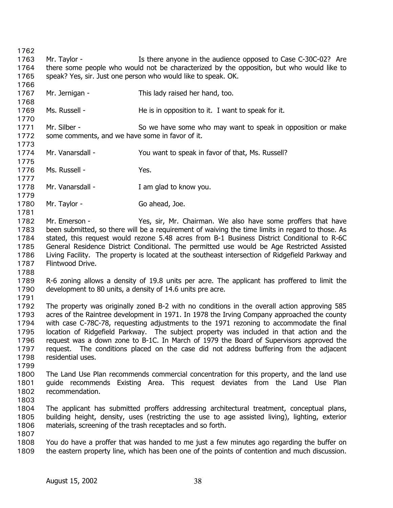1762 1763 1764 1765 1766 1767 1768 1769 1770 1771 1772 1773 1774 1775 1776 1777 1778 1779 1780 1781 1782 1783 1784 1785 1786 1787 1788 1789 1790 1791 1792 1793 1794 1795 1796 1797 1798 1799 1800 1801 1802 1803 1804 1805 1806 1807 1808 1809 Mr. Taylor - The Is there anyone in the audience opposed to Case C-30C-02? Are there some people who would not be characterized by the opposition, but who would like to speak? Yes, sir. Just one person who would like to speak. OK. Mr. Jernigan - This lady raised her hand, too. Ms. Russell - The is in opposition to it. I want to speak for it. Mr. Silber - So we have some who may want to speak in opposition or make some comments, and we have some in favor of it. Mr. Vanarsdall - You want to speak in favor of that, Ms. Russell? Ms. Russell - Yes. Mr. Vanarsdall - Tam glad to know you. Mr. Taylor - Go ahead, Joe. Mr. Emerson - Yes, sir, Mr. Chairman. We also have some proffers that have been submitted, so there will be a requirement of waiving the time limits in regard to those. As stated, this request would rezone 5.48 acres from B-1 Business District Conditional to R-6C General Residence District Conditional. The permitted use would be Age Restricted Assisted Living Facility. The property is located at the southeast intersection of Ridgefield Parkway and Flintwood Drive. R-6 zoning allows a density of 19.8 units per acre. The applicant has proffered to limit the development to 80 units, a density of 14.6 units pre acre. The property was originally zoned B-2 with no conditions in the overall action approving 585 acres of the Raintree development in 1971. In 1978 the Irving Company approached the county with case C-78C-78, requesting adjustments to the 1971 rezoning to accommodate the final location of Ridgefield Parkway. The subject property was included in that action and the request was a down zone to B-1C. In March of 1979 the Board of Supervisors approved the request. The conditions placed on the case did not address buffering from the adjacent residential uses. The Land Use Plan recommends commercial concentration for this property, and the land use guide recommends Existing Area. This request deviates from the Land Use Plan recommendation. The applicant has submitted proffers addressing architectural treatment, conceptual plans, building height, density, uses (restricting the use to age assisted living), lighting, exterior materials, screening of the trash receptacles and so forth. You do have a proffer that was handed to me just a few minutes ago regarding the buffer on the eastern property line, which has been one of the points of contention and much discussion.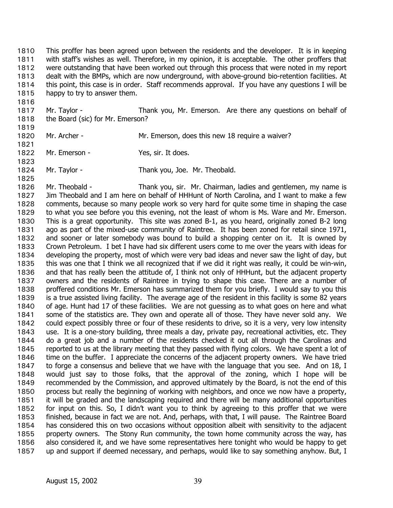This proffer has been agreed upon between the residents and the developer. It is in keeping with staff's wishes as well. Therefore, in my opinion, it is acceptable. The other proffers that were outstanding that have been worked out through this process that were noted in my report dealt with the BMPs, which are now underground, with above-ground bio-retention facilities. At this point, this case is in order. Staff recommends approval. If you have any questions I will be happy to try to answer them. 1810 1811 1812 1813 1814 1815

- 1817 1818 Mr. Taylor - Thank you, Mr. Emerson. Are there any questions on behalf of the Board (sic) for Mr. Emerson?
- 1819 1820

1821

1823

1825

1816

- Mr. Archer Mr. Emerson, does this new 18 require a waiver?
- 1822 Mr. Emerson - Yes, sir. It does.
- 1824 Mr. Taylor - Thank you, Joe. Mr. Theobald.

1826 1827 1828 1829 1830 1831 1832 1833 1834 1835 1836 1837 1838 1839 1840 1841 1842 1843 1844 1845 1846 1847 1848 1849 1850 1851 1852 1853 1854 1855 1856 1857 Mr. Theobald - Thank you, sir. Mr. Chairman, ladies and gentlemen, my name is Jim Theobald and I am here on behalf of HHHunt of North Carolina, and I want to make a few comments, because so many people work so very hard for quite some time in shaping the case to what you see before you this evening, not the least of whom is Ms. Ware and Mr. Emerson. This is a great opportunity. This site was zoned B-1, as you heard, originally zoned B-2 long ago as part of the mixed-use community of Raintree. It has been zoned for retail since 1971, and sooner or later somebody was bound to build a shopping center on it. It is owned by Crown Petroleum. I bet I have had six different users come to me over the years with ideas for developing the property, most of which were very bad ideas and never saw the light of day, but this was one that I think we all recognized that if we did it right was really, it could be win-win, and that has really been the attitude of, I think not only of HHHunt, but the adjacent property owners and the residents of Raintree in trying to shape this case. There are a number of proffered conditions Mr. Emerson has summarized them for you briefly. I would say to you this is a true assisted living facility. The average age of the resident in this facility is some 82 years of age. Hunt had 17 of these facilities. We are not guessing as to what goes on here and what some of the statistics are. They own and operate all of those. They have never sold any. We could expect possibly three or four of these residents to drive, so it is a very, very low intensity use. It is a one-story building, three meals a day, private pay, recreational activities, etc. They do a great job and a number of the residents checked it out all through the Carolinas and reported to us at the library meeting that they passed with flying colors. We have spent a lot of time on the buffer. I appreciate the concerns of the adjacent property owners. We have tried to forge a consensus and believe that we have with the language that you see. And on 18, I would just say to those folks, that the approval of the zoning, which I hope will be recommended by the Commission, and approved ultimately by the Board, is not the end of this process but really the beginning of working with neighbors, and once we now have a property, it will be graded and the landscaping required and there will be many additional opportunities for input on this. So, I didn't want you to think by agreeing to this proffer that we were finished, because in fact we are not. And, perhaps, with that, I will pause. The Raintree Board has considered this on two occasions without opposition albeit with sensitivity to the adjacent property owners. The Stony Run community, the town home community across the way, has also considered it, and we have some representatives here tonight who would be happy to get up and support if deemed necessary, and perhaps, would like to say something anyhow. But, I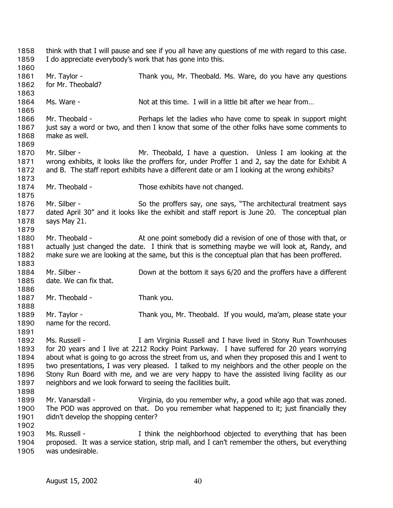think with that I will pause and see if you all have any questions of me with regard to this case. I do appreciate everybody's work that has gone into this. 1858 1859 1860 1861 1862 1863 1864 1865 1866 1867 1868 1869 1870 1871 1872 1873 1874 1875 1876 1877 1878 1879 1880 1881 1882 1883 1884 1885 1886 1887 1888 1889 1890 1891 1892 1893 1894 1895 1896 1897 1898 1899 1900 1901 1902 1903 1904 1905 Mr. Taylor - Thank you, Mr. Theobald. Ms. Ware, do you have any questions for Mr. Theobald? Ms. Ware - Not at this time. I will in a little bit after we hear from… Mr. Theobald - Perhaps let the ladies who have come to speak in support might just say a word or two, and then I know that some of the other folks have some comments to make as well. Mr. Silber - Mr. Theobald, I have a question. Unless I am looking at the wrong exhibits, it looks like the proffers for, under Proffer 1 and 2, say the date for Exhibit A and B. The staff report exhibits have a different date or am I looking at the wrong exhibits? Mr. Theobald - Those exhibits have not changed. Mr. Silber - So the proffers say, one says, "The architectural treatment says dated April 30" and it looks like the exhibit and staff report is June 20. The conceptual plan says May 21. Mr. Theobald - At one point somebody did a revision of one of those with that, or actually just changed the date. I think that is something maybe we will look at, Randy, and make sure we are looking at the same, but this is the conceptual plan that has been proffered. Mr. Silber - Down at the bottom it says 6/20 and the proffers have a different date. We can fix that. Mr. Theobald - Thank you. Mr. Taylor - Thank you, Mr. Theobald. If you would, ma'am, please state your name for the record. Ms. Russell - I am Virginia Russell and I have lived in Stony Run Townhouses for 20 years and I live at 2212 Rocky Point Parkway. I have suffered for 20 years worrying about what is going to go across the street from us, and when they proposed this and I went to two presentations, I was very pleased. I talked to my neighbors and the other people on the Stony Run Board with me, and we are very happy to have the assisted living facility as our neighbors and we look forward to seeing the facilities built. Mr. Vanarsdall - Virginia, do you remember why, a good while ago that was zoned. The POD was approved on that. Do you remember what happened to it; just financially they didn't develop the shopping center? Ms. Russell - Think the neighborhood objected to everything that has been proposed. It was a service station, strip mall, and I can't remember the others, but everything was undesirable.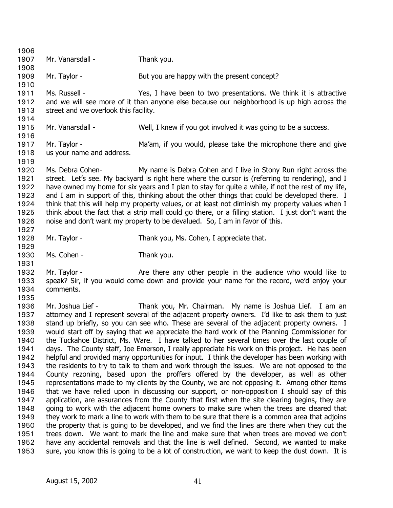| 1906         |                                                                                                    |                                                                                                                                                                                    |  |
|--------------|----------------------------------------------------------------------------------------------------|------------------------------------------------------------------------------------------------------------------------------------------------------------------------------------|--|
| 1907         | Mr. Vanarsdall -                                                                                   | Thank you.                                                                                                                                                                         |  |
| 1908         |                                                                                                    |                                                                                                                                                                                    |  |
| 1909         | Mr. Taylor -                                                                                       | But you are happy with the present concept?                                                                                                                                        |  |
| 1910         | Ms. Russell -                                                                                      |                                                                                                                                                                                    |  |
| 1911<br>1912 |                                                                                                    | Yes, I have been to two presentations. We think it is attractive<br>and we will see more of it than anyone else because our neighborhood is up high across the                     |  |
| 1913         | street and we overlook this facility.                                                              |                                                                                                                                                                                    |  |
| 1914         |                                                                                                    |                                                                                                                                                                                    |  |
| 1915         | Mr. Vanarsdall -                                                                                   | Well, I knew if you got involved it was going to be a success.                                                                                                                     |  |
| 1916         |                                                                                                    |                                                                                                                                                                                    |  |
| 1917         | Mr. Taylor -                                                                                       | Ma'am, if you would, please take the microphone there and give                                                                                                                     |  |
| 1918         | us your name and address.                                                                          |                                                                                                                                                                                    |  |
| 1919         |                                                                                                    |                                                                                                                                                                                    |  |
| 1920         | Ms. Debra Cohen-                                                                                   | My name is Debra Cohen and I live in Stony Run right across the                                                                                                                    |  |
| 1921         |                                                                                                    | street. Let's see. My backyard is right here where the cursor is (referring to rendering), and I                                                                                   |  |
| 1922         |                                                                                                    | have owned my home for six years and I plan to stay for quite a while, if not the rest of my life,                                                                                 |  |
| 1923         |                                                                                                    | and I am in support of this, thinking about the other things that could be developed there. I                                                                                      |  |
| 1924         | think that this will help my property values, or at least not diminish my property values when I   |                                                                                                                                                                                    |  |
| 1925         | think about the fact that a strip mall could go there, or a filling station. I just don't want the |                                                                                                                                                                                    |  |
| 1926         |                                                                                                    | noise and don't want my property to be devalued. So, I am in favor of this.                                                                                                        |  |
| 1927         |                                                                                                    |                                                                                                                                                                                    |  |
| 1928         | Mr. Taylor -                                                                                       | Thank you, Ms. Cohen, I appreciate that.                                                                                                                                           |  |
| 1929         |                                                                                                    |                                                                                                                                                                                    |  |
| 1930         | Ms. Cohen -                                                                                        | Thank you.                                                                                                                                                                         |  |
| 1931         |                                                                                                    |                                                                                                                                                                                    |  |
| 1932<br>1933 | Mr. Taylor -                                                                                       | Are there any other people in the audience who would like to<br>speak? Sir, if you would come down and provide your name for the record, we'd enjoy your                           |  |
| 1934         | comments.                                                                                          |                                                                                                                                                                                    |  |
| 1935         |                                                                                                    |                                                                                                                                                                                    |  |
| 1936         | Mr. Joshua Lief -                                                                                  | Thank you, Mr. Chairman. My name is Joshua Lief. I am an                                                                                                                           |  |
| 1937         |                                                                                                    | attorney and I represent several of the adjacent property owners. I'd like to ask them to just                                                                                     |  |
| 1938         |                                                                                                    | stand up briefly, so you can see who. These are several of the adjacent property owners. I                                                                                         |  |
| 1939         |                                                                                                    | would start off by saying that we appreciate the hard work of the Planning Commissioner for                                                                                        |  |
| 1940         | the Tuckahoe District, Ms. Ware. I have talked to her several times over the last couple of        |                                                                                                                                                                                    |  |
| 1941         | days. The County staff, Joe Emerson, I really appreciate his work on this project. He has been     |                                                                                                                                                                                    |  |
| 1942         | helpful and provided many opportunities for input. I think the developer has been working with     |                                                                                                                                                                                    |  |
| 1943         |                                                                                                    | the residents to try to talk to them and work through the issues. We are not opposed to the                                                                                        |  |
| 1944         |                                                                                                    | County rezoning, based upon the proffers offered by the developer, as well as other                                                                                                |  |
| 1945         |                                                                                                    | representations made to my clients by the County, we are not opposing it. Among other items                                                                                        |  |
| 1946         |                                                                                                    | that we have relied upon in discussing our support, or non-opposition I should say of this                                                                                         |  |
| 1947         |                                                                                                    | application, are assurances from the County that first when the site clearing begins, they are                                                                                     |  |
| 1948         | going to work with the adjacent home owners to make sure when the trees are cleared that           |                                                                                                                                                                                    |  |
| 1949         | they work to mark a line to work with them to be sure that there is a common area that adjoins     |                                                                                                                                                                                    |  |
| 1950         |                                                                                                    | the property that is going to be developed, and we find the lines are there when they cut the                                                                                      |  |
| 1951<br>1952 |                                                                                                    | trees down. We want to mark the line and make sure that when trees are moved we don't<br>have any accidental removals and that the line is well defined. Second, we wanted to make |  |
| 1953         |                                                                                                    | sure, you know this is going to be a lot of construction, we want to keep the dust down. It is                                                                                     |  |
|              |                                                                                                    |                                                                                                                                                                                    |  |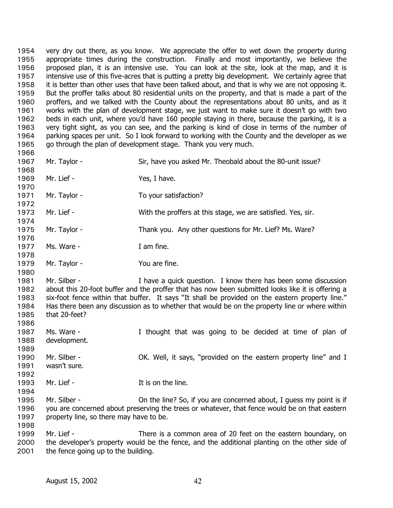very dry out there, as you know. We appreciate the offer to wet down the property during appropriate times during the construction. Finally and most importantly, we believe the proposed plan, it is an intensive use. You can look at the site, look at the map, and it is intensive use of this five-acres that is putting a pretty big development. We certainly agree that it is better than other uses that have been talked about, and that is why we are not opposing it. But the proffer talks about 80 residential units on the property, and that is made a part of the proffers, and we talked with the County about the representations about 80 units, and as it works with the plan of development stage, we just want to make sure it doesn't go with two beds in each unit, where you'd have 160 people staying in there, because the parking, it is a very tight sight, as you can see, and the parking is kind of close in terms of the number of parking spaces per unit. So I look forward to working with the County and the developer as we go through the plan of development stage. Thank you very much. 1954 1955 1956 1957 1958 1959 1960 1961 1962 1963 1964 1965 1966 1967 1968 1969 1970 1971 1972 1973 1974 1975 1976 1977 1978 1979 1980 1981 1982 1983 1984 1985 1986 1987 1988 1989 1990 1991 1992 1993 1994 1995 1996 1997 1998 1999 2000 Mr. Taylor - Sir, have you asked Mr. Theobald about the 80-unit issue? Mr. Lief - Yes, I have. Mr. Taylor - To your satisfaction? Mr. Lief - **With the proffers at this stage, we are satisfied. Yes, sir.** Mr. Taylor - Thank you. Any other questions for Mr. Lief? Ms. Ware? Ms. Ware - T am fine. Mr. Taylor - You are fine. Mr. Silber - Thave a quick question. I know there has been some discussion about this 20-foot buffer and the proffer that has now been submitted looks like it is offering a six-foot fence within that buffer. It says "It shall be provided on the eastern property line." Has there been any discussion as to whether that would be on the property line or where within that 20-feet? Ms. Ware - The Mught that was going to be decided at time of plan of development. Mr. Silber - **OK.** Well, it says, "provided on the eastern property line" and I wasn't sure. Mr. Lief - The Inc. It is on the line. Mr. Silber - On the line? So, if you are concerned about, I guess my point is if you are concerned about preserving the trees or whatever, that fence would be on that eastern property line, so there may have to be. Mr. Lief - There is a common area of 20 feet on the eastern boundary, on the developer's property would be the fence, and the additional planting on the other side of

2001 the fence going up to the building.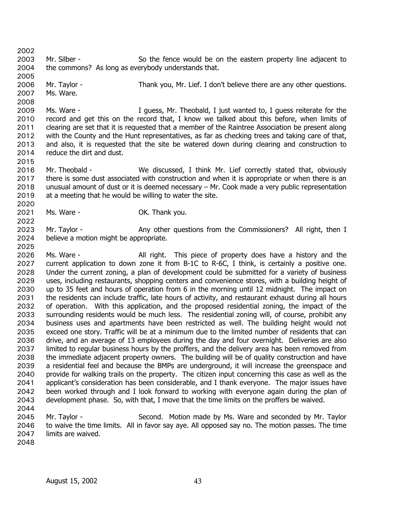2003 2004 Mr. Silber - So the fence would be on the eastern property line adjacent to the commons? As long as everybody understands that.

2006 2007 Mr. Taylor - Thank you, Mr. Lief. I don't believe there are any other questions. Ms. Ware.

2009 2010 2011 2012 2013 2014 Ms. Ware - Theopald, I just wanted to, I guess reiterate for the record and get this on the record that, I know we talked about this before, when limits of clearing are set that it is requested that a member of the Raintree Association be present along with the County and the Hunt representatives, as far as checking trees and taking care of that, and also, it is requested that the site be watered down during clearing and construction to reduce the dirt and dust.

- 2016 2017 2018 2019 Mr. Theobald - We discussed, I think Mr. Lief correctly stated that, obviously there is some dust associated with construction and when it is appropriate or when there is an unusual amount of dust or it is deemed necessary – Mr. Cook made a very public representation at a meeting that he would be willing to water the site.
- 2021 Ms. Ware - Thank you.

2023 2024 Mr. Taylor - Any other questions from the Commissioners? All right, then I believe a motion might be appropriate.

- 2026 2027 2028 2029 2030 2031 2032 2033 2034 2035 2036 2037 2038 2039 2040 2041 2042 2043 Ms. Ware - This piece of property does have a history and the current application to down zone it from B-1C to R-6C, I think, is certainly a positive one. Under the current zoning, a plan of development could be submitted for a variety of business uses, including restaurants, shopping centers and convenience stores, with a building height of up to 35 feet and hours of operation from 6 in the morning until 12 midnight. The impact on the residents can include traffic, late hours of activity, and restaurant exhaust during all hours of operation. With this application, and the proposed residential zoning, the impact of the surrounding residents would be much less. The residential zoning will, of course, prohibit any business uses and apartments have been restricted as well. The building height would not exceed one story. Traffic will be at a minimum due to the limited number of residents that can drive, and an average of 13 employees during the day and four overnight. Deliveries are also limited to regular business hours by the proffers, and the delivery area has been removed from the immediate adjacent property owners. The building will be of quality construction and have a residential feel and because the BMPs are underground, it will increase the greenspace and provide for walking trails on the property. The citizen input concerning this case as well as the applicant's consideration has been considerable, and I thank everyone. The major issues have been worked through and I look forward to working with everyone again during the plan of development phase. So, with that, I move that the time limits on the proffers be waived.
- 2044

2002

2005

2008

2015

2020

2022

2025

2045 2046 2047 Mr. Taylor - Second. Motion made by Ms. Ware and seconded by Mr. Taylor to waive the time limits. All in favor say aye. All opposed say no. The motion passes. The time limits are waived.

2048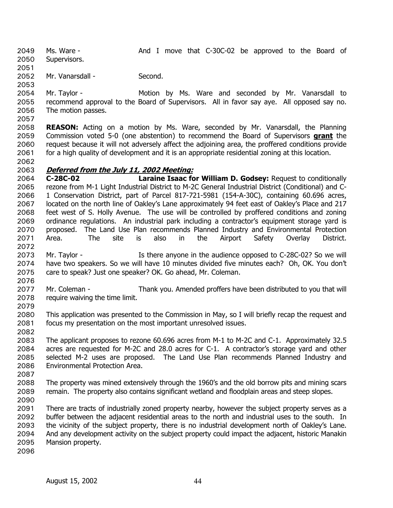Ms. Ware - The Mand I move that C-30C-02 be approved to the Board of Supervisors. 2049

2050 2051

2052 Mr. Vanarsdall - Second.

2053

2054 2055 2056 Mr. Taylor - The Motion by Ms. Ware and seconded by Mr. Vanarsdall to recommend approval to the Board of Supervisors. All in favor say aye. All opposed say no. The motion passes.

2057

2058 **REASON:** Acting on a motion by Ms. Ware, seconded by Mr. Vanarsdall, the Planning Commission voted 5-0 (one abstention) to recommend the Board of Supervisors **grant** the request because it will not adversely affect the adjoining area, the proffered conditions provide for a high quality of development and it is an appropriate residential zoning at this location. 2059 2060 2061

2062

## 2063 **Deferred from the July 11, 2002 Meeting:**

2064 2065 2066 2067 2068 2069 2070 2071 2072 **C-28C-02 Laraine Isaac for William D. Godsey:** Request to conditionally rezone from M-1 Light Industrial District to M-2C General Industrial District (Conditional) and C-1 Conservation District, part of Parcel 817-721-5981 (154-A-30C), containing 60.696 acres, located on the north line of Oakley's Lane approximately 94 feet east of Oakley's Place and 217 feet west of S. Holly Avenue. The use will be controlled by proffered conditions and zoning ordinance regulations. An industrial park including a contractor's equipment storage yard is proposed. The Land Use Plan recommends Planned Industry and Environmental Protection Area. The site is also in the Airport Safety Overlay District.

- 2073 2074 2075 Mr. Taylor - The Is there anyone in the audience opposed to C-28C-02? So we will have two speakers. So we will have 10 minutes divided five minutes each? Oh, OK. You don't care to speak? Just one speaker? OK. Go ahead, Mr. Coleman.
- 2076

2077 2078 2079 Mr. Coleman - Thank you. Amended proffers have been distributed to you that will require waiving the time limit.

2080 2081 2082 This application was presented to the Commission in May, so I will briefly recap the request and focus my presentation on the most important unresolved issues.

2083 2084 2085 2086 The applicant proposes to rezone 60.696 acres from M-1 to M-2C and C-1. Approximately 32.5 acres are requested for M-2C and 28.0 acres for C-1. A contractor's storage yard and other selected M-2 uses are proposed. The Land Use Plan recommends Planned Industry and Environmental Protection Area.

2087

2088 2089 2090 The property was mined extensively through the 1960's and the old borrow pits and mining scars remain. The property also contains significant wetland and floodplain areas and steep slopes.

2091 2092 2093 2094 2095 There are tracts of industrially zoned property nearby, however the subject property serves as a buffer between the adjacent residential areas to the north and industrial uses to the south. In the vicinity of the subject property, there is no industrial development north of Oakley's Lane. And any development activity on the subject property could impact the adjacent, historic Manakin Mansion property.

2096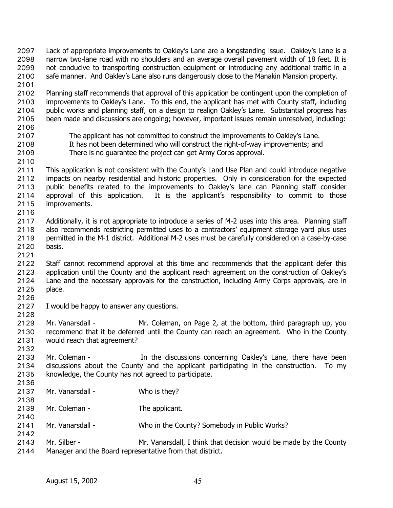Lack of appropriate improvements to Oakley's Lane are a longstanding issue. Oakley's Lane is a narrow two-lane road with no shoulders and an average overall pavement width of 18 feet. It is not conducive to transporting construction equipment or introducing any additional traffic in a safe manner. And Oakley's Lane also runs dangerously close to the Manakin Mansion property. 2097 2098 2099 2100 2101 2102 2103 2104 2105 2106 2107 2108 2109 2110 2111 2112 2113 2114 2115 2116 2117 2118 2119 2120 2121 2122 2123 2124 2125 2126 2127 2128 2129 2130 2131 2132 2133 2134 2135 2136 2137 2138 2139 2140 2141 2142 2143 2144 Planning staff recommends that approval of this application be contingent upon the completion of improvements to Oakley's Lane. To this end, the applicant has met with County staff, including public works and planning staff, on a design to realign Oakley's Lane. Substantial progress has been made and discussions are ongoing; however, important issues remain unresolved, including: The applicant has not committed to construct the improvements to Oakley's Lane. It has not been determined who will construct the right-of-way improvements; and There is no guarantee the project can get Army Corps approval. This application is not consistent with the County's Land Use Plan and could introduce negative impacts on nearby residential and historic properties. Only in consideration for the expected public benefits related to the improvements to Oakley's lane can Planning staff consider approval of this application. It is the applicant's responsibility to commit to those improvements. Additionally, it is not appropriate to introduce a series of M-2 uses into this area. Planning staff also recommends restricting permitted uses to a contractors' equipment storage yard plus uses permitted in the M-1 district. Additional M-2 uses must be carefully considered on a case-by-case basis. Staff cannot recommend approval at this time and recommends that the applicant defer this application until the County and the applicant reach agreement on the construction of Oakley's Lane and the necessary approvals for the construction, including Army Corps approvals, are in place. I would be happy to answer any questions. Mr. Vanarsdall - Mr. Coleman, on Page 2, at the bottom, third paragraph up, you recommend that it be deferred until the County can reach an agreement. Who in the County would reach that agreement? Mr. Coleman - The discussions concerning Oakley's Lane, there have been discussions about the County and the applicant participating in the construction. To my knowledge, the County has not agreed to participate. Mr. Vanarsdall - Who is they? Mr. Coleman - The applicant. Mr. Vanarsdall - Who in the County? Somebody in Public Works? Mr. Silber - Mr. Vanarsdall, I think that decision would be made by the County Manager and the Board representative from that district.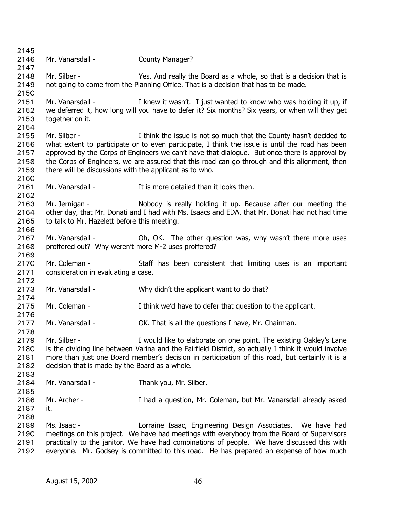2145 2146 2147 2148 2149 2150 2151 2152 2153 2154 2155 2156 2157 2158 2159 2160 2161 2162 2163 2164 2165 2166 2167 2168 2169 2170 2171 2172 2173 2174 2175 2176 2177 2178 2179 2180 2181 2182 2183 2184 2185 2186 2187 2188 2189 2190 2191 2192 Mr. Vanarsdall - County Manager? Mr. Silber - Yes. And really the Board as a whole, so that is a decision that is not going to come from the Planning Office. That is a decision that has to be made. Mr. Vanarsdall - I knew it wasn't. I just wanted to know who was holding it up, if we deferred it, how long will you have to defer it? Six months? Six years, or when will they get together on it. Mr. Silber - I think the issue is not so much that the County hasn't decided to what extent to participate or to even participate, I think the issue is until the road has been approved by the Corps of Engineers we can't have that dialogue. But once there is approval by the Corps of Engineers, we are assured that this road can go through and this alignment, then there will be discussions with the applicant as to who. Mr. Vanarsdall - The It is more detailed than it looks then. Mr. Jernigan - Nobody is really holding it up. Because after our meeting the other day, that Mr. Donati and I had with Ms. Isaacs and EDA, that Mr. Donati had not had time to talk to Mr. Hazelett before this meeting. Mr. Vanarsdall - **Oh, OK.** The other question was, why wasn't there more uses proffered out? Why weren't more M-2 uses proffered? Mr. Coleman - Staff has been consistent that limiting uses is an important consideration in evaluating a case. Mr. Vanarsdall - Why didn't the applicant want to do that? Mr. Coleman - Think we'd have to defer that question to the applicant. Mr. Vanarsdall - **OK. That is all the questions I have, Mr. Chairman.** Mr. Silber - I would like to elaborate on one point. The existing Oakley's Lane is the dividing line between Varina and the Fairfield District, so actually I think it would involve more than just one Board member's decision in participation of this road, but certainly it is a decision that is made by the Board as a whole. Mr. Vanarsdall - Thank you, Mr. Silber. Mr. Archer - Thad a question, Mr. Coleman, but Mr. Vanarsdall already asked it. Ms. Isaac - Lorraine Isaac, Engineering Design Associates. We have had meetings on this project. We have had meetings with everybody from the Board of Supervisors practically to the janitor. We have had combinations of people. We have discussed this with everyone. Mr. Godsey is committed to this road. He has prepared an expense of how much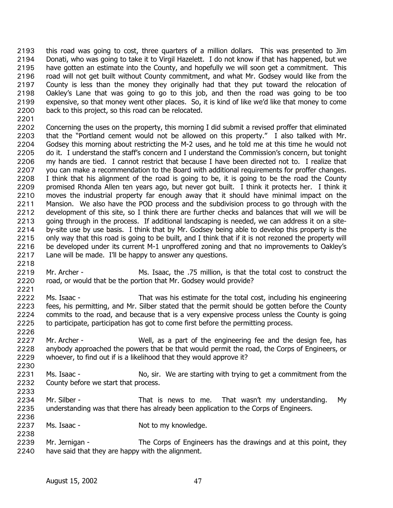this road was going to cost, three quarters of a million dollars. This was presented to Jim Donati, who was going to take it to Virgil Hazelett. I do not know if that has happened, but we have gotten an estimate into the County, and hopefully we will soon get a commitment. This road will not get built without County commitment, and what Mr. Godsey would like from the County is less than the money they originally had that they put toward the relocation of Oakley's Lane that was going to go to this job, and then the road was going to be too expensive, so that money went other places. So, it is kind of like we'd like that money to come back to this project, so this road can be relocated. 2193 2194 2195 2196 2197 2198 2199 2200

2201

2202 2203 2204 2205 2206 2207 2208 2209 2210 2211 2212 2213 2214 2215 2216 2217 Concerning the uses on the property, this morning I did submit a revised proffer that eliminated that the "Portland cement would not be allowed on this property." I also talked with Mr. Godsey this morning about restricting the M-2 uses, and he told me at this time he would not do it. I understand the staff's concern and I understand the Commission's concern, but tonight my hands are tied. I cannot restrict that because I have been directed not to. I realize that you can make a recommendation to the Board with additional requirements for proffer changes. I think that his alignment of the road is going to be, it is going to be the road the County promised Rhonda Allen ten years ago, but never got built. I think it protects her. I think it moves the industrial property far enough away that it should have minimal impact on the Mansion. We also have the POD process and the subdivision process to go through with the development of this site, so I think there are further checks and balances that will we will be going through in the process. If additional landscaping is needed, we can address it on a siteby-site use by use basis. I think that by Mr. Godsey being able to develop this property is the only way that this road is going to be built, and I think that if it is not rezoned the property will be developed under its current M-1 unproffered zoning and that no improvements to Oakley's Lane will be made. I'll be happy to answer any questions.

- 2219 2220 Mr. Archer - Ms. Isaac, the .75 million, is that the total cost to construct the road, or would that be the portion that Mr. Godsey would provide?
- 2222 2223 2224 2225 Ms. Isaac - That was his estimate for the total cost, including his engineering fees, his permitting, and Mr. Silber stated that the permit should be gotten before the County commits to the road, and because that is a very expensive process unless the County is going to participate, participation has got to come first before the permitting process.
- 2227 2228 2229 Mr. Archer - Well, as a part of the engineering fee and the design fee, has anybody approached the powers that be that would permit the road, the Corps of Engineers, or whoever, to find out if is a likelihood that they would approve it?
- 2230

2236

2238

2226

2218

2221

2231 2232 2233 Ms. Isaac - No, sir. We are starting with trying to get a commitment from the County before we start that process.

- 2234 2235 Mr. Silber - That is news to me. That wasn't my understanding. My understanding was that there has already been application to the Corps of Engineers.
- 2237 Ms. Isaac - Not to my knowledge.
- 2239 2240 Mr. Jernigan - The Corps of Engineers has the drawings and at this point, they have said that they are happy with the alignment.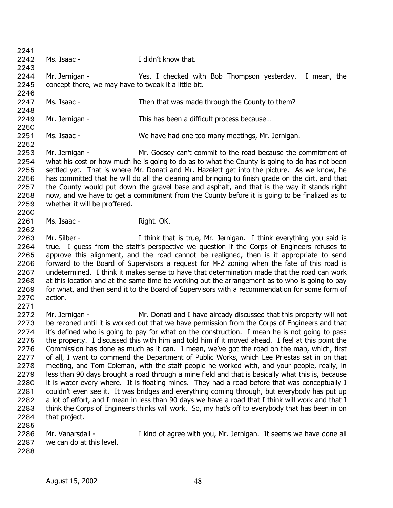2241 2242 2243 2244 2245 2246 2247 2248 2249 2250 2251 2252 2253 2254 2255 2256 2257 2258 2259 2260 2261 2262 2263 2264 2265 2266 2267 2268 2269 2270 2271 2272 2273 2274 2275 2276 2277 2278 2279 2280 2281 2282 2283 2284 2285 2286 2287 2288 Ms. Isaac - T didn't know that. Mr. Jernigan - Yes. I checked with Bob Thompson yesterday. I mean, the concept there, we may have to tweak it a little bit. Ms. Isaac - Then that was made through the County to them? Mr. Jernigan - This has been a difficult process because... Ms. Isaac - We have had one too many meetings, Mr. Jernigan. Mr. Jernigan - Mr. Godsey can't commit to the road because the commitment of what his cost or how much he is going to do as to what the County is going to do has not been settled yet. That is where Mr. Donati and Mr. Hazelett get into the picture. As we know, he has committed that he will do all the clearing and bringing to finish grade on the dirt, and that the County would put down the gravel base and asphalt, and that is the way it stands right now, and we have to get a commitment from the County before it is going to be finalized as to whether it will be proffered. Ms. Isaac - Right. OK. Mr. Silber - Think that is true, Mr. Jernigan. I think everything you said is true. I guess from the staff's perspective we question if the Corps of Engineers refuses to approve this alignment, and the road cannot be realigned, then is it appropriate to send forward to the Board of Supervisors a request for M-2 zoning when the fate of this road is undetermined. I think it makes sense to have that determination made that the road can work at this location and at the same time be working out the arrangement as to who is going to pay for what, and then send it to the Board of Supervisors with a recommendation for some form of action. Mr. Jernigan - Mr. Donati and I have already discussed that this property will not be rezoned until it is worked out that we have permission from the Corps of Engineers and that it's defined who is going to pay for what on the construction. I mean he is not going to pass the property. I discussed this with him and told him if it moved ahead. I feel at this point the Commission has done as much as it can. I mean, we've got the road on the map, which, first of all, I want to commend the Department of Public Works, which Lee Priestas sat in on that meeting, and Tom Coleman, with the staff people he worked with, and your people, really, in less than 90 days brought a road through a mine field and that is basically what this is, because it is water every where. It is floating mines. They had a road before that was conceptually I couldn't even see it. It was bridges and everything coming through, but everybody has put up a lot of effort, and I mean in less than 90 days we have a road that I think will work and that I think the Corps of Engineers thinks will work. So, my hat's off to everybody that has been in on that project. Mr. Vanarsdall - I kind of agree with you, Mr. Jernigan. It seems we have done all we can do at this level.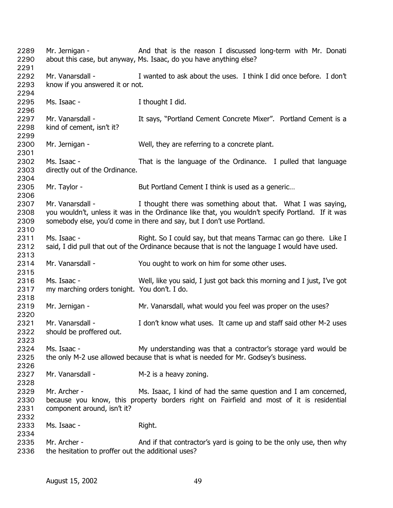| 2289<br>2290 | Mr. Jernigan -                                     | And that is the reason I discussed long-term with Mr. Donati<br>about this case, but anyway, Ms. Isaac, do you have anything else? |
|--------------|----------------------------------------------------|------------------------------------------------------------------------------------------------------------------------------------|
| 2291<br>2292 | Mr. Vanarsdall -                                   | I wanted to ask about the uses. I think I did once before. I don't                                                                 |
| 2293         | know if you answered it or not.                    |                                                                                                                                    |
| 2294         |                                                    |                                                                                                                                    |
| 2295         | Ms. Isaac -                                        | I thought I did.                                                                                                                   |
| 2296         |                                                    |                                                                                                                                    |
| 2297         | Mr. Vanarsdall -                                   | It says, "Portland Cement Concrete Mixer". Portland Cement is a                                                                    |
| 2298         | kind of cement, isn't it?                          |                                                                                                                                    |
| 2299         |                                                    |                                                                                                                                    |
| 2300         | Mr. Jernigan -                                     | Well, they are referring to a concrete plant.                                                                                      |
| 2301         |                                                    |                                                                                                                                    |
| 2302         | Ms. Isaac -                                        | That is the language of the Ordinance. I pulled that language                                                                      |
| 2303         | directly out of the Ordinance.                     |                                                                                                                                    |
| 2304         |                                                    |                                                                                                                                    |
| 2305         | Mr. Taylor -                                       | But Portland Cement I think is used as a generic                                                                                   |
| 2306         |                                                    |                                                                                                                                    |
| 2307         | Mr. Vanarsdall -                                   | I thought there was something about that. What I was saying,                                                                       |
| 2308         |                                                    | you wouldn't, unless it was in the Ordinance like that, you wouldn't specify Portland. If it was                                   |
| 2309         |                                                    | somebody else, you'd come in there and say, but I don't use Portland.                                                              |
| 2310         |                                                    |                                                                                                                                    |
| 2311         | Ms. Isaac -                                        | Right. So I could say, but that means Tarmac can go there. Like I                                                                  |
| 2312         |                                                    | said, I did pull that out of the Ordinance because that is not the language I would have used.                                     |
| 2313         |                                                    |                                                                                                                                    |
| 2314         | Mr. Vanarsdall -                                   | You ought to work on him for some other uses.                                                                                      |
| 2315         |                                                    |                                                                                                                                    |
| 2316         | Ms. Isaac -                                        | Well, like you said, I just got back this morning and I just, I've got                                                             |
| 2317         | my marching orders tonight. You don't. I do.       |                                                                                                                                    |
| 2318         |                                                    |                                                                                                                                    |
| 2319         | Mr. Jernigan -                                     | Mr. Vanarsdall, what would you feel was proper on the uses?                                                                        |
| 2320         |                                                    |                                                                                                                                    |
| 2321         | Mr. Vanarsdall -                                   | I don't know what uses. It came up and staff said other M-2 uses                                                                   |
| 2322         | should be proffered out.                           |                                                                                                                                    |
| 2323         |                                                    |                                                                                                                                    |
| 2324         | Ms. Isaac -                                        | My understanding was that a contractor's storage yard would be                                                                     |
| 2325         |                                                    | the only M-2 use allowed because that is what is needed for Mr. Godsey's business.                                                 |
| 2326         |                                                    |                                                                                                                                    |
| 2327         | Mr. Vanarsdall -                                   | M-2 is a heavy zoning.                                                                                                             |
| 2328         |                                                    |                                                                                                                                    |
| 2329         | Mr. Archer -                                       | Ms. Isaac, I kind of had the same question and I am concerned,                                                                     |
| 2330         |                                                    | because you know, this property borders right on Fairfield and most of it is residential                                           |
| 2331         | component around, isn't it?                        |                                                                                                                                    |
| 2332         |                                                    |                                                                                                                                    |
| 2333         | Ms. Isaac -                                        | Right.                                                                                                                             |
| 2334         |                                                    |                                                                                                                                    |
| 2335         | Mr. Archer -                                       | And if that contractor's yard is going to be the only use, then why                                                                |
| 2336         | the hesitation to proffer out the additional uses? |                                                                                                                                    |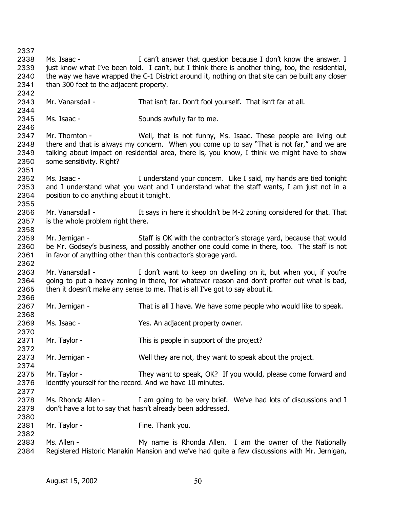2337 2338 2339 2340 2341 2342 2343 2344 2345 2346 2347 2348 2349 2350 2351 2352 2353 2354 2355 2356 2357 2358 2359 2360 2361 2362 2363 2364 2365 2366 2367 2368 2369 2370 2371 2372 2373 2374 2375 2376 2377 2378 2379 2380 2381 2382 2383 2384 Ms. Isaac - The Music of Can't answer that question because I don't know the answer. I just know what I've been told. I can't, but I think there is another thing, too, the residential, the way we have wrapped the C-1 District around it, nothing on that site can be built any closer than 300 feet to the adjacent property. Mr. Vanarsdall - That isn't far. Don't fool yourself. That isn't far at all. Ms. Isaac - Sounds awfully far to me. Mr. Thornton - Well, that is not funny, Ms. Isaac. These people are living out there and that is always my concern. When you come up to say "That is not far," and we are talking about impact on residential area, there is, you know, I think we might have to show some sensitivity. Right? Ms. Isaac - The I understand your concern. Like I said, my hands are tied tonight and I understand what you want and I understand what the staff wants, I am just not in a position to do anything about it tonight. Mr. Vanarsdall - The Says in here it shouldn't be M-2 zoning considered for that. That is the whole problem right there. Mr. Jernigan - Staff is OK with the contractor's storage yard, because that would be Mr. Godsey's business, and possibly another one could come in there, too. The staff is not in favor of anything other than this contractor's storage yard. Mr. Vanarsdall - The Muslem of the Viewant to keep on dwelling on it, but when you, if you're going to put a heavy zoning in there, for whatever reason and don't proffer out what is bad, then it doesn't make any sense to me. That is all I've got to say about it. Mr. Jernigan - That is all I have. We have some people who would like to speak. Ms. Isaac - Yes. An adjacent property owner. Mr. Taylor - This is people in support of the project? Mr. Jernigan - Well they are not, they want to speak about the project. Mr. Taylor - They want to speak, OK? If you would, please come forward and identify yourself for the record. And we have 10 minutes. Ms. Rhonda Allen - I am going to be very brief. We've had lots of discussions and I don't have a lot to say that hasn't already been addressed. Mr. Taylor - Fine. Thank you. Ms. Allen - My name is Rhonda Allen. I am the owner of the Nationally Registered Historic Manakin Mansion and we've had quite a few discussions with Mr. Jernigan,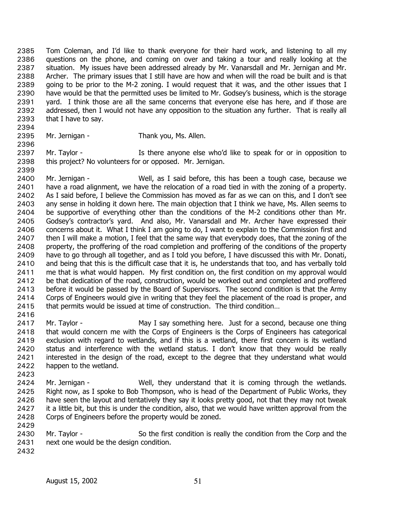Tom Coleman, and I'd like to thank everyone for their hard work, and listening to all my questions on the phone, and coming on over and taking a tour and really looking at the situation. My issues have been addressed already by Mr. Vanarsdall and Mr. Jernigan and Mr. Archer. The primary issues that I still have are how and when will the road be built and is that going to be prior to the M-2 zoning. I would request that it was, and the other issues that I have would be that the permitted uses be limited to Mr. Godsey's business, which is the storage yard. I think those are all the same concerns that everyone else has here, and if those are addressed, then I would not have any opposition to the situation any further. That is really all that I have to say. 2385 2386 2387 2388 2389 2390 2391 2392 2393

2394 2395

2396

2399

Mr. Jernigan - Thank you, Ms. Allen.

2397 2398 Mr. Taylor - There anyone else who'd like to speak for or in opposition to this project? No volunteers for or opposed. Mr. Jernigan.

2400 2401 2402 2403 2404 2405 2406 2407 2408 2409 2410 2411 2412 2413 2414 2415 Mr. Jernigan - Well, as I said before, this has been a tough case, because we have a road alignment, we have the relocation of a road tied in with the zoning of a property. As I said before, I believe the Commission has moved as far as we can on this, and I don't see any sense in holding it down here. The main objection that I think we have, Ms. Allen seems to be supportive of everything other than the conditions of the M-2 conditions other than Mr. Godsey's contractor's yard. And also, Mr. Vanarsdall and Mr. Archer have expressed their concerns about it. What I think I am going to do, I want to explain to the Commission first and then I will make a motion, I feel that the same way that everybody does, that the zoning of the property, the proffering of the road completion and proffering of the conditions of the property have to go through all together, and as I told you before, I have discussed this with Mr. Donati, and being that this is the difficult case that it is, he understands that too, and has verbally told me that is what would happen. My first condition on, the first condition on my approval would be that dedication of the road, construction, would be worked out and completed and proffered before it would be passed by the Board of Supervisors. The second condition is that the Army Corps of Engineers would give in writing that they feel the placement of the road is proper, and that permits would be issued at time of construction. The third condition…

2416

2417 2418 2419 2420 2421 2422 Mr. Taylor - The May I say something here. Just for a second, because one thing that would concern me with the Corps of Engineers is the Corps of Engineers has categorical exclusion with regard to wetlands, and if this is a wetland, there first concern is its wetland status and interference with the wetland status. I don't know that they would be really interested in the design of the road, except to the degree that they understand what would happen to the wetland.

2423

2424 2425 2426 2427 2428 Mr. Jernigan - Well, they understand that it is coming through the wetlands. Right now, as I spoke to Bob Thompson, who is head of the Department of Public Works, they have seen the layout and tentatively they say it looks pretty good, not that they may not tweak it a little bit, but this is under the condition, also, that we would have written approval from the Corps of Engineers before the property would be zoned.

2430 2431 Mr. Taylor - So the first condition is really the condition from the Corp and the next one would be the design condition.

2432

2429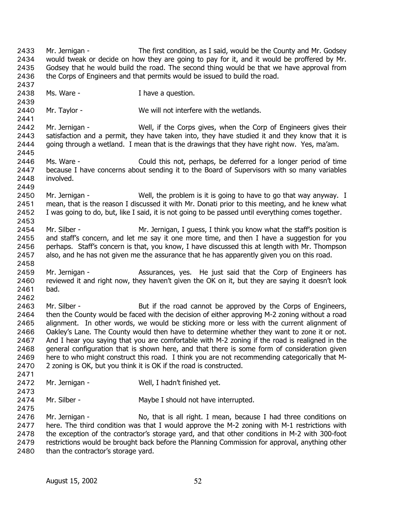Mr. Jernigan - The first condition, as I said, would be the County and Mr. Godsey would tweak or decide on how they are going to pay for it, and it would be proffered by Mr. Godsey that he would build the road. The second thing would be that we have approval from the Corps of Engineers and that permits would be issued to build the road. 2433 2434 2435 2436 2437 2438 2439 2440 2441 2442 2443 2444 2445 2446 2447 2448 2449 2450 2451 2452 2453 2454 2455 2456 2457 2458 2459 2460 2461 2462 2463 2464 2465 2466 2467 2468 2469 2470 2471 2472 2473 2474 2475 2476 2477 2478 2479 Ms. Ware - Thave a question. Mr. Taylor - We will not interfere with the wetlands. Mr. Jernigan - Well, if the Corps gives, when the Corp of Engineers gives their satisfaction and a permit, they have taken into, they have studied it and they know that it is going through a wetland. I mean that is the drawings that they have right now. Yes, ma'am. Ms. Ware - Could this not, perhaps, be deferred for a longer period of time because I have concerns about sending it to the Board of Supervisors with so many variables involved. Mr. Jernigan - Well, the problem is it is going to have to go that way anyway. I mean, that is the reason I discussed it with Mr. Donati prior to this meeting, and he knew what I was going to do, but, like I said, it is not going to be passed until everything comes together. Mr. Silber - Mr. Jernigan, I guess, I think you know what the staff's position is and staff's concern, and let me say it one more time, and then I have a suggestion for you perhaps. Staff's concern is that, you know, I have discussed this at length with Mr. Thompson also, and he has not given me the assurance that he has apparently given you on this road. Mr. Jernigan - The Assurances, yes. He just said that the Corp of Engineers has reviewed it and right now, they haven't given the OK on it, but they are saying it doesn't look bad. Mr. Silber - But if the road cannot be approved by the Corps of Engineers, then the County would be faced with the decision of either approving M-2 zoning without a road alignment. In other words, we would be sticking more or less with the current alignment of Oakley's Lane. The County would then have to determine whether they want to zone it or not. And I hear you saying that you are comfortable with M-2 zoning if the road is realigned in the general configuration that is shown here, and that there is some form of consideration given here to who might construct this road. I think you are not recommending categorically that M-2 zoning is OK, but you think it is OK if the road is constructed. Mr. Jernigan - Well, I hadn't finished yet. Mr. Silber - Maybe I should not have interrupted. Mr. Jernigan - No, that is all right. I mean, because I had three conditions on here. The third condition was that I would approve the M-2 zoning with M-1 restrictions with the exception of the contractor's storage yard, and that other conditions in M-2 with 300-foot restrictions would be brought back before the Planning Commission for approval, anything other

2480 than the contractor's storage yard.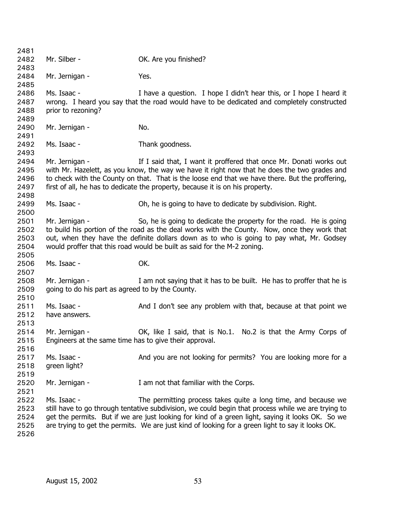2481 2482 2483 2484 2485 2486 2487 2488 2489 2490 2491 2492 2493 2494 2495 2496 2497 2498 2499 2500 2501 2502 2503 2504 2505 2506 2507 2508 2509 2510 2511 2512 2513 2514 2515 2516 2517 2518 2519 2520 2521 2522 2523 2524 2525 2526 Mr. Silber - **OK.** Are you finished? Mr. Jernigan - Yes. Ms. Isaac - The Music of I have a question. I hope I didn't hear this, or I hope I heard it wrong. I heard you say that the road would have to be dedicated and completely constructed prior to rezoning? Mr. Jernigan - No. Ms. Isaac - Thank goodness. Mr. Jernigan - The I said that, I want it proffered that once Mr. Donati works out with Mr. Hazelett, as you know, the way we have it right now that he does the two grades and to check with the County on that. That is the loose end that we have there. But the proffering, first of all, he has to dedicate the property, because it is on his property. Ms. Isaac - Oh, he is going to have to dedicate by subdivision. Right. Mr. Jernigan - So, he is going to dedicate the property for the road. He is going to build his portion of the road as the deal works with the County. Now, once they work that out, when they have the definite dollars down as to who is going to pay what, Mr. Godsey would proffer that this road would be built as said for the M-2 zoning. Ms. Isaac - OK. Mr. Jernigan - The I am not saying that it has to be built. He has to proffer that he is going to do his part as agreed to by the County. Ms. Isaac - And I don't see any problem with that, because at that point we have answers. Mr. Jernigan - CK, like I said, that is No.1. No.2 is that the Army Corps of Engineers at the same time has to give their approval. Ms. Isaac - And you are not looking for permits? You are looking more for a green light? Mr. Jernigan - T am not that familiar with the Corps. Ms. Isaac - The permitting process takes quite a long time, and because we still have to go through tentative subdivision, we could begin that process while we are trying to get the permits. But if we are just looking for kind of a green light, saying it looks OK. So we are trying to get the permits. We are just kind of looking for a green light to say it looks OK.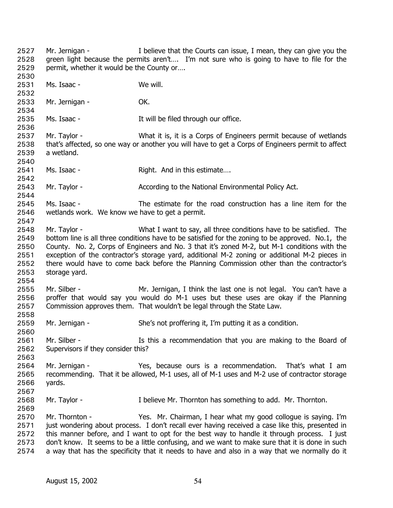permit, whether it would be the County or…. 2529 2530 2531 2532 2533 2534 2535 2536 2537 2538 2539 2540 2541 2542 2543 2544 2545 2546 2547 2548 2549 2550 2551 2552 2553 2554 2555 2556 2557 2558 2559 2560 2561 2562 2563 2564 2565 2566 2567 2568 2569 Ms. Isaac - We will. Mr. Jernigan - **OK.** Ms. Isaac - The Music It will be filed through our office. Mr. Taylor - What it is, it is a Corps of Engineers permit because of wetlands that's affected, so one way or another you will have to get a Corps of Engineers permit to affect a wetland. Ms. Isaac - Right. And in this estimate.... Mr. Taylor - **According to the National Environmental Policy Act.** Ms. Isaac - The estimate for the road construction has a line item for the wetlands work. We know we have to get a permit. Mr. Taylor - What I want to say, all three conditions have to be satisfied. The bottom line is all three conditions have to be satisfied for the zoning to be approved. No.1, the County. No. 2, Corps of Engineers and No. 3 that it's zoned M-2, but M-1 conditions with the exception of the contractor's storage yard, additional M-2 zoning or additional M-2 pieces in there would have to come back before the Planning Commission other than the contractor's storage yard. Mr. Silber - Mr. Jernigan, I think the last one is not legal. You can't have a proffer that would say you would do M-1 uses but these uses are okay if the Planning Commission approves them. That wouldn't be legal through the State Law. Mr. Jernigan - She's not proffering it, I'm putting it as a condition. Mr. Silber - The Is this a recommendation that you are making to the Board of Supervisors if they consider this? Mr. Jernigan - Yes, because ours is a recommendation. That's what I am recommending. That it be allowed, M-1 uses, all of M-1 uses and M-2 use of contractor storage yards. Mr. Taylor - I believe Mr. Thornton has something to add. Mr. Thornton.

Mr. Jernigan - I believe that the Courts can issue, I mean, they can give you the green light because the permits aren't…. I'm not sure who is going to have to file for the

2570 2571 2572 2573 2574 Mr. Thornton - Yes. Mr. Chairman, I hear what my good collogue is saying. I'm just wondering about process. I don't recall ever having received a case like this, presented in this manner before, and I want to opt for the best way to handle it through process. I just don't know. It seems to be a little confusing, and we want to make sure that it is done in such a way that has the specificity that it needs to have and also in a way that we normally do it

2527 2528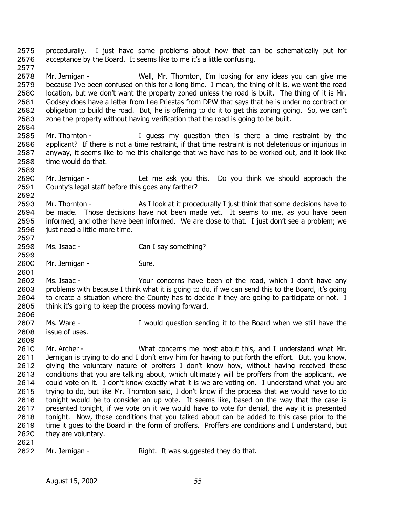procedurally. I just have some problems about how that can be schematically put for acceptance by the Board. It seems like to me it's a little confusing. 2575 2576 2577

2578 2579 2580 2581 2582 2583 Mr. Jernigan - Well, Mr. Thornton, I'm looking for any ideas you can give me because I've been confused on this for a long time. I mean, the thing of it is, we want the road location, but we don't want the property zoned unless the road is built. The thing of it is Mr. Godsey does have a letter from Lee Priestas from DPW that says that he is under no contract or obligation to build the road. But, he is offering to do it to get this zoning going. So, we can't zone the property without having verification that the road is going to be built.

- 2585 2586 2587 2588 Mr. Thornton - I guess my question then is there a time restraint by the applicant? If there is not a time restraint, if that time restraint is not deleterious or injurious in anyway, it seems like to me this challenge that we have has to be worked out, and it look like time would do that.
- 2590 2591 Mr. Jernigan - Let me ask you this. Do you think we should approach the County's legal staff before this goes any farther?
- 2593 2594 2595 2596 2597 Mr. Thornton - As I look at it procedurally I just think that some decisions have to be made. Those decisions have not been made yet. It seems to me, as you have been informed, and other have been informed. We are close to that. I just don't see a problem; we just need a little more time.
- 2598 Ms. Isaac - Can I say something?
- 2600 Mr. Jernigan - Sure.

2602 2603 2604 2605 Ms. Isaac - Your concerns have been of the road, which I don't have any problems with because I think what it is going to do, if we can send this to the Board, it's going to create a situation where the County has to decide if they are going to participate or not. I think it's going to keep the process moving forward.

- 2607 2608 Ms. Ware - The Musuld question sending it to the Board when we still have the issue of uses.
- 2610 2611 2612 2613 2614 2615 2616 2617 2618 2619 2620 Mr. Archer - What concerns me most about this, and I understand what Mr. Jernigan is trying to do and I don't envy him for having to put forth the effort. But, you know, giving the voluntary nature of proffers I don't know how, without having received these conditions that you are talking about, which ultimately will be proffers from the applicant, we could vote on it. I don't know exactly what it is we are voting on. I understand what you are trying to do, but like Mr. Thornton said, I don't know if the process that we would have to do tonight would be to consider an up vote. It seems like, based on the way that the case is presented tonight, if we vote on it we would have to vote for denial, the way it is presented tonight. Now, those conditions that you talked about can be added to this case prior to the time it goes to the Board in the form of proffers. Proffers are conditions and I understand, but they are voluntary.
- 2621

2584

2589

2592

2599

2601

2606

2609

<sup>2622</sup>  Mr. Jernigan - Right. It was suggested they do that.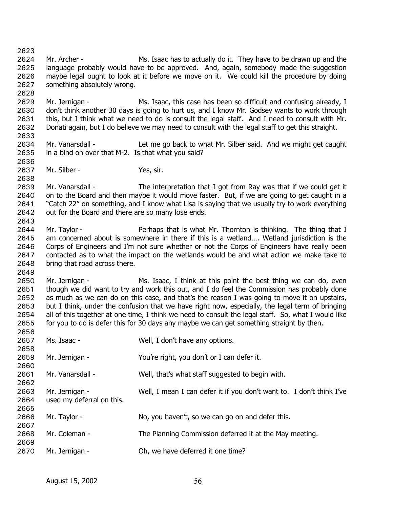2623 2624 2625 2626 2627 2628 2629 Mr. Archer - Ms. Isaac has to actually do it. They have to be drawn up and the language probably would have to be approved. And, again, somebody made the suggestion maybe legal ought to look at it before we move on it. We could kill the procedure by doing something absolutely wrong. Mr. Jernigan - Ms. Isaac, this case has been so difficult and confusing already, I

2630 2631 2632 2633 don't think another 30 days is going to hurt us, and I know Mr. Godsey wants to work through this, but I think what we need to do is consult the legal staff. And I need to consult with Mr. Donati again, but I do believe we may need to consult with the legal staff to get this straight.

- 2634 2635 Mr. Vanarsdall - Let me go back to what Mr. Silber said. And we might get caught in a bind on over that M-2. Is that what you said?
- 2637 Mr. Silber - Yes, sir.

2636

2638

2649

2639 2640 2641 2642 2643 Mr. Vanarsdall - The interpretation that I got from Ray was that if we could get it on to the Board and then maybe it would move faster. But, if we are going to get caught in a "Catch 22" on something, and I know what Lisa is saying that we usually try to work everything out for the Board and there are so many lose ends.

2644 2645 2646 2647 2648 Mr. Taylor - Perhaps that is what Mr. Thornton is thinking. The thing that I am concerned about is somewhere in there if this is a wetland…. Wetland jurisdiction is the Corps of Engineers and I'm not sure whether or not the Corps of Engineers have really been contacted as to what the impact on the wetlands would be and what action we make take to bring that road across there.

2650 2651 2652 2653 2654 2655 Mr. Jernigan - Ms. Isaac, I think at this point the best thing we can do, even though we did want to try and work this out, and I do feel the Commission has probably done as much as we can do on this case, and that's the reason I was going to move it on upstairs, but I think, under the confusion that we have right now, especially, the legal term of bringing all of this together at one time, I think we need to consult the legal staff. So, what I would like for you to do is defer this for 30 days any maybe we can get something straight by then.

| 2656 |                           |                                                                      |
|------|---------------------------|----------------------------------------------------------------------|
| 2657 | Ms. Isaac -               | Well, I don't have any options.                                      |
| 2658 |                           |                                                                      |
| 2659 | Mr. Jernigan -            | You're right, you don't or I can defer it.                           |
| 2660 |                           |                                                                      |
| 2661 | Mr. Vanarsdall -          | Well, that's what staff suggested to begin with.                     |
| 2662 |                           |                                                                      |
| 2663 | Mr. Jernigan -            | Well, I mean I can defer it if you don't want to. I don't think I've |
| 2664 | used my deferral on this. |                                                                      |
| 2665 |                           |                                                                      |
| 2666 | Mr. Taylor -              | No, you haven't, so we can go on and defer this.                     |
| 2667 |                           |                                                                      |
| 2668 | Mr. Coleman -             | The Planning Commission deferred it at the May meeting.              |
| 2669 |                           |                                                                      |
| 2670 | Mr. Jernigan -            | Oh, we have deferred it one time?                                    |
|      |                           |                                                                      |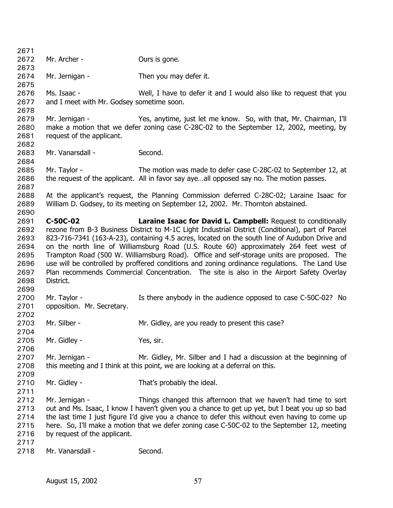| 2671         |                                           |                                                                                                   |
|--------------|-------------------------------------------|---------------------------------------------------------------------------------------------------|
| 2672         | Mr. Archer -                              | Ours is gone.                                                                                     |
| 2673         |                                           |                                                                                                   |
| 2674         | Mr. Jernigan -                            | Then you may defer it.                                                                            |
| 2675         |                                           |                                                                                                   |
| 2676         | Ms. Isaac -                               | Well, I have to defer it and I would also like to request that you                                |
| 2677         | and I meet with Mr. Godsey sometime soon. |                                                                                                   |
| 2678         |                                           |                                                                                                   |
| 2679         | Mr. Jernigan -                            | Yes, anytime, just let me know. So, with that, Mr. Chairman, I'll                                 |
| 2680         |                                           | make a motion that we defer zoning case C-28C-02 to the September 12, 2002, meeting, by           |
| 2681         | request of the applicant.                 |                                                                                                   |
| 2682         |                                           |                                                                                                   |
| 2683         | Mr. Vanarsdall -                          | Second.                                                                                           |
| 2684         |                                           |                                                                                                   |
| 2685         | Mr. Taylor -                              | The motion was made to defer case C-28C-02 to September 12, at                                    |
| 2686         |                                           | the request of the applicant. All in favor say ayeall opposed say no. The motion passes.          |
| 2687         |                                           |                                                                                                   |
| 2688         |                                           | At the applicant's request, the Planning Commission deferred C-28C-02; Laraine Isaac for          |
| 2689         |                                           | William D. Godsey, to its meeting on September 12, 2002. Mr. Thornton abstained.                  |
| 2690         |                                           |                                                                                                   |
| 2691         | C-50C-02                                  | <b>Laraine Isaac for David L. Campbell: Request to conditionally</b>                              |
| 2692         |                                           | rezone from B-3 Business District to M-1C Light Industrial District (Conditional), part of Parcel |
| 2693         |                                           | 823-716-7341 (163-A-23), containing 4.5 acres, located on the south line of Audubon Drive and     |
| 2694         |                                           | on the north line of Williamsburg Road (U.S. Route 60) approximately 264 feet west of             |
| 2695         |                                           | Trampton Road (500 W. Williamsburg Road). Office and self-storage units are proposed. The         |
| 2696         |                                           | use will be controlled by proffered conditions and zoning ordinance regulations. The Land Use     |
| 2697         |                                           | Plan recommends Commercial Concentration. The site is also in the Airport Safety Overlay          |
| 2698         | District.                                 |                                                                                                   |
| 2699<br>2700 | Mr. Taylor -                              |                                                                                                   |
|              |                                           | Is there anybody in the audience opposed to case C-50C-02? No                                     |
| 2701<br>2702 | opposition. Mr. Secretary.                |                                                                                                   |
| 2703         | Mr. Silber -                              | Mr. Gidley, are you ready to present this case?                                                   |
| 2704         |                                           |                                                                                                   |
| 2705         | Mr. Gidley -                              | Yes, sir.                                                                                         |
| 2706         |                                           |                                                                                                   |
| 2707         | Mr. Jernigan -                            | Mr. Gidley, Mr. Silber and I had a discussion at the beginning of                                 |
| 2708         |                                           | this meeting and I think at this point, we are looking at a deferral on this.                     |
| 2709         |                                           |                                                                                                   |
| 2710         | Mr. Gidley -                              | That's probably the ideal.                                                                        |
| 2711         |                                           |                                                                                                   |
| 2712         | Mr. Jernigan -                            | Things changed this afternoon that we haven't had time to sort                                    |
| 2713         |                                           | out and Ms. Isaac, I know I haven't given you a chance to get up yet, but I beat you up so bad    |
| 2714         |                                           | the last time I just figure I'd give you a chance to defer this without even having to come up    |
| 2715         |                                           | here. So, I'll make a motion that we defer zoning case C-50C-02 to the September 12, meeting      |
| 2716         | by request of the applicant.              |                                                                                                   |
| 2717         |                                           |                                                                                                   |
| 2718         | Mr. Vanarsdall -                          | Second.                                                                                           |
|              |                                           |                                                                                                   |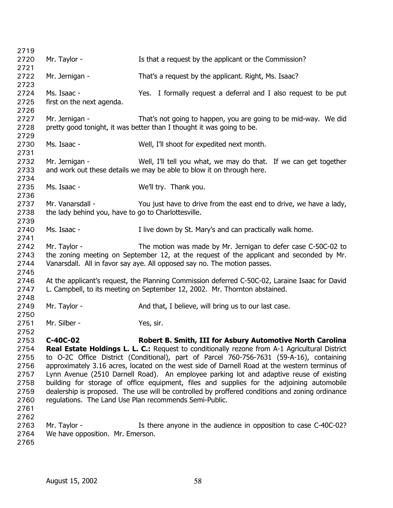| 2719         |                                                     |                                                                                                                                                          |
|--------------|-----------------------------------------------------|----------------------------------------------------------------------------------------------------------------------------------------------------------|
| 2720         | Mr. Taylor -                                        | Is that a request by the applicant or the Commission?                                                                                                    |
| 2721         |                                                     |                                                                                                                                                          |
| 2722         | Mr. Jernigan -                                      | That's a request by the applicant. Right, Ms. Isaac?                                                                                                     |
| 2723         |                                                     |                                                                                                                                                          |
| 2724         | Ms. Isaac -                                         | Yes. I formally request a deferral and I also request to be put                                                                                          |
| 2725         | first on the next agenda.                           |                                                                                                                                                          |
| 2726         |                                                     |                                                                                                                                                          |
| 2727         | Mr. Jernigan -                                      | That's not going to happen, you are going to be mid-way. We did                                                                                          |
| 2728         |                                                     | pretty good tonight, it was better than I thought it was going to be.                                                                                    |
| 2729         |                                                     |                                                                                                                                                          |
| 2730         | Ms. Isaac -                                         | Well, I'll shoot for expedited next month.                                                                                                               |
| 2731         |                                                     |                                                                                                                                                          |
| 2732         | Mr. Jernigan -                                      | Well, I'll tell you what, we may do that. If we can get together                                                                                         |
| 2733         |                                                     | and work out these details we may be able to blow it on through here.                                                                                    |
| 2734         |                                                     |                                                                                                                                                          |
| 2735         | Ms. Isaac -                                         | We'll try. Thank you.                                                                                                                                    |
| 2736         |                                                     |                                                                                                                                                          |
| 2737         | Mr. Vanarsdall -                                    | You just have to drive from the east end to drive, we have a lady,                                                                                       |
| 2738         | the lady behind you, have to go to Charlottesville. |                                                                                                                                                          |
| 2739         |                                                     |                                                                                                                                                          |
| 2740         | Ms. Isaac -                                         | I live down by St. Mary's and can practically walk home.                                                                                                 |
| 2741<br>2742 | Mr. Taylor -                                        |                                                                                                                                                          |
| 2743         |                                                     | The motion was made by Mr. Jernigan to defer case C-50C-02 to<br>the zoning meeting on September 12, at the request of the applicant and seconded by Mr. |
| 2744         |                                                     | Vanarsdall. All in favor say aye. All opposed say no. The motion passes.                                                                                 |
| 2745         |                                                     |                                                                                                                                                          |
| 2746         |                                                     | At the applicant's request, the Planning Commission deferred C-50C-02, Laraine Isaac for David                                                           |
| 2747         |                                                     | L. Campbell, to its meeting on September 12, 2002. Mr. Thornton abstained.                                                                               |
| 2748         |                                                     |                                                                                                                                                          |
| 2749         | Mr. Taylor -                                        | And that, I believe, will bring us to our last case.                                                                                                     |
| 2750         |                                                     |                                                                                                                                                          |
| 2751         | Mr. Silber -                                        | Yes, sir.                                                                                                                                                |
| 2752         |                                                     |                                                                                                                                                          |
| 2753         | C-40C-02                                            | Robert B. Smith, III for Asbury Automotive North Carolina                                                                                                |
| 2754         |                                                     | <b>Real Estate Holdings L. L. C.:</b> Request to conditionally rezone from A-1 Agricultural District                                                     |
| 2755         |                                                     | to O-2C Office District (Conditional), part of Parcel 760-756-7631 (59-A-16), containing                                                                 |
| 2756         |                                                     | approximately 3.16 acres, located on the west side of Darnell Road at the western terminus of                                                            |
| 2757         |                                                     | Lynn Avenue (2510 Darnell Road). An employee parking lot and adaptive reuse of existing                                                                  |
| 2758         |                                                     | building for storage of office equipment, files and supplies for the adjoining automobile                                                                |
| 2759         |                                                     | dealership is proposed. The use will be controlled by proffered conditions and zoning ordinance                                                          |
| 2760         |                                                     | regulations. The Land Use Plan recommends Semi-Public.                                                                                                   |
| 2761         |                                                     |                                                                                                                                                          |
| 2762         |                                                     |                                                                                                                                                          |
| 2763         | Mr. Taylor -                                        | Is there anyone in the audience in opposition to case C-40C-02?                                                                                          |
| 2764         | We have opposition. Mr. Emerson.                    |                                                                                                                                                          |
| 2765         |                                                     |                                                                                                                                                          |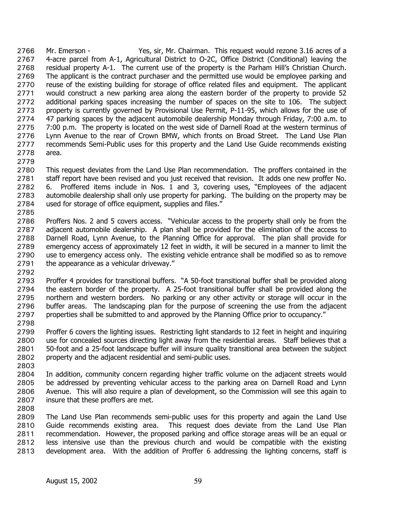Mr. Emerson - Yes, sir, Mr. Chairman. This request would rezone 3.16 acres of a 4-acre parcel from A-1, Agricultural District to O-2C, Office District (Conditional) leaving the residual property A-1. The current use of the property is the Parham Hill's Christian Church. The applicant is the contract purchaser and the permitted use would be employee parking and reuse of the existing building for storage of office related files and equipment. The applicant would construct a new parking area along the eastern border of the property to provide 52 additional parking spaces increasing the number of spaces on the site to 106. The subject property is currently governed by Provisional Use Permit, P-11-95, which allows for the use of 47 parking spaces by the adjacent automobile dealership Monday through Friday, 7:00 a.m. to 7:00 p.m. The property is located on the west side of Darnell Road at the western terminus of Lynn Avenue to the rear of Crown BMW, which fronts on Broad Street. The Land Use Plan recommends Semi-Public uses for this property and the Land Use Guide recommends existing area. 2766 2767 2768 2769 2770 2771 2772 2773 2774 2775 2776 2777 2778

2779

2780 2781 2782 2783 2784 This request deviates from the Land Use Plan recommendation. The proffers contained in the staff report have been revised and you just received that revision. It adds one new proffer No. 6. Proffered items include in Nos. 1 and 3, covering uses, "Employees of the adjacent automobile dealership shall only use property for parking. The building on the property may be used for storage of office equipment, supplies and files."

2785

2786 2787 2788 2789 2790 2791 Proffers Nos. 2 and 5 covers access. "Vehicular access to the property shall only be from the adjacent automobile dealership. A plan shall be provided for the elimination of the access to Darnell Road, Lynn Avenue, to the Planning Office for approval. The plan shall provide for emergency access of approximately 12 feet in width, it will be secured in a manner to limit the use to emergency access only. The existing vehicle entrance shall be modified so as to remove the appearance as a vehicular driveway."

2792

2793 2794 2795 2796 2797 Proffer 4 provides for transitional buffers. "A 50-foot transitional buffer shall be provided along the eastern border of the property. A 25-foot transitional buffer shall be provided along the northern and western borders. No parking or any other activity or storage will occur in the buffer areas. The landscaping plan for the purpose of screening the use from the adjacent properties shall be submitted to and approved by the Planning Office prior to occupancy."

2798

2799 2800 2801 2802 Proffer 6 covers the lighting issues. Restricting light standards to 12 feet in height and inquiring use for concealed sources directing light away from the residential areas. Staff believes that a 50-foot and a 25-foot landscape buffer will insure quality transitional area between the subject property and the adjacent residential and semi-public uses.

2803

2804 2805 2806 2807 In addition, community concern regarding higher traffic volume on the adjacent streets would be addressed by preventing vehicular access to the parking area on Darnell Road and Lynn Avenue. This will also require a plan of development, so the Commission will see this again to insure that these proffers are met.

2808

2809 2810 2811 2812 2813 The Land Use Plan recommends semi-public uses for this property and again the Land Use Guide recommends existing area. This request does deviate from the Land Use Plan recommendation. However, the proposed parking and office storage areas will be an equal or less intensive use than the previous church and would be compatible with the existing development area. With the addition of Proffer 6 addressing the lighting concerns, staff is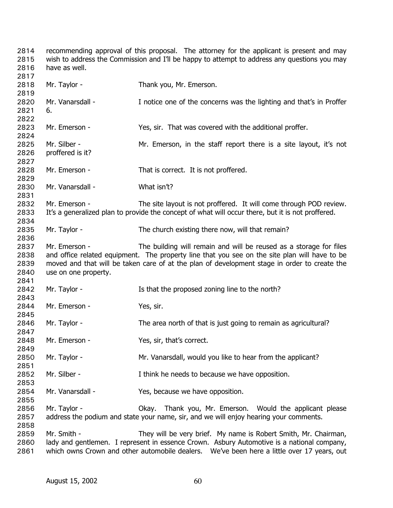recommending approval of this proposal. The attorney for the applicant is present and may wish to address the Commission and I'll be happy to attempt to address any questions you may have as well. Mr. Taylor - Thank you, Mr. Emerson. Mr. Vanarsdall - Inotice one of the concerns was the lighting and that's in Proffer 6. Mr. Emerson - That was covered with the additional proffer. Mr. Silber - Mr. Emerson, in the staff report there is a site layout, it's not proffered is it? Mr. Emerson - That is correct. It is not proffered. Mr. Vanarsdall - What isn't? Mr. Emerson - The site layout is not proffered. It will come through POD review. It's a generalized plan to provide the concept of what will occur there, but it is not proffered. Mr. Taylor - The church existing there now, will that remain? Mr. Emerson - The building will remain and will be reused as a storage for files and office related equipment. The property line that you see on the site plan will have to be moved and that will be taken care of at the plan of development stage in order to create the use on one property. Mr. Taylor - Is that the proposed zoning line to the north? Mr. Emerson - Yes, sir. Mr. Taylor - The area north of that is just going to remain as agricultural? Mr. Emerson - Yes, sir, that's correct. Mr. Taylor - **Mr.** Vanarsdall, would you like to hear from the applicant? Mr. Silber - I think he needs to because we have opposition. Mr. Vanarsdall - Yes, because we have opposition. Mr. Taylor - Okay. Thank you, Mr. Emerson. Would the applicant please address the podium and state your name, sir, and we will enjoy hearing your comments. Mr. Smith - They will be very brief. My name is Robert Smith, Mr. Chairman, lady and gentlemen. I represent in essence Crown. Asbury Automotive is a national company, which owns Crown and other automobile dealers. We've been here a little over 17 years, out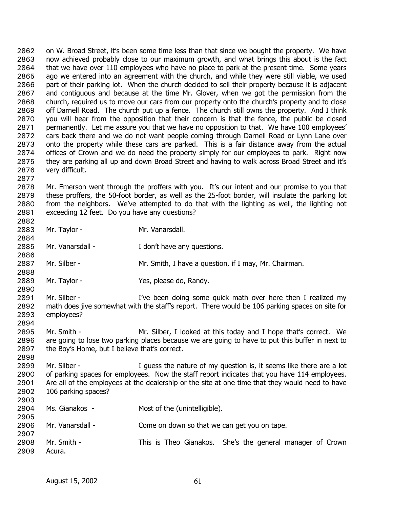on W. Broad Street, it's been some time less than that since we bought the property. We have now achieved probably close to our maximum growth, and what brings this about is the fact that we have over 110 employees who have no place to park at the present time. Some years ago we entered into an agreement with the church, and while they were still viable, we used part of their parking lot. When the church decided to sell their property because it is adjacent and contiguous and because at the time Mr. Glover, when we got the permission from the church, required us to move our cars from our property onto the church's property and to close off Darnell Road. The church put up a fence. The church still owns the property. And I think you will hear from the opposition that their concern is that the fence, the public be closed permanently. Let me assure you that we have no opposition to that. We have 100 employees' cars back there and we do not want people coming through Darnell Road or Lynn Lane over onto the property while these cars are parked. This is a fair distance away from the actual offices of Crown and we do need the property simply for our employees to park. Right now they are parking all up and down Broad Street and having to walk across Broad Street and it's very difficult. 2862 2863 2864 2865 2866 2867 2868 2869 2870 2871 2872 2873 2874 2875 2876 2877

2878 2879 2880 2881 Mr. Emerson went through the proffers with you. It's our intent and our promise to you that these proffers, the 50-foot border, as well as the 25-foot border, will insulate the parking lot from the neighbors. We've attempted to do that with the lighting as well, the lighting not exceeding 12 feet. Do you have any questions?

2883 2884 2885 2886 2887 2888 2889 2890 Mr. Taylor - Mr. Vanarsdall. Mr. Vanarsdall - The Muslim of the I don't have any questions. Mr. Silber - Mr. Smith, I have a question, if I may, Mr. Chairman. Mr. Taylor - Yes, please do, Randy.

2891 2892 2893 2894 Mr. Silber - The I've been doing some quick math over here then I realized my math does jive somewhat with the staff's report. There would be 106 parking spaces on site for employees?

2895 2896 2897 Mr. Smith - Mr. Silber, I looked at this today and I hope that's correct. We are going to lose two parking places because we are going to have to put this buffer in next to the Boy's Home, but I believe that's correct.

2899 2900 2901 2902 2903 Mr. Silber - The same is a guess the nature of my question is, it seems like there are a lot of parking spaces for employees. Now the staff report indicates that you have 114 employees. Are all of the employees at the dealership or the site at one time that they would need to have 106 parking spaces?

| 2904 | Ms. Gianakos - | Most of the (unintelligible). |
|------|----------------|-------------------------------|
|------|----------------|-------------------------------|

- 2906 Mr. Vanarsdall - Come on down so that we can get you on tape.
- 2907 2908 2909 Mr. Smith - This is Theo Gianakos. She's the general manager of Crown Acura.

2882

2898

2905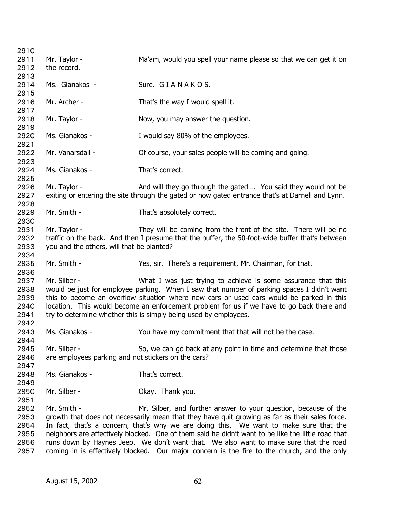| 2910 |                                                                                                    |                                                                                                  |
|------|----------------------------------------------------------------------------------------------------|--------------------------------------------------------------------------------------------------|
| 2911 | Mr. Taylor -                                                                                       | Ma'am, would you spell your name please so that we can get it on                                 |
| 2912 | the record.                                                                                        |                                                                                                  |
| 2913 |                                                                                                    |                                                                                                  |
| 2914 | Ms. Gianakos -                                                                                     | Sure. GIANAKOS.                                                                                  |
| 2915 |                                                                                                    |                                                                                                  |
| 2916 | Mr. Archer -                                                                                       | That's the way I would spell it.                                                                 |
| 2917 |                                                                                                    |                                                                                                  |
| 2918 | Mr. Taylor -                                                                                       | Now, you may answer the question.                                                                |
| 2919 |                                                                                                    |                                                                                                  |
| 2920 | Ms. Gianakos -                                                                                     | I would say 80% of the employees.                                                                |
| 2921 |                                                                                                    |                                                                                                  |
| 2922 | Mr. Vanarsdall -                                                                                   |                                                                                                  |
|      |                                                                                                    | Of course, your sales people will be coming and going.                                           |
| 2923 |                                                                                                    |                                                                                                  |
| 2924 | Ms. Gianakos -                                                                                     | That's correct.                                                                                  |
| 2925 |                                                                                                    |                                                                                                  |
| 2926 | Mr. Taylor -                                                                                       | And will they go through the gated You said they would not be                                    |
| 2927 |                                                                                                    | exiting or entering the site through the gated or now gated entrance that's at Darnell and Lynn. |
| 2928 |                                                                                                    |                                                                                                  |
| 2929 | Mr. Smith -                                                                                        | That's absolutely correct.                                                                       |
| 2930 |                                                                                                    |                                                                                                  |
| 2931 | Mr. Taylor -                                                                                       | They will be coming from the front of the site. There will be no                                 |
| 2932 |                                                                                                    | traffic on the back. And then I presume that the buffer, the 50-foot-wide buffer that's between  |
| 2933 | you and the others, will that be planted?                                                          |                                                                                                  |
| 2934 |                                                                                                    |                                                                                                  |
| 2935 | Mr. Smith -                                                                                        | Yes, sir. There's a requirement, Mr. Chairman, for that.                                         |
| 2936 |                                                                                                    |                                                                                                  |
| 2937 | Mr. Silber -                                                                                       | What I was just trying to achieve is some assurance that this                                    |
| 2938 |                                                                                                    | would be just for employee parking. When I saw that number of parking spaces I didn't want       |
| 2939 |                                                                                                    | this to become an overflow situation where new cars or used cars would be parked in this         |
| 2940 |                                                                                                    | location. This would become an enforcement problem for us if we have to go back there and        |
| 2941 |                                                                                                    | try to determine whether this is simply being used by employees.                                 |
| 2942 |                                                                                                    |                                                                                                  |
| 2943 | Ms. Gianakos -                                                                                     | You have my commitment that that will not be the case.                                           |
| 2944 |                                                                                                    |                                                                                                  |
| 2945 | Mr. Silber -                                                                                       | So, we can go back at any point in time and determine that those                                 |
| 2946 | are employees parking and not stickers on the cars?                                                |                                                                                                  |
| 2947 |                                                                                                    |                                                                                                  |
| 2948 | Ms. Gianakos -                                                                                     | That's correct.                                                                                  |
| 2949 |                                                                                                    |                                                                                                  |
| 2950 | Mr. Silber -                                                                                       | Okay. Thank you.                                                                                 |
| 2951 |                                                                                                    |                                                                                                  |
| 2952 | Mr. Smith -                                                                                        | Mr. Silber, and further answer to your question, because of the                                  |
| 2953 |                                                                                                    |                                                                                                  |
|      | growth that does not necessarily mean that they have quit growing as far as their sales force.     |                                                                                                  |
| 2954 | In fact, that's a concern, that's why we are doing this. We want to make sure that the             |                                                                                                  |
| 2955 | neighbors are affectively blocked. One of them said he didn't want to be like the little road that |                                                                                                  |
| 2956 | runs down by Haynes Jeep. We don't want that. We also want to make sure that the road              |                                                                                                  |
| 2957 | coming in is effectively blocked. Our major concern is the fire to the church, and the only        |                                                                                                  |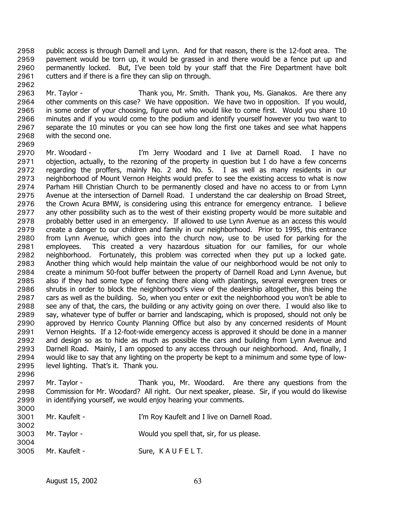public access is through Darnell and Lynn. And for that reason, there is the 12-foot area. The pavement would be torn up, it would be grassed in and there would be a fence put up and permanently locked. But, I've been told by your staff that the Fire Department have bolt cutters and if there is a fire they can slip on through. 2958 2959 2960 2961

2963 2964 2965 2966 2967 2968 Mr. Taylor - Thank you, Mr. Smith. Thank you, Ms. Gianakos. Are there any other comments on this case? We have opposition. We have two in opposition. If you would, in some order of your choosing, figure out who would like to come first. Would you share 10 minutes and if you would come to the podium and identify yourself however you two want to separate the 10 minutes or you can see how long the first one takes and see what happens with the second one.

2969

2962

2970 2971 2972 2973 2974 2975 2976 2977 2978 2979 2980 2981 2982 2983 2984 2985 2986 2987 2988 2989 2990 2991 2992 2993 2994 2995 2996 Mr. Woodard - I'm Jerry Woodard and I live at Darnell Road. I have no objection, actually, to the rezoning of the property in question but I do have a few concerns regarding the proffers, mainly No. 2 and No. 5. I as well as many residents in our neighborhood of Mount Vernon Heights would prefer to see the existing access to what is now Parham Hill Christian Church to be permanently closed and have no access to or from Lynn Avenue at the intersection of Darnell Road. I understand the car dealership on Broad Street, the Crown Acura BMW, is considering using this entrance for emergency entrance. I believe any other possibility such as to the west of their existing property would be more suitable and probably better used in an emergency. If allowed to use Lynn Avenue as an access this would create a danger to our children and family in our neighborhood. Prior to 1995, this entrance from Lynn Avenue, which goes into the church now, use to be used for parking for the employees. This created a very hazardous situation for our families, for our whole neighborhood. Fortunately, this problem was corrected when they put up a locked gate. Another thing which would help maintain the value of our neighborhood would be not only to create a minimum 50-foot buffer between the property of Darnell Road and Lynn Avenue, but also if they had some type of fencing there along with plantings, several evergreen trees or shrubs in order to block the neighborhood's view of the dealership altogether, this being the cars as well as the building. So, when you enter or exit the neighborhood you won't be able to see any of that, the cars, the building or any activity going on over there. I would also like to say, whatever type of buffer or barrier and landscaping, which is proposed, should not only be approved by Henrico County Planning Office but also by any concerned residents of Mount Vernon Heights. If a 12-foot-wide emergency access is approved it should be done in a manner and design so as to hide as much as possible the cars and building from Lynn Avenue and Darnell Road. Mainly, I am opposed to any access through our neighborhood. And, finally, I would like to say that any lighting on the property be kept to a minimum and some type of lowlevel lighting. That's it. Thank you.

2997 2998 2999 3000 Mr. Taylor - Thank you, Mr. Woodard. Are there any questions from the Commission for Mr. Woodard? All right. Our next speaker, please. Sir, if you would do likewise in identifying yourself, we would enjoy hearing your comments.

| uuu  |                   |                                             |
|------|-------------------|---------------------------------------------|
| 3001 | Mr. Kaufelt -     | I'm Roy Kaufelt and I live on Darnell Road. |
| 3002 |                   |                                             |
|      | 3003 Mr. Taylor - | Would you spell that, sir, for us please.   |
| 3004 |                   |                                             |
|      |                   |                                             |
| 3005 | Mr. Kaufelt -     | Sure, KAUFELT.                              |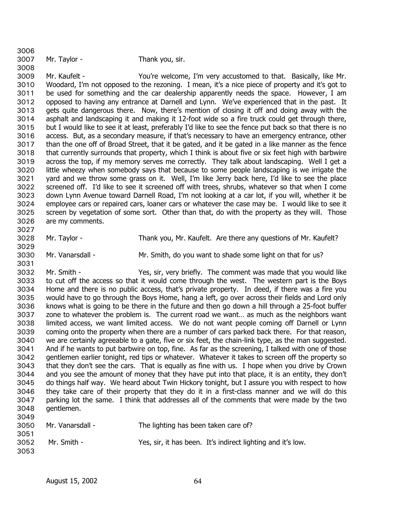| 3007 | Mr. Taylor - | Thank you, sir. |
|------|--------------|-----------------|

3008 3009 3010 3011 3012 3013 3014 3015 3016 3017 3018 3019 3020 3021 3022 3023 3024 3025 3026 3027 Mr. Kaufelt - The State of You're welcome, I'm very accustomed to that. Basically, like Mr. Woodard, I'm not opposed to the rezoning. I mean, it's a nice piece of property and it's got to be used for something and the car dealership apparently needs the space. However, I am opposed to having any entrance at Darnell and Lynn. We've experienced that in the past. It gets quite dangerous there. Now, there's mention of closing it off and doing away with the asphalt and landscaping it and making it 12-foot wide so a fire truck could get through there, but I would like to see it at least, preferably I'd like to see the fence put back so that there is no access. But, as a secondary measure, if that's necessary to have an emergency entrance, other than the one off of Broad Street, that it be gated, and it be gated in a like manner as the fence that currently surrounds that property, which I think is about five or six feet high with barbwire across the top, if my memory serves me correctly. They talk about landscaping. Well I get a little wheezy when somebody says that because to some people landscaping is we irrigate the yard and we throw some grass on it. Well, I'm like Jerry back here, I'd like to see the place screened off. I'd like to see it screened off with trees, shrubs, whatever so that when I come down Lynn Avenue toward Darnell Road, I'm not looking at a car lot, if you will, whether it be employee cars or repaired cars, loaner cars or whatever the case may be. I would like to see it screen by vegetation of some sort. Other than that, do with the property as they will. Those are my comments.

3028

Mr. Taylor - Thank you, Mr. Kaufelt. Are there any questions of Mr. Kaufelt?

3030 3031 Mr. Vanarsdall - Mr. Smith, do you want to shade some light on that for us?

3029

3006

3032 3033 3034 3035 3036 3037 3038 3039 3040 3041 3042 3043 3044 3045 3046 3047 3048 3049 Mr. Smith - Yes, sir, very briefly. The comment was made that you would like to cut off the access so that it would come through the west. The western part is the Boys Home and there is no public access, that's private property. In deed, if there was a fire you would have to go through the Boys Home, hang a left, go over across their fields and Lord only knows what is going to be there in the future and then go down a hill through a 25-foot buffer zone to whatever the problem is. The current road we want… as much as the neighbors want limited access, we want limited access. We do not want people coming off Darnell or Lynn coming onto the property when there are a number of cars parked back there. For that reason, we are certainly agreeable to a gate, five or six feet, the chain-link type, as the man suggested. And if he wants to put barbwire on top, fine. As far as the screening, I talked with one of those gentlemen earlier tonight, red tips or whatever. Whatever it takes to screen off the property so that they don't see the cars. That is equally as fine with us. I hope when you drive by Crown and you see the amount of money that they have put into that place, it is an entity, they don't do things half way. We heard about Twin Hickory tonight, but I assure you with respect to how they take care of their property that they do it in a first-class manner and we will do this parking lot the same. I think that addresses all of the comments that were made by the two gentlemen.

| 3050 | The lighting has been taken care of?<br>Mr. Vanarsdall - |                                                             |
|------|----------------------------------------------------------|-------------------------------------------------------------|
| 3051 |                                                          |                                                             |
| 3052 | Mr. Smith -                                              | Yes, sir, it has been. It's indirect lighting and it's low. |
| 3053 |                                                          |                                                             |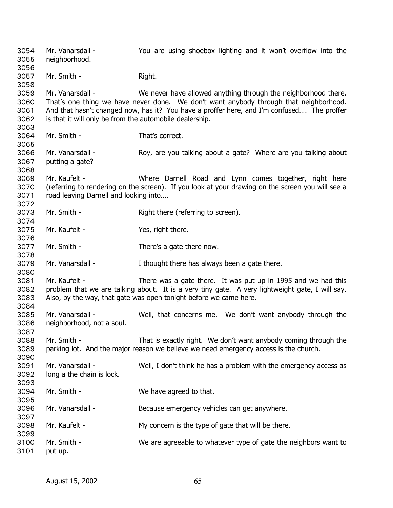Mr. Vanarsdall - You are using shoebox lighting and it won't overflow into the neighborhood. 3054 3055 3056 3057 3058 3059 3060 3061 3062 3063 3064 3065 3066 3067 3068 3069 3070 3071 3072 3073 3074 3075 3076 3077 3078 3079 3080 3081 3082 3083 3084 3085 3086 3087 3088 3089 3090 3091 3092 3093 3094 3095 3096 3097 3098 3099 3100 3101 Mr. Smith - Right. Mr. Vanarsdall - We never have allowed anything through the neighborhood there. That's one thing we have never done. We don't want anybody through that neighborhood. And that hasn't changed now, has it? You have a proffer here, and I'm confused…. The proffer is that it will only be from the automobile dealership. Mr. Smith - That's correct. Mr. Vanarsdall - Roy, are you talking about a gate? Where are you talking about putting a gate? Mr. Kaufelt - Where Darnell Road and Lynn comes together, right here (referring to rendering on the screen). If you look at your drawing on the screen you will see a road leaving Darnell and looking into…. Mr. Smith - Right there (referring to screen). Mr. Kaufelt - Yes, right there. Mr. Smith - There's a gate there now. Mr. Vanarsdall - Thought there has always been a gate there. Mr. Kaufelt - There was a gate there. It was put up in 1995 and we had this problem that we are talking about. It is a very tiny gate. A very lightweight gate, I will say. Also, by the way, that gate was open tonight before we came here. Mr. Vanarsdall - Well, that concerns me. We don't want anybody through the neighborhood, not a soul. Mr. Smith - That is exactly right. We don't want anybody coming through the parking lot. And the major reason we believe we need emergency access is the church. Mr. Vanarsdall - Well, I don't think he has a problem with the emergency access as long a the chain is lock. Mr. Smith - We have agreed to that. Mr. Vanarsdall - Because emergency vehicles can get anywhere. Mr. Kaufelt - My concern is the type of gate that will be there. Mr. Smith - We are agreeable to whatever type of gate the neighbors want to put up.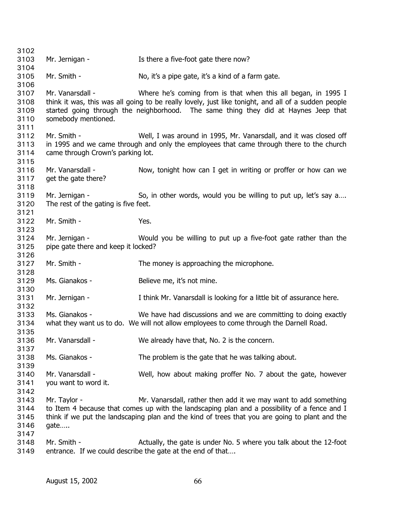3102 3103 3104 3105 3106 3107 3108 3109 3110 3111 3112 3113 3114 3115 3116 3117 3118 3119 3120 3121 3122 3123 3124 3125 3126 3127 3128 3129 3130 3131 3132 3133 3134 3135 3136 3137 3138 3139 3140 3141 3142 3143 3144 3145 3146 3147 3148 Mr. Jernigan - The Text Text Is there a five-foot gate there now? Mr. Smith - No, it's a pipe gate, it's a kind of a farm gate. Mr. Vanarsdall - The Mome of Where he's coming from is that when this all began, in 1995 I think it was, this was all going to be really lovely, just like tonight, and all of a sudden people started going through the neighborhood. The same thing they did at Haynes Jeep that somebody mentioned. Mr. Smith - Well, I was around in 1995, Mr. Vanarsdall, and it was closed off in 1995 and we came through and only the employees that came through there to the church came through Crown's parking lot. Mr. Vanarsdall - Now, tonight how can I get in writing or proffer or how can we get the gate there? Mr. Jernigan - So, in other words, would you be willing to put up, let's say a.... The rest of the gating is five feet. Mr. Smith - Yes. Mr. Jernigan - Would you be willing to put up a five-foot gate rather than the pipe gate there and keep it locked? Mr. Smith - The money is approaching the microphone. Ms. Gianakos - Believe me, it's not mine. Mr. Jernigan - Think Mr. Vanarsdall is looking for a little bit of assurance here. Ms. Gianakos - We have had discussions and we are committing to doing exactly what they want us to do. We will not allow employees to come through the Darnell Road. Mr. Vanarsdall - We already have that, No. 2 is the concern. Ms. Gianakos - The problem is the gate that he was talking about. Mr. Vanarsdall - Well, how about making proffer No. 7 about the gate, however you want to word it. Mr. Taylor - Mr. Vanarsdall, rather then add it we may want to add something to Item 4 because that comes up with the landscaping plan and a possibility of a fence and I think if we put the landscaping plan and the kind of trees that you are going to plant and the gate….. Mr. Smith - Actually, the gate is under No. 5 where you talk about the 12-foot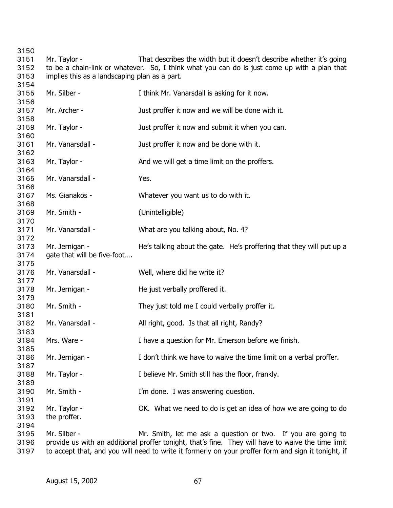Mr. Taylor - That describes the width but it doesn't describe whether it's going to be a chain-link or whatever. So, I think what you can do is just come up with a plan that implies this as a landscaping plan as a part. Mr. Silber - Think Mr. Vanarsdall is asking for it now. Mr. Archer - The Just proffer it now and we will be done with it. Mr. Taylor - The State of Just proffer it now and submit it when you can. Mr. Vanarsdall - Just proffer it now and be done with it. Mr. Taylor - And we will get a time limit on the proffers. Mr. Vanarsdall - Yes. Ms. Gianakos - Whatever you want us to do with it. Mr. Smith - (Unintelligible) Mr. Vanarsdall - What are you talking about, No. 4? Mr. Jernigan - He's talking about the gate. He's proffering that they will put up a gate that will be five-foot…. Mr. Vanarsdall - Well, where did he write it? Mr. Jernigan - The just verbally proffered it. Mr. Smith - They just told me I could verbally proffer it. Mr. Vanarsdall - All right, good. Is that all right, Randy? Mrs. Ware - The Mrs. Ware - I have a question for Mr. Emerson before we finish. Mr. Jernigan - The Muslim of think we have to waive the time limit on a verbal proffer. Mr. Taylor - Thelieve Mr. Smith still has the floor, frankly. Mr. Smith - T'm done. I was answering question. Mr. Taylor - OK. What we need to do is get an idea of how we are going to do the proffer. Mr. Silber - Mr. Smith, let me ask a question or two. If you are going to provide us with an additional proffer tonight, that's fine. They will have to waive the time limit

 to accept that, and you will need to write it formerly on your proffer form and sign it tonight, if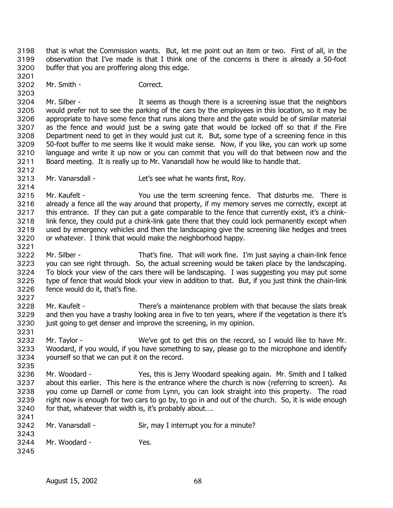that is what the Commission wants. But, let me point out an item or two. First of all, in the observation that I've made is that I think one of the concerns is there is already a 50-foot buffer that you are proffering along this edge. 3198 3199 3200

3202 Mr. Smith - Correct.

3201

3212

3214

3221

3227

3231

3203 3204 3205 3206 3207 3208 3209 3210 3211 Mr. Silber - The Super State State is a screening issue that the neighbors would prefer not to see the parking of the cars by the employees in this location, so it may be appropriate to have some fence that runs along there and the gate would be of similar material as the fence and would just be a swing gate that would be locked off so that if the Fire Department need to get in they would just cut it. But, some type of a screening fence in this 50-foot buffer to me seems like it would make sense. Now, if you like, you can work up some language and write it up now or you can commit that you will do that between now and the Board meeting. It is really up to Mr. Vanarsdall how he would like to handle that.

3213 Mr. Vanarsdall - Let's see what he wants first, Roy.

3215 3216 3217 3218 3219 3220 Mr. Kaufelt - You use the term screening fence. That disturbs me. There is already a fence all the way around that property, if my memory serves me correctly, except at this entrance. If they can put a gate comparable to the fence that currently exist, it's a chinklink fence, they could put a chink-link gate there that they could lock permanently except when used by emergency vehicles and then the landscaping give the screening like hedges and trees or whatever. I think that would make the neighborhood happy.

- 3222 3223 3224 3225 3226 Mr. Silber - That's fine. That will work fine. I'm just saying a chain-link fence you can see right through. So, the actual screening would be taken place by the landscaping. To block your view of the cars there will be landscaping. I was suggesting you may put some type of fence that would block your view in addition to that. But, if you just think the chain-link fence would do it, that's fine.
- 3228 3229 3230 Mr. Kaufelt - There's a maintenance problem with that because the slats break and then you have a trashy looking area in five to ten years, where if the vegetation is there it's just going to get denser and improve the screening, in my opinion.
- 3232 3233 3234 Mr. Taylor - We've got to get this on the record, so I would like to have Mr. Woodard, if you would, if you have something to say, please go to the microphone and identify yourself so that we can put it on the record.
- 3235
- 3236 3237 3238 3239 3240 3241 Mr. Woodard - Yes, this is Jerry Woodard speaking again. Mr. Smith and I talked about this earlier. This here is the entrance where the church is now (referring to screen). As you come up Darnell or come from Lynn, you can look straight into this property. The road right now is enough for two cars to go by, to go in and out of the church. So, it is wide enough for that, whatever that width is, it's probably about....
- 3242 3243 Mr. Vanarsdall - Sir, may I interrupt you for a minute?
- 3244 3245 Mr. Woodard - Yes.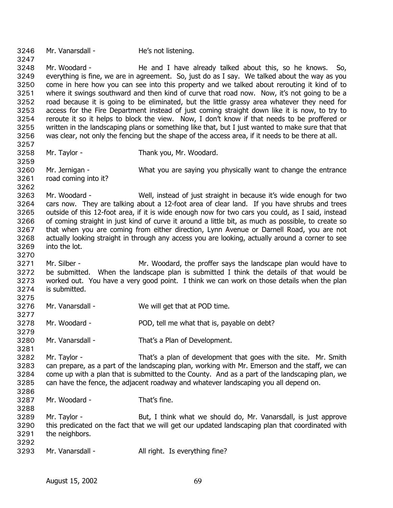3246 Mr. Vanarsdall - He's not listening. 3247 3248 3249 3250 3251 3252 3253 3254 3255 3256 3257 3258 3259 3260 3261 3262 3263 3264 3265 3266 3267 3268 3269 3270 3271 3272 3273 3274 3275 3276 3277 3278 3279 3280 3281 3282 3283 3284 3285 3286 3287 3288 3289 3290 3291 3292 3293 Mr. Woodard - The and I have already talked about this, so he knows. So, everything is fine, we are in agreement. So, just do as I say. We talked about the way as you come in here how you can see into this property and we talked about rerouting it kind of to where it swings southward and then kind of curve that road now. Now, it's not going to be a road because it is going to be eliminated, but the little grassy area whatever they need for access for the Fire Department instead of just coming straight down like it is now, to try to reroute it so it helps to block the view. Now, I don't know if that needs to be proffered or written in the landscaping plans or something like that, but I just wanted to make sure that that was clear, not only the fencing but the shape of the access area, if it needs to be there at all. Mr. Taylor - Thank you, Mr. Woodard. Mr. Jernigan - What you are saying you physically want to change the entrance road coming into it? Mr. Woodard - Well, instead of just straight in because it's wide enough for two cars now. They are talking about a 12-foot area of clear land. If you have shrubs and trees outside of this 12-foot area, if it is wide enough now for two cars you could, as I said, instead of coming straight in just kind of curve it around a little bit, as much as possible, to create so that when you are coming from either direction, Lynn Avenue or Darnell Road, you are not actually looking straight in through any access you are looking, actually around a corner to see into the lot. Mr. Silber - The Mr. Woodard, the proffer says the landscape plan would have to be submitted. When the landscape plan is submitted I think the details of that would be worked out. You have a very good point. I think we can work on those details when the plan is submitted. Mr. Vanarsdall - We will get that at POD time. Mr. Woodard - POD, tell me what that is, payable on debt? Mr. Vanarsdall - That's a Plan of Development. Mr. Taylor - That's a plan of development that goes with the site. Mr. Smith can prepare, as a part of the landscaping plan, working with Mr. Emerson and the staff, we can come up with a plan that is submitted to the County. And as a part of the landscaping plan, we can have the fence, the adjacent roadway and whatever landscaping you all depend on. Mr. Woodard - That's fine. Mr. Taylor - But, I think what we should do, Mr. Vanarsdall, is just approve this predicated on the fact that we will get our updated landscaping plan that coordinated with the neighbors. Mr. Vanarsdall - All right. Is everything fine?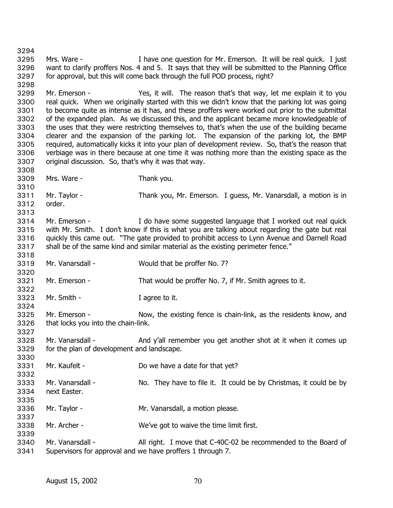3294 3295 3296 3297 3298 3299 3300 3301 3302 3303 3304 3305 3306 3307 3308 3309 3310 3311 3312 3313 3314 3315 3316 3317 3318 3319 3320 3321 3322 3323 3324 3325 3326 3327 3328 3329 3330 3331 3332 3333 3334 3335 3336 3337 3338 3339 3340 3341 Mrs. Ware - I have one question for Mr. Emerson. It will be real quick. I just want to clarify proffers Nos. 4 and 5. It says that they will be submitted to the Planning Office for approval, but this will come back through the full POD process, right? Mr. Emerson - Yes, it will. The reason that's that way, let me explain it to you real quick. When we originally started with this we didn't know that the parking lot was going to become quite as intense as it has, and these proffers were worked out prior to the submittal of the expanded plan. As we discussed this, and the applicant became more knowledgeable of the uses that they were restricting themselves to, that's when the use of the building became clearer and the expansion of the parking lot. The expansion of the parking lot, the BMP required, automatically kicks it into your plan of development review. So, that's the reason that verbiage was in there because at one time it was nothing more than the existing space as the original discussion. So, that's why it was that way. Mrs. Ware - Thank you. Mr. Taylor - Thank you, Mr. Emerson. I guess, Mr. Vanarsdall, a motion is in order. Mr. Emerson - The State State some suggested language that I worked out real quick with Mr. Smith. I don't know if this is what you are talking about regarding the gate but real quickly this came out. "The gate provided to prohibit access to Lynn Avenue and Darnell Road shall be of the same kind and similar material as the existing perimeter fence." Mr. Vanarsdall - Would that be proffer No. 7? Mr. Emerson - That would be proffer No. 7, if Mr. Smith agrees to it. Mr. Smith - Tagree to it. Mr. Emerson - Now, the existing fence is chain-link, as the residents know, and that locks you into the chain-link. Mr. Vanarsdall - And y'all remember you get another shot at it when it comes up for the plan of development and landscape. Mr. Kaufelt - Do we have a date for that yet? Mr. Vanarsdall - No. They have to file it. It could be by Christmas, it could be by next Easter. Mr. Taylor - Mr. Vanarsdall, a motion please. Mr. Archer - We've got to waive the time limit first. Mr. Vanarsdall - All right. I move that C-40C-02 be recommended to the Board of Supervisors for approval and we have proffers 1 through 7.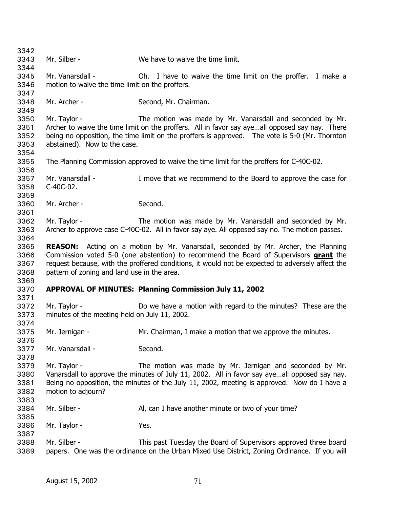3342 3343 3344 3345 3346 3347 3348 3349 3350 3351 3352 3353 3354 3355 3356 3357 3358 3359 3360 3361 3362 3363 3364 3365 Mr. Silber - We have to waive the time limit. Mr. Vanarsdall - Oh. I have to waive the time limit on the proffer. I make a motion to waive the time limit on the proffers. Mr. Archer - Second, Mr. Chairman. Mr. Taylor - The motion was made by Mr. Vanarsdall and seconded by Mr. Archer to waive the time limit on the proffers. All in favor say aye…all opposed say nay. There being no opposition, the time limit on the proffers is approved. The vote is 5-0 (Mr. Thornton abstained). Now to the case. The Planning Commission approved to waive the time limit for the proffers for C-40C-02. Mr. Vanarsdall - I move that we recommend to the Board to approve the case for C-40C-02. Mr. Archer - Second. Mr. Taylor - The motion was made by Mr. Vanarsdall and seconded by Mr. Archer to approve case C-40C-02. All in favor say aye. All opposed say no. The motion passes. **REASON:** Acting on a motion by Mr. Vanarsdall, seconded by Mr. Archer, the Planning Commission voted 5-0 (one abstention) to recommend the Board of Supervisors **grant** the request because, with the proffered conditions, it would not be expected to adversely affect the pattern of zoning and land use in the area. 3366 3367 3368 3369 3370 3371 3372 3373 3374 3375 3376 3377 3378 3379 3380 3381 3382 3383 3384 3385 3386 3387 3388 3389 **APPROVAL OF MINUTES: Planning Commission July 11, 2002**  Mr. Taylor - Do we have a motion with regard to the minutes? These are the minutes of the meeting held on July 11, 2002. Mr. Jernigan - The Mr. Chairman, I make a motion that we approve the minutes. Mr. Vanarsdall - Second. Mr. Taylor - The motion was made by Mr. Jernigan and seconded by Mr. Vanarsdall to approve the minutes of July 11, 2002. All in favor say aye…all opposed say nay. Being no opposition, the minutes of the July 11, 2002, meeting is approved. Now do I have a motion to adjourn? Mr. Silber - Al, can I have another minute or two of your time? Mr. Taylor - The Mes. Mr. Silber - This past Tuesday the Board of Supervisors approved three board papers. One was the ordinance on the Urban Mixed Use District, Zoning Ordinance. If you will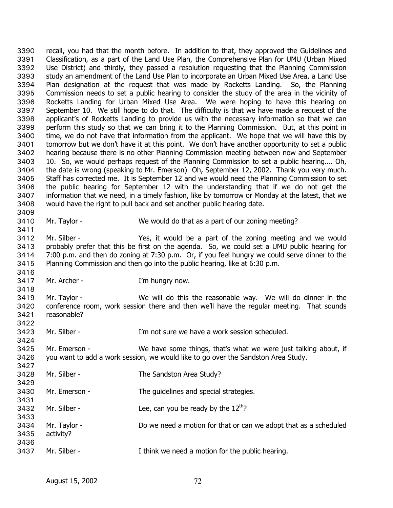recall, you had that the month before. In addition to that, they approved the Guidelines and Classification, as a part of the Land Use Plan, the Comprehensive Plan for UMU (Urban Mixed Use District) and thirdly, they passed a resolution requesting that the Planning Commission study an amendment of the Land Use Plan to incorporate an Urban Mixed Use Area, a Land Use Plan designation at the request that was made by Rocketts Landing. So, the Planning Commission needs to set a public hearing to consider the study of the area in the vicinity of Rocketts Landing for Urban Mixed Use Area. We were hoping to have this hearing on September 10. We still hope to do that. The difficulty is that we have made a request of the applicant's of Rocketts Landing to provide us with the necessary information so that we can perform this study so that we can bring it to the Planning Commission. But, at this point in time, we do not have that information from the applicant. We hope that we will have this by tomorrow but we don't have it at this point. We don't have another opportunity to set a public hearing because there is no other Planning Commission meeting between now and September 10. So, we would perhaps request of the Planning Commission to set a public hearing…. Oh, the date is wrong (speaking to Mr. Emerson) Oh, September 12, 2002. Thank you very much. Staff has corrected me. It is September 12 and we would need the Planning Commission to set the public hearing for September 12 with the understanding that if we do not get the information that we need, in a timely fashion, like by tomorrow or Monday at the latest, that we would have the right to pull back and set another public hearing date. 3390 3391 3392 3393 3394 3395 3396 3397 3398 3399 3400 3401 3402 3403 3404 3405 3406 3407 3408 3409

3410

3411

3416

3418

3424

3427

3429

3431

3433

3436

Mr. Taylor - **We would do that as a part of our zoning meeting?** 

3412 3413 3414 3415 Mr. Silber - Yes, it would be a part of the zoning meeting and we would probably prefer that this be first on the agenda. So, we could set a UMU public hearing for 7:00 p.m. and then do zoning at 7:30 p.m. Or, if you feel hungry we could serve dinner to the Planning Commission and then go into the public hearing, like at 6:30 p.m.

- 3417 Mr. Archer - T'm hungry now.
	-

3419 3420 3421 3422 Mr. Taylor - We will do this the reasonable way. We will do dinner in the conference room, work session there and then we'll have the regular meeting. That sounds reasonable?

3423 Mr. Silber - T'm not sure we have a work session scheduled.

3425 3426 Mr. Emerson - We have some things, that's what we were just talking about, if you want to add a work session, we would like to go over the Sandston Area Study.

- 3428 Mr. Silber - The Sandston Area Study?
- 3430 Mr. Emerson - The guidelines and special strategies.
- 3432 Mr. Silber - Lee, can you be ready by the  $12<sup>th</sup>$ ?
- 3434 3435 Mr. Taylor - **Do we need a motion for that or can we adopt that as a scheduled** activity?
- 3437 Mr. Silber - Think we need a motion for the public hearing.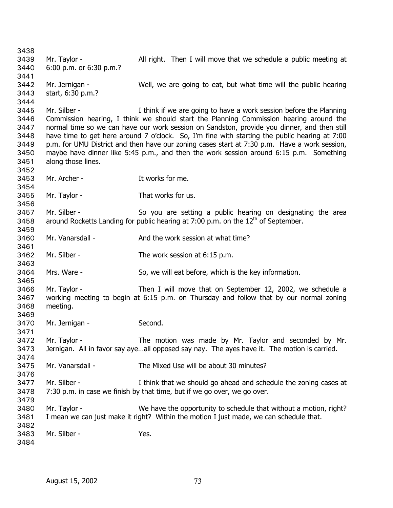Mr. Taylor - All right. Then I will move that we schedule a public meeting at 6:00 p.m. or 6:30 p.m.? Mr. Jernigan - Well, we are going to eat, but what time will the public hearing start, 6:30 p.m.? Mr. Silber - Think if we are going to have a work session before the Planning Commission hearing, I think we should start the Planning Commission hearing around the normal time so we can have our work session on Sandston, provide you dinner, and then still have time to get here around 7 o'clock. So, I'm fine with starting the public hearing at 7:00 p.m. for UMU District and then have our zoning cases start at 7:30 p.m. Have a work session, maybe have dinner like 5:45 p.m., and then the work session around 6:15 p.m. Something along those lines. Mr. Archer - The Music Service Contract The Music Service Contract The Music Service Contract The Music Service Contract The Music Service Contract The Music Service Contract The Music Service Contract The Music Service Co Mr. Taylor - That works for us. Mr. Silber - So you are setting a public hearing on designating the area around Rocketts Landing for public hearing at 7:00 p.m. on the  $12<sup>th</sup>$  of September. Mr. Vanarsdall - And the work session at what time? Mr. Silber - The work session at 6:15 p.m. Mrs. Ware - So, we will eat before, which is the key information. Mr. Taylor - Then I will move that on September 12, 2002, we schedule a working meeting to begin at 6:15 p.m. on Thursday and follow that by our normal zoning meeting. Mr. Jernigan - Second. Mr. Taylor - The motion was made by Mr. Taylor and seconded by Mr. Jernigan. All in favor say aye…all opposed say nay. The ayes have it. The motion is carried. Mr. Vanarsdall - The Mixed Use will be about 30 minutes? Mr. Silber - I think that we should go ahead and schedule the zoning cases at 7:30 p.m. in case we finish by that time, but if we go over, we go over. Mr. Taylor - We have the opportunity to schedule that without a motion, right? I mean we can just make it right? Within the motion I just made, we can schedule that. Mr. Silber - Yes.